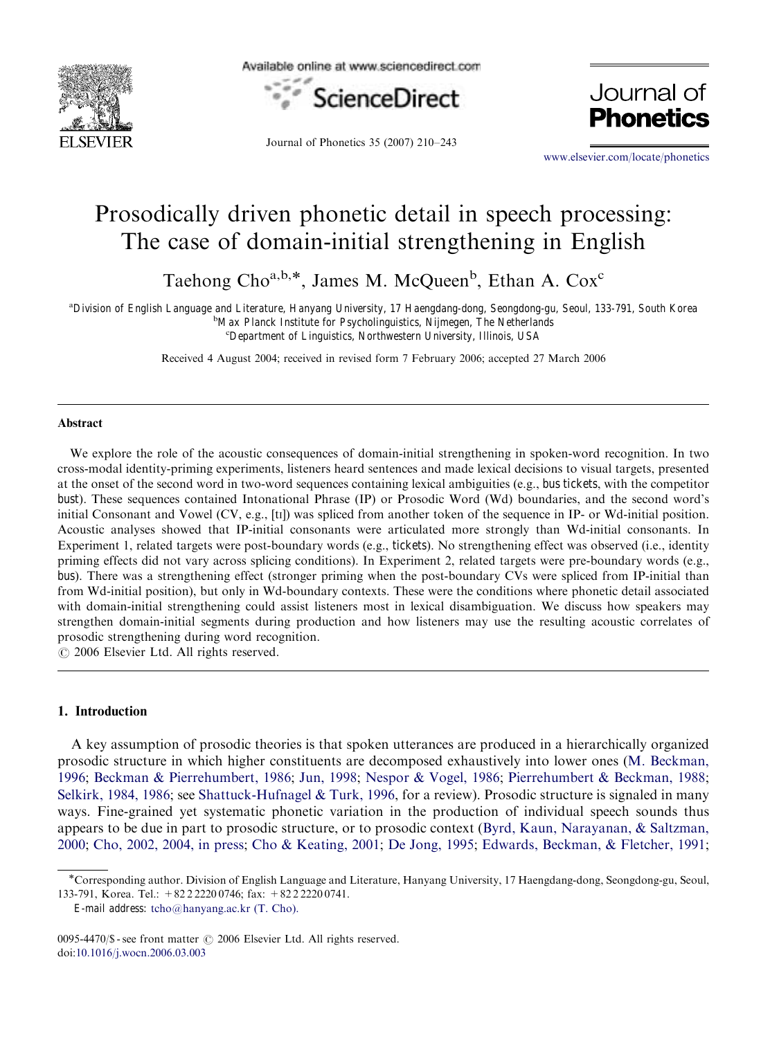

Available online at www.sciencedirect.com



Journal of Phonetics 35 (2007) 210–243

Journal of **Phonetics** 

<www.elsevier.com/locate/phonetics>

# Prosodically driven phonetic detail in speech processing: The case of domain-initial strengthening in English

Taehong  $Cho^{a,b,*}$ , James M. McQueen<sup>b</sup>, Ethan A. Cox<sup>c</sup>

a Division of English Language and Literature, Hanyang University, 17 Haengdang-dong, Seongdong-gu, Seoul, 133-791, South Korea

<sup>b</sup>Max Planck Institute for Psycholinguistics, Nijmegen, The Netherlands c Department of Linguistics, Northwestern University, Illinois, USA

Received 4 August 2004; received in revised form 7 February 2006; accepted 27 March 2006

#### Abstract

We explore the role of the acoustic consequences of domain-initial strengthening in spoken-word recognition. In two cross-modal identity-priming experiments, listeners heard sentences and made lexical decisions to visual targets, presented at the onset of the second word in two-word sequences containing lexical ambiguities (e.g., bus tickets, with the competitor bust). These sequences contained Intonational Phrase (IP) or Prosodic Word (Wd) boundaries, and the second word's initial Consonant and Vowel (CV, e.g., [tI]) was spliced from another token of the sequence in IP- or Wd-initial position. Acoustic analyses showed that IP-initial consonants were articulated more strongly than Wd-initial consonants. In Experiment 1, related targets were post-boundary words (e.g., tickets). No strengthening effect was observed (i.e., identity priming effects did not vary across splicing conditions). In Experiment 2, related targets were pre-boundary words (e.g., bus). There was a strengthening effect (stronger priming when the post-boundary CVs were spliced from IP-initial than from Wd-initial position), but only in Wd-boundary contexts. These were the conditions where phonetic detail associated with domain-initial strengthening could assist listeners most in lexical disambiguation. We discuss how speakers may strengthen domain-initial segments during production and how listeners may use the resulting acoustic correlates of prosodic strengthening during word recognition.

 $O$  2006 Elsevier Ltd. All rights reserved.

#### 1. Introduction

A key assumption of prosodic theories is that spoken utterances are produced in a hierarchically organized prosodic structure in which higher constituents are decomposed exhaustively into lower ones [\(M. Beckman,](#page-30-0) [1996](#page-30-0); [Beckman & Pierrehumbert, 1986](#page-30-0); [Jun, 1998](#page-32-0); [Nespor & Vogel, 1986;](#page-32-0) [Pierrehumbert](#page-33-0) & [Beckman, 1988;](#page-33-0) [Selkirk, 1984, 1986;](#page-33-0) see [Shattuck-Hufnagel & Turk, 1996](#page-33-0), for a review). Prosodic structure is signaled in many ways. Fine-grained yet systematic phonetic variation in the production of individual speech sounds thus appears to be due in part to prosodic structure, or to prosodic context [\(Byrd, Kaun, Narayanan, & Saltzman,](#page-31-0) [2000](#page-31-0); [Cho, 2002, 2004, in press;](#page-31-0) [Cho](#page-31-0) [& Keating, 2001;](#page-31-0) [De Jong, 1995](#page-31-0); [Edwards, Beckman,](#page-31-0) & [Fletcher, 1991;](#page-31-0)

Corresponding author. Division of English Language and Literature, Hanyang University, 17 Haengdang-dong, Seongdong-gu, Seoul, 133-791, Korea. Tel.: +82 2 2220 0746; fax: +82 2 2220 0741.

E-mail address: [tcho@hanyang.ac.kr \(T. Cho\).](mailto:tcho@hanyang.ac.kr)

<sup>0095-4470/\$ -</sup> see front matter  $\odot$  2006 Elsevier Ltd. All rights reserved. doi[:10.1016/j.wocn.2006.03.003](dx.doi.org/10.1016/j.wocn.2006.03.003)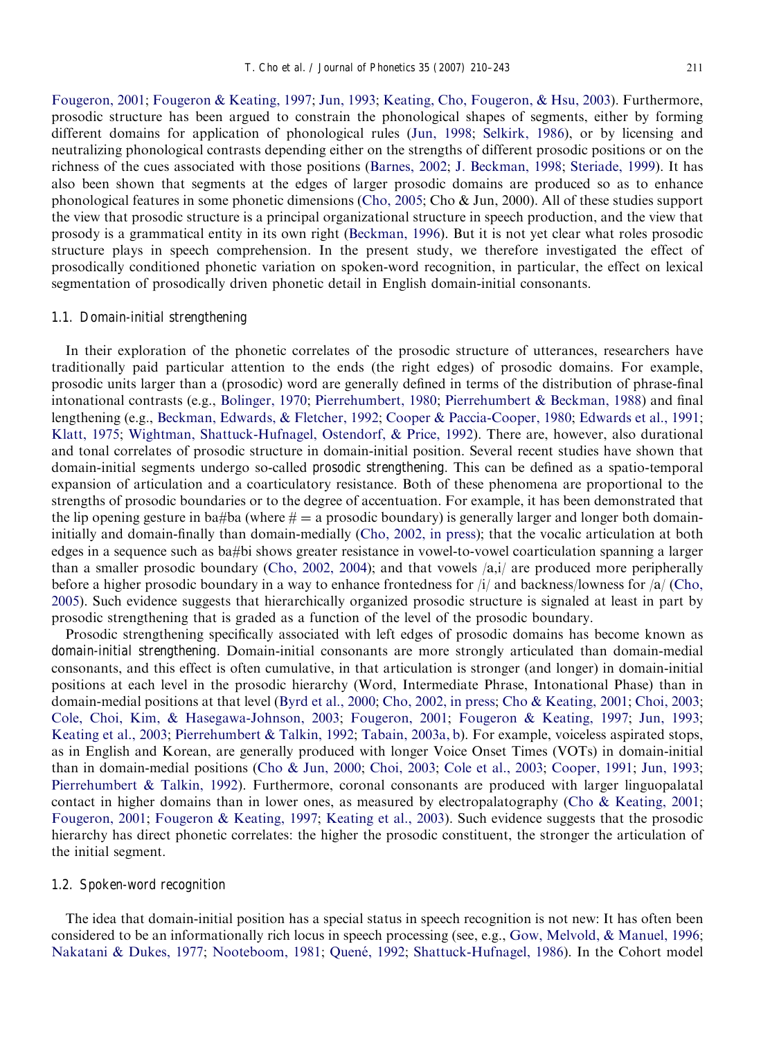[Fougeron, 2001;](#page-31-0) [Fougeron & Keating, 1997](#page-31-0); [Jun, 1993;](#page-32-0) [Keating, Cho, Fougeron, & Hsu, 2003\)](#page-32-0). Furthermore, prosodic structure has been argued to constrain the phonological shapes of segments, either by forming different domains for application of phonological rules [\(Jun, 1998;](#page-32-0) [Selkirk, 1986\)](#page-33-0), or by licensing and neutralizing phonological contrasts depending either on the strengths of different prosodic positions or on the richness of the cues associated with those positions ([Barnes, 2002;](#page-30-0) [J. Beckman, 1998](#page-30-0); [Steriade, 1999\)](#page-33-0). It has also been shown that segments at the edges of larger prosodic domains are produced so as to enhance phonological features in some phonetic dimensions ([Cho, 2005](#page-31-0); Cho & Jun, 2000). All of these studies support the view that prosodic structure is a principal organizational structure in speech production, and the view that prosody is a grammatical entity in its own right [\(Beckman, 1996\)](#page-30-0). But it is not yet clear what roles prosodic structure plays in speech comprehension. In the present study, we therefore investigated the effect of prosodically conditioned phonetic variation on spoken-word recognition, in particular, the effect on lexical segmentation of prosodically driven phonetic detail in English domain-initial consonants.

#### 1.1. Domain-initial strengthening

In their exploration of the phonetic correlates of the prosodic structure of utterances, researchers have traditionally paid particular attention to the ends (the right edges) of prosodic domains. For example, prosodic units larger than a (prosodic) word are generally defined in terms of the distribution of phrase-final intonational contrasts (e.g., [Bolinger, 1970;](#page-31-0) [Pierrehumbert, 1980;](#page-33-0) [Pierrehumbert & Beckman, 1988\)](#page-33-0) and final lengthening (e.g., [Beckman, Edwards,](#page-30-0) & [Fletcher, 1992;](#page-30-0) [Cooper & Paccia-Cooper, 1980;](#page-31-0) [Edwards et al., 1991](#page-31-0); [Klatt, 1975;](#page-32-0) [Wightman, Shattuck-Hufnagel, Ostendorf, & Price, 1992\)](#page-33-0). There are, however, also durational and tonal correlates of prosodic structure in domain-initial position. Several recent studies have shown that domain-initial segments undergo so-called prosodic strengthening. This can be defined as a spatio-temporal expansion of articulation and a coarticulatory resistance. Both of these phenomena are proportional to the strengths of prosodic boundaries or to the degree of accentuation. For example, it has been demonstrated that the lip opening gesture in ba#ba (where  $# = a$  prosodic boundary) is generally larger and longer both domaininitially and domain-finally than domain-medially ([Cho, 2002, in press](#page-31-0)); that the vocalic articulation at both edges in a sequence such as ba#bi shows greater resistance in vowel-to-vowel coarticulation spanning a larger than a smaller prosodic boundary ([Cho, 2002, 2004\)](#page-31-0); and that vowels  $\langle a, i \rangle$  are produced more peripherally before a higher prosodic boundary in a way to enhance frontedness for /i/ and backness/lowness for /a/ [\(Cho,](#page-31-0) [2005\)](#page-31-0). Such evidence suggests that hierarchically organized prosodic structure is signaled at least in part by prosodic strengthening that is graded as a function of the level of the prosodic boundary.

Prosodic strengthening specifically associated with left edges of prosodic domains has become known as domain-initial strengthening. Domain-initial consonants are more strongly articulated than domain-medial consonants, and this effect is often cumulative, in that articulation is stronger (and longer) in domain-initial positions at each level in the prosodic hierarchy (Word, Intermediate Phrase, Intonational Phase) than in domain-medial positions at that level ([Byrd et al., 2000;](#page-31-0) [Cho, 2002, in press](#page-31-0); [Cho & Keating, 2001](#page-31-0); [Choi, 2003](#page-31-0); [Cole, Choi, Kim, & Hasegawa-Johnson, 2003;](#page-31-0) [Fougeron, 2001](#page-31-0); [Fougeron](#page-31-0) & [Keating, 1997;](#page-31-0) [Jun, 1993](#page-32-0); [Keating et al., 2003;](#page-32-0) [Pierrehumbert](#page-33-0) [& Talkin, 1992](#page-33-0); [Tabain, 2003a, b](#page-33-0)). For example, voiceless aspirated stops, as in English and Korean, are generally produced with longer Voice Onset Times (VOTs) in domain-initial than in domain-medial positions [\(Cho & Jun, 2000](#page-31-0); [Choi, 2003;](#page-31-0) [Cole et al., 2003;](#page-31-0) [Cooper, 1991;](#page-31-0) [Jun, 1993](#page-32-0); [Pierrehumbert & Talkin, 1992](#page-33-0)). Furthermore, coronal consonants are produced with larger linguopalatal contact in higher domains than in lower ones, as measured by electropalatography [\(Cho](#page-31-0) [& Keating, 2001](#page-31-0); [Fougeron, 2001;](#page-31-0) [Fougeron](#page-31-0) & [Keating, 1997](#page-31-0); [Keating et al., 2003](#page-32-0)). Such evidence suggests that the prosodic hierarchy has direct phonetic correlates: the higher the prosodic constituent, the stronger the articulation of the initial segment.

#### 1.2. Spoken-word recognition

The idea that domain-initial position has a special status in speech recognition is not new: It has often been considered to be an informationally rich locus in speech processing (see, e.g., [Gow, Melvold, & Manuel, 1996](#page-32-0); [Nakatani & Dukes, 1977;](#page-32-0) [Nooteboom, 1981;](#page-32-0) Quené, 1992; [Shattuck-Hufnagel, 1986](#page-33-0)). In the Cohort model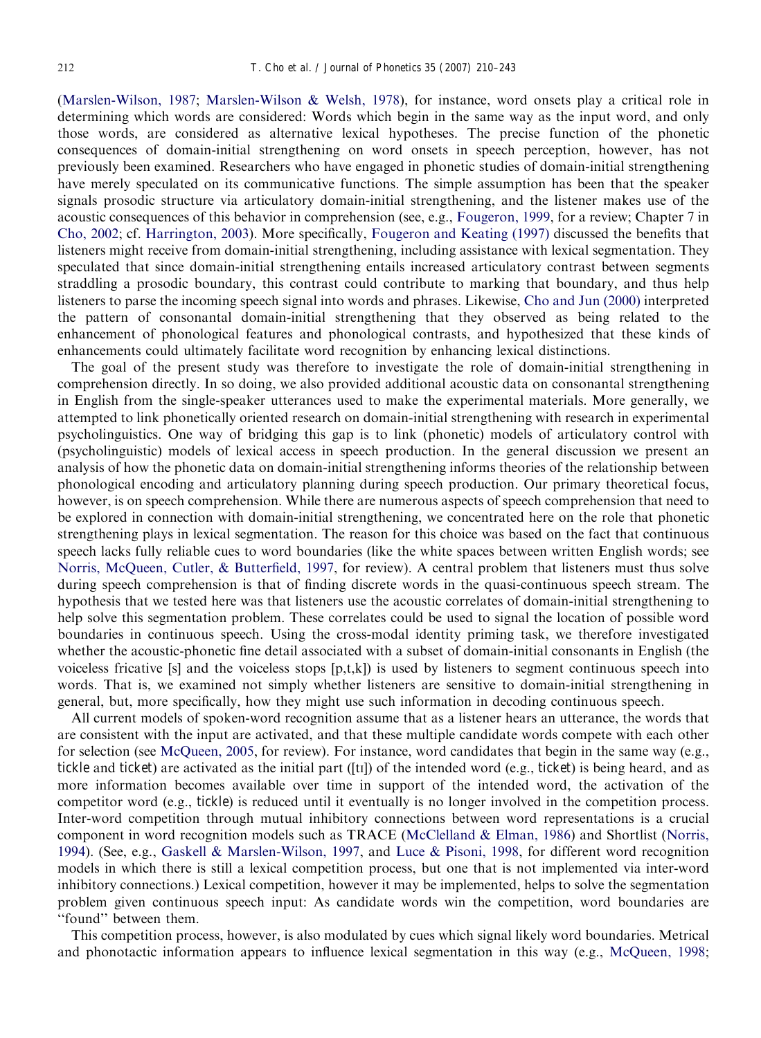([Marslen-Wilson, 1987](#page-32-0); [Marslen-Wilson](#page-32-0) [& Welsh, 1978](#page-32-0)), for instance, word onsets play a critical role in determining which words are considered: Words which begin in the same way as the input word, and only those words, are considered as alternative lexical hypotheses. The precise function of the phonetic consequences of domain-initial strengthening on word onsets in speech perception, however, has not previously been examined. Researchers who have engaged in phonetic studies of domain-initial strengthening have merely speculated on its communicative functions. The simple assumption has been that the speaker signals prosodic structure via articulatory domain-initial strengthening, and the listener makes use of the acoustic consequences of this behavior in comprehension (see, e.g., [Fougeron, 1999,](#page-31-0) for a review; Chapter 7 in [Cho, 2002;](#page-31-0) cf. [Harrington, 2003](#page-32-0)). More specifically, [Fougeron and Keating \(1997\)](#page-31-0) discussed the benefits that listeners might receive from domain-initial strengthening, including assistance with lexical segmentation. They speculated that since domain-initial strengthening entails increased articulatory contrast between segments straddling a prosodic boundary, this contrast could contribute to marking that boundary, and thus help listeners to parse the incoming speech signal into words and phrases. Likewise, [Cho and Jun \(2000\)](#page-31-0) interpreted the pattern of consonantal domain-initial strengthening that they observed as being related to the enhancement of phonological features and phonological contrasts, and hypothesized that these kinds of enhancements could ultimately facilitate word recognition by enhancing lexical distinctions.

The goal of the present study was therefore to investigate the role of domain-initial strengthening in comprehension directly. In so doing, we also provided additional acoustic data on consonantal strengthening in English from the single-speaker utterances used to make the experimental materials. More generally, we attempted to link phonetically oriented research on domain-initial strengthening with research in experimental psycholinguistics. One way of bridging this gap is to link (phonetic) models of articulatory control with (psycholinguistic) models of lexical access in speech production. In the general discussion we present an analysis of how the phonetic data on domain-initial strengthening informs theories of the relationship between phonological encoding and articulatory planning during speech production. Our primary theoretical focus, however, is on speech comprehension. While there are numerous aspects of speech comprehension that need to be explored in connection with domain-initial strengthening, we concentrated here on the role that phonetic strengthening plays in lexical segmentation. The reason for this choice was based on the fact that continuous speech lacks fully reliable cues to word boundaries (like the white spaces between written English words; see [Norris, McQueen, Cutler,](#page-33-0) [& Butterfield, 1997,](#page-33-0) for review). A central problem that listeners must thus solve during speech comprehension is that of finding discrete words in the quasi-continuous speech stream. The hypothesis that we tested here was that listeners use the acoustic correlates of domain-initial strengthening to help solve this segmentation problem. These correlates could be used to signal the location of possible word boundaries in continuous speech. Using the cross-modal identity priming task, we therefore investigated whether the acoustic-phonetic fine detail associated with a subset of domain-initial consonants in English (the voiceless fricative  $[s]$  and the voiceless stops  $[p,t,k]$  is used by listeners to segment continuous speech into words. That is, we examined not simply whether listeners are sensitive to domain-initial strengthening in general, but, more specifically, how they might use such information in decoding continuous speech.

All current models of spoken-word recognition assume that as a listener hears an utterance, the words that are consistent with the input are activated, and that these multiple candidate words compete with each other for selection (see [McQueen, 2005,](#page-32-0) for review). For instance, word candidates that begin in the same way (e.g., tickle and ticket) are activated as the initial part ([tI]) of the intended word (e.g., ticket) is being heard, and as more information becomes available over time in support of the intended word, the activation of the competitor word (e.g., tickle) is reduced until it eventually is no longer involved in the competition process. Inter-word competition through mutual inhibitory connections between word representations is a crucial component in word recognition models such as TRACE [\(McClelland & Elman, 1986](#page-32-0)) and Shortlist ([Norris,](#page-32-0) [1994](#page-32-0)). (See, e.g., [Gaskell](#page-31-0) & [Marslen-Wilson, 1997](#page-31-0), and [Luce & Pisoni, 1998](#page-32-0), for different word recognition models in which there is still a lexical competition process, but one that is not implemented via inter-word inhibitory connections.) Lexical competition, however it may be implemented, helps to solve the segmentation problem given continuous speech input: As candidate words win the competition, word boundaries are ''found'' between them.

This competition process, however, is also modulated by cues which signal likely word boundaries. Metrical and phonotactic information appears to influence lexical segmentation in this way (e.g., [McQueen, 1998;](#page-32-0)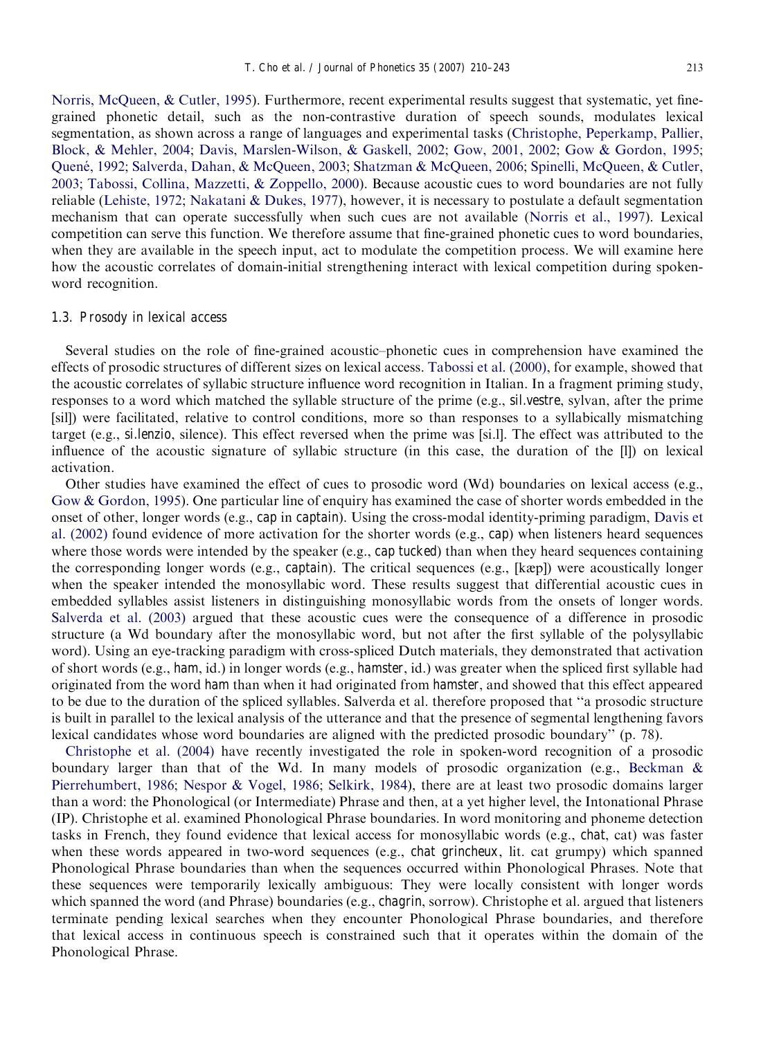[Norris, McQueen,](#page-33-0) [& Cutler, 1995](#page-33-0)). Furthermore, recent experimental results suggest that systematic, yet finegrained phonetic detail, such as the non-contrastive duration of speech sounds, modulates lexical segmentation, as shown across a range of languages and experimental tasks [\(Christophe, Peperkamp, Pallier,](#page-31-0) [Block, & Mehler, 2004](#page-31-0); [Davis, Marslen-Wilson,](#page-31-0) [& Gaskell, 2002](#page-31-0); [Gow, 2001, 2002;](#page-31-0) [Gow & Gordon, 1995](#page-32-0); Quené, 1992; [Salverda, Dahan, & McQueen, 2003;](#page-33-0) [Shatzman & McQueen, 2006;](#page-33-0) [Spinelli, McQueen,](#page-33-0) [& Cutler,](#page-33-0) [2003;](#page-33-0) [Tabossi, Collina, Mazzetti, & Zoppello, 2000\)](#page-33-0). Because acoustic cues to word boundaries are not fully reliable [\(Lehiste, 1972](#page-32-0); [Nakatani & Dukes, 1977\)](#page-32-0), however, it is necessary to postulate a default segmentation mechanism that can operate successfully when such cues are not available ([Norris et al., 1997\)](#page-33-0). Lexical competition can serve this function. We therefore assume that fine-grained phonetic cues to word boundaries, when they are available in the speech input, act to modulate the competition process. We will examine here how the acoustic correlates of domain-initial strengthening interact with lexical competition during spokenword recognition.

## 1.3. Prosody in lexical access

Several studies on the role of fine-grained acoustic–phonetic cues in comprehension have examined the effects of prosodic structures of different sizes on lexical access. [Tabossi et al. \(2000\)](#page-33-0), for example, showed that the acoustic correlates of syllabic structure influence word recognition in Italian. In a fragment priming study, responses to a word which matched the syllable structure of the prime (e.g., sil.vestre, sylvan, after the prime [sil]) were facilitated, relative to control conditions, more so than responses to a syllabically mismatching target (e.g., si.lenzio, silence). This effect reversed when the prime was [si.l]. The effect was attributed to the influence of the acoustic signature of syllabic structure (in this case, the duration of the [l]) on lexical activation.

Other studies have examined the effect of cues to prosodic word (Wd) boundaries on lexical access (e.g., [Gow](#page-32-0) & [Gordon, 1995](#page-32-0)). One particular line of enquiry has examined the case of shorter words embedded in the onset of other, longer words (e.g., cap in captain). Using the cross-modal identity-priming paradigm, [Davis et](#page-31-0) [al. \(2002\)](#page-31-0) found evidence of more activation for the shorter words (e.g., cap) when listeners heard sequences where those words were intended by the speaker (e.g., cap tucked) than when they heard sequences containing the corresponding longer words (e.g., captain). The critical sequences (e.g., [kæp]) were acoustically longer when the speaker intended the monosyllabic word. These results suggest that differential acoustic cues in embedded syllables assist listeners in distinguishing monosyllabic words from the onsets of longer words. [Salverda et al. \(2003\)](#page-33-0) argued that these acoustic cues were the consequence of a difference in prosodic structure (a Wd boundary after the monosyllabic word, but not after the first syllable of the polysyllabic word). Using an eye-tracking paradigm with cross-spliced Dutch materials, they demonstrated that activation of short words (e.g., ham, id.) in longer words (e.g., hamster, id.) was greater when the spliced first syllable had originated from the word ham than when it had originated from hamster, and showed that this effect appeared to be due to the duration of the spliced syllables. Salverda et al. therefore proposed that ''a prosodic structure is built in parallel to the lexical analysis of the utterance and that the presence of segmental lengthening favors lexical candidates whose word boundaries are aligned with the predicted prosodic boundary'' (p. 78).

[Christophe et al. \(2004\)](#page-31-0) have recently investigated the role in spoken-word recognition of a prosodic boundary larger than that of the Wd. In many models of prosodic organization (e.g., [Beckman](#page-30-0) & [Pierrehumbert, 1986;](#page-30-0) [Nespor](#page-32-0) & [Vogel, 1986;](#page-32-0) [Selkirk, 1984](#page-33-0)), there are at least two prosodic domains larger than a word: the Phonological (or Intermediate) Phrase and then, at a yet higher level, the Intonational Phrase (IP). Christophe et al. examined Phonological Phrase boundaries. In word monitoring and phoneme detection tasks in French, they found evidence that lexical access for monosyllabic words (e.g., chat, cat) was faster when these words appeared in two-word sequences (e.g., chat grincheux, lit. cat grumpy) which spanned Phonological Phrase boundaries than when the sequences occurred within Phonological Phrases. Note that these sequences were temporarily lexically ambiguous: They were locally consistent with longer words which spanned the word (and Phrase) boundaries (e.g., chagrin, sorrow). Christophe et al. argued that listeners terminate pending lexical searches when they encounter Phonological Phrase boundaries, and therefore that lexical access in continuous speech is constrained such that it operates within the domain of the Phonological Phrase.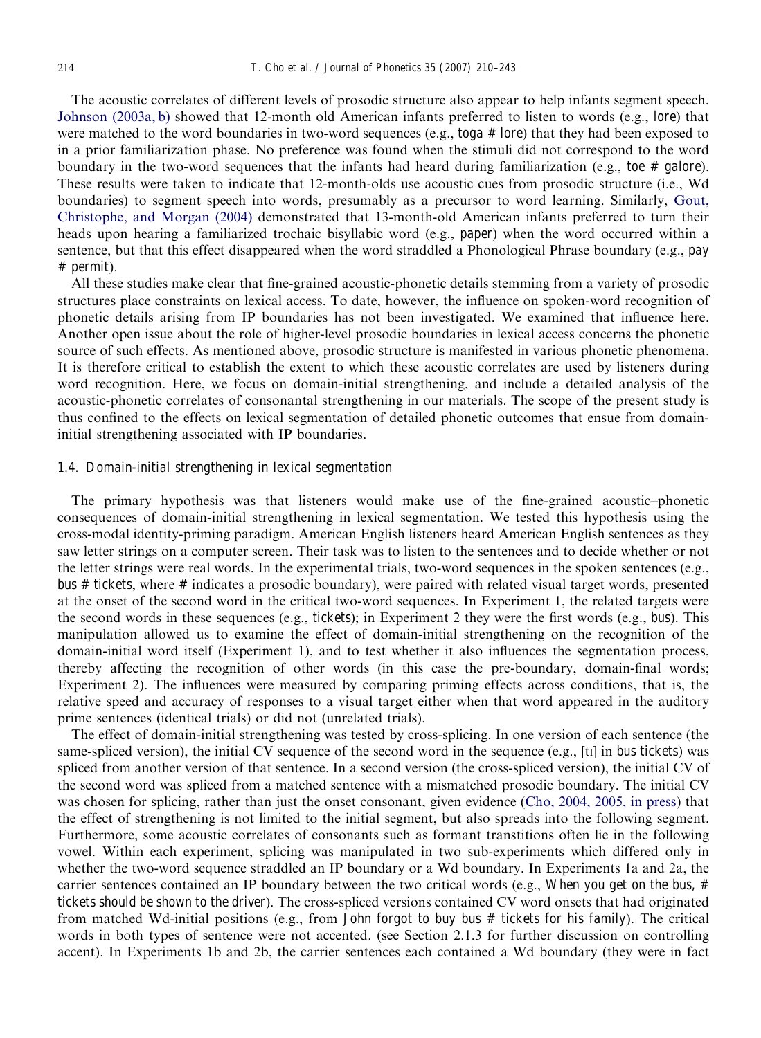The acoustic correlates of different levels of prosodic structure also appear to help infants segment speech. [Johnson \(2003a, b\)](#page-32-0) showed that 12-month old American infants preferred to listen to words (e.g., lore) that were matched to the word boundaries in two-word sequences (e.g., toga # lore) that they had been exposed to in a prior familiarization phase. No preference was found when the stimuli did not correspond to the word boundary in the two-word sequences that the infants had heard during familiarization (e.g., toe # galore). These results were taken to indicate that 12-month-olds use acoustic cues from prosodic structure (i.e., Wd boundaries) to segment speech into words, presumably as a precursor to word learning. Similarly, [Gout,](#page-31-0) [Christophe, and Morgan \(2004\)](#page-31-0) demonstrated that 13-month-old American infants preferred to turn their heads upon hearing a familiarized trochaic bisyllabic word (e.g., paper) when the word occurred within a sentence, but that this effect disappeared when the word straddled a Phonological Phrase boundary (e.g., pay # permit).

All these studies make clear that fine-grained acoustic-phonetic details stemming from a variety of prosodic structures place constraints on lexical access. To date, however, the influence on spoken-word recognition of phonetic details arising from IP boundaries has not been investigated. We examined that influence here. Another open issue about the role of higher-level prosodic boundaries in lexical access concerns the phonetic source of such effects. As mentioned above, prosodic structure is manifested in various phonetic phenomena. It is therefore critical to establish the extent to which these acoustic correlates are used by listeners during word recognition. Here, we focus on domain-initial strengthening, and include a detailed analysis of the acoustic-phonetic correlates of consonantal strengthening in our materials. The scope of the present study is thus confined to the effects on lexical segmentation of detailed phonetic outcomes that ensue from domaininitial strengthening associated with IP boundaries.

# 1.4. Domain-initial strengthening in lexical segmentation

The primary hypothesis was that listeners would make use of the fine-grained acoustic–phonetic consequences of domain-initial strengthening in lexical segmentation. We tested this hypothesis using the cross-modal identity-priming paradigm. American English listeners heard American English sentences as they saw letter strings on a computer screen. Their task was to listen to the sentences and to decide whether or not the letter strings were real words. In the experimental trials, two-word sequences in the spoken sentences (e.g., bus # tickets, where # indicates a prosodic boundary), were paired with related visual target words, presented at the onset of the second word in the critical two-word sequences. In Experiment 1, the related targets were the second words in these sequences (e.g., tickets); in Experiment 2 they were the first words (e.g., bus). This manipulation allowed us to examine the effect of domain-initial strengthening on the recognition of the domain-initial word itself (Experiment 1), and to test whether it also influences the segmentation process, thereby affecting the recognition of other words (in this case the pre-boundary, domain-final words; Experiment 2). The influences were measured by comparing priming effects across conditions, that is, the relative speed and accuracy of responses to a visual target either when that word appeared in the auditory prime sentences (identical trials) or did not (unrelated trials).

The effect of domain-initial strengthening was tested by cross-splicing. In one version of each sentence (the same-spliced version), the initial CV sequence of the second word in the sequence (e.g., [t] in bus tickets) was spliced from another version of that sentence. In a second version (the cross-spliced version), the initial CV of the second word was spliced from a matched sentence with a mismatched prosodic boundary. The initial CV was chosen for splicing, rather than just the onset consonant, given evidence ([Cho, 2004, 2005, in press\)](#page-31-0) that the effect of strengthening is not limited to the initial segment, but also spreads into the following segment. Furthermore, some acoustic correlates of consonants such as formant transtitions often lie in the following vowel. Within each experiment, splicing was manipulated in two sub-experiments which differed only in whether the two-word sequence straddled an IP boundary or a Wd boundary. In Experiments 1a and 2a, the carrier sentences contained an IP boundary between the two critical words (e.g., When you get on the bus, # tickets should be shown to the driver). The cross-spliced versions contained CV word onsets that had originated from matched Wd-initial positions (e.g., from John forgot to buy bus # tickets for his family). The critical words in both types of sentence were not accented. (see Section 2.1.3 for further discussion on controlling accent). In Experiments 1b and 2b, the carrier sentences each contained a Wd boundary (they were in fact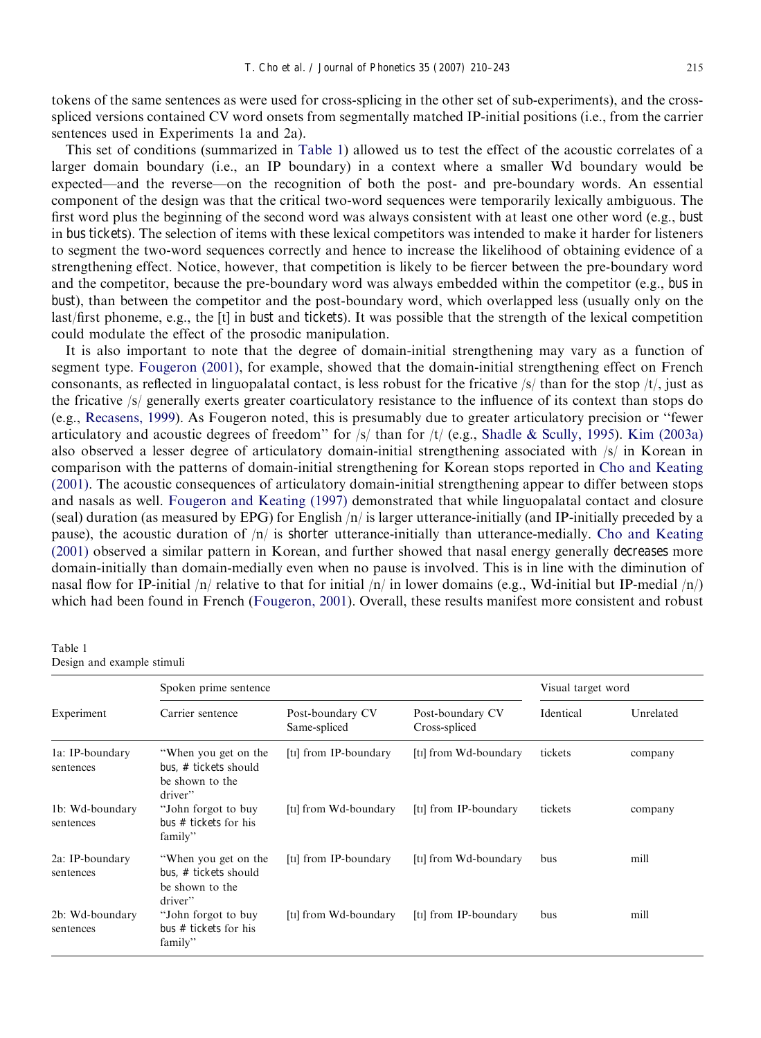<span id="page-5-0"></span>tokens of the same sentences as were used for cross-splicing in the other set of sub-experiments), and the crossspliced versions contained CV word onsets from segmentally matched IP-initial positions (i.e., from the carrier sentences used in Experiments 1a and 2a).

This set of conditions (summarized in Table 1) allowed us to test the effect of the acoustic correlates of a larger domain boundary (i.e., an IP boundary) in a context where a smaller Wd boundary would be expected—and the reverse—on the recognition of both the post- and pre-boundary words. An essential component of the design was that the critical two-word sequences were temporarily lexically ambiguous. The first word plus the beginning of the second word was always consistent with at least one other word (e.g., bust in bus tickets). The selection of items with these lexical competitors was intended to make it harder for listeners to segment the two-word sequences correctly and hence to increase the likelihood of obtaining evidence of a strengthening effect. Notice, however, that competition is likely to be fiercer between the pre-boundary word and the competitor, because the pre-boundary word was always embedded within the competitor (e.g., bus in bust), than between the competitor and the post-boundary word, which overlapped less (usually only on the last/first phoneme, e.g., the [t] in bust and tickets). It was possible that the strength of the lexical competition could modulate the effect of the prosodic manipulation.

It is also important to note that the degree of domain-initial strengthening may vary as a function of segment type. [Fougeron \(2001\)](#page-31-0), for example, showed that the domain-initial strengthening effect on French consonants, as reflected in linguopalatal contact, is less robust for the fricative  $|s|$  than for the stop  $|t|$ , just as the fricative /s/ generally exerts greater coarticulatory resistance to the influence of its context than stops do (e.g., [Recasens, 1999](#page-33-0)). As Fougeron noted, this is presumably due to greater articulatory precision or ''fewer articulatory and acoustic degrees of freedom'' for /s/ than for /t/ (e.g., [Shadle & Scully, 1995\)](#page-33-0). [Kim \(2003a\)](#page-32-0) also observed a lesser degree of articulatory domain-initial strengthening associated with /s/ in Korean in comparison with the patterns of domain-initial strengthening for Korean stops reported in [Cho and Keating](#page-31-0) [\(2001\)](#page-31-0). The acoustic consequences of articulatory domain-initial strengthening appear to differ between stops and nasals as well. [Fougeron and Keating \(1997\)](#page-31-0) demonstrated that while linguopalatal contact and closure (seal) duration (as measured by EPG) for English /n/ is larger utterance-initially (and IP-initially preceded by a pause), the acoustic duration of  $/n/$  is shorter utterance-initially than utterance-medially. [Cho and Keating](#page-31-0) [\(2001\)](#page-31-0) observed a similar pattern in Korean, and further showed that nasal energy generally decreases more domain-initially than domain-medially even when no pause is involved. This is in line with the diminution of nasal flow for IP-initial /n/ relative to that for initial /n/ in lower domains (e.g., Wd-initial but IP-medial /n/) which had been found in French [\(Fougeron, 2001](#page-31-0)). Overall, these results manifest more consistent and robust

| Table 1 |                            |  |
|---------|----------------------------|--|
|         | Design and example stimuli |  |

|                              | Spoken prime sentence                                                       | Visual target word               |                                   |           |           |
|------------------------------|-----------------------------------------------------------------------------|----------------------------------|-----------------------------------|-----------|-----------|
| Experiment                   | Carrier sentence                                                            | Post-boundary CV<br>Same-spliced | Post-boundary CV<br>Cross-spliced | Identical | Unrelated |
| la: IP-boundary<br>sentences | "When you get on the<br>bus, # tickets should<br>be shown to the<br>driver" | [ti] from IP-boundary            | [tɪ] from Wd-boundary             | tickets   | company   |
| 1b: Wd-boundary<br>sentences | "John forgot to buy"<br>bus # tickets for his<br>family"                    | [tɪ] from Wd-boundary            | [tɪ] from IP-boundary             | tickets   | company   |
| 2a: IP-boundary<br>sentences | "When you get on the<br>bus, # tickets should<br>be shown to the<br>driver" | [ti] from IP-boundary            | [tɪ] from Wd-boundary             | bus       | mill      |
| 2b: Wd-boundary<br>sentences | "John forgot to buy"<br>bus # tickets for his<br>family"                    | [tɪ] from Wd-boundary            | [tɪ] from IP-boundary             | bus       | mill      |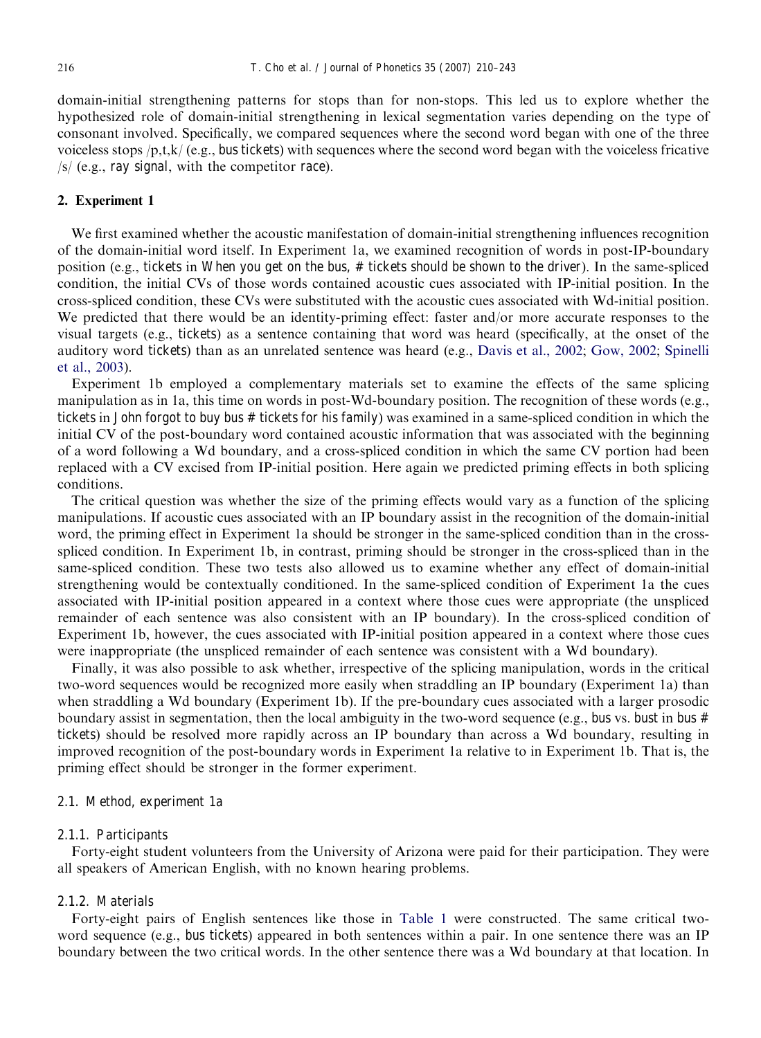domain-initial strengthening patterns for stops than for non-stops. This led us to explore whether the hypothesized role of domain-initial strengthening in lexical segmentation varies depending on the type of consonant involved. Specifically, we compared sequences where the second word began with one of the three voiceless stops /p,t,k/ (e.g., bus tickets) with sequences where the second word began with the voiceless fricative  $\sqrt{s}$  (e.g., ray signal, with the competitor race).

## 2. Experiment 1

We first examined whether the acoustic manifestation of domain-initial strengthening influences recognition of the domain-initial word itself. In Experiment 1a, we examined recognition of words in post-IP-boundary position (e.g., tickets in When you get on the bus, # tickets should be shown to the driver). In the same-spliced condition, the initial CVs of those words contained acoustic cues associated with IP-initial position. In the cross-spliced condition, these CVs were substituted with the acoustic cues associated with Wd-initial position. We predicted that there would be an identity-priming effect: faster and/or more accurate responses to the visual targets (e.g., tickets) as a sentence containing that word was heard (specifically, at the onset of the auditory word tickets) than as an unrelated sentence was heard (e.g., [Davis et al., 2002;](#page-31-0) [Gow, 2002;](#page-31-0) [Spinelli](#page-33-0) [et al., 2003\)](#page-33-0).

Experiment 1b employed a complementary materials set to examine the effects of the same splicing manipulation as in 1a, this time on words in post-Wd-boundary position. The recognition of these words (e.g., tickets in John forgot to buy bus # tickets for his family) was examined in a same-spliced condition in which the initial CV of the post-boundary word contained acoustic information that was associated with the beginning of a word following a Wd boundary, and a cross-spliced condition in which the same CV portion had been replaced with a CV excised from IP-initial position. Here again we predicted priming effects in both splicing conditions.

The critical question was whether the size of the priming effects would vary as a function of the splicing manipulations. If acoustic cues associated with an IP boundary assist in the recognition of the domain-initial word, the priming effect in Experiment 1a should be stronger in the same-spliced condition than in the crossspliced condition. In Experiment 1b, in contrast, priming should be stronger in the cross-spliced than in the same-spliced condition. These two tests also allowed us to examine whether any effect of domain-initial strengthening would be contextually conditioned. In the same-spliced condition of Experiment 1a the cues associated with IP-initial position appeared in a context where those cues were appropriate (the unspliced remainder of each sentence was also consistent with an IP boundary). In the cross-spliced condition of Experiment 1b, however, the cues associated with IP-initial position appeared in a context where those cues were inappropriate (the unspliced remainder of each sentence was consistent with a Wd boundary).

Finally, it was also possible to ask whether, irrespective of the splicing manipulation, words in the critical two-word sequences would be recognized more easily when straddling an IP boundary (Experiment 1a) than when straddling a Wd boundary (Experiment 1b). If the pre-boundary cues associated with a larger prosodic boundary assist in segmentation, then the local ambiguity in the two-word sequence (e.g., bus vs. bust in bus # tickets) should be resolved more rapidly across an IP boundary than across a Wd boundary, resulting in improved recognition of the post-boundary words in Experiment 1a relative to in Experiment 1b. That is, the priming effect should be stronger in the former experiment.

# 2.1. Method, experiment 1a

# 2.1.1. Participants

Forty-eight student volunteers from the University of Arizona were paid for their participation. They were all speakers of American English, with no known hearing problems.

# 2.1.2. Materials

Forty-eight pairs of English sentences like those in [Table 1](#page-5-0) were constructed. The same critical twoword sequence (e.g., bus tickets) appeared in both sentences within a pair. In one sentence there was an IP boundary between the two critical words. In the other sentence there was a Wd boundary at that location. In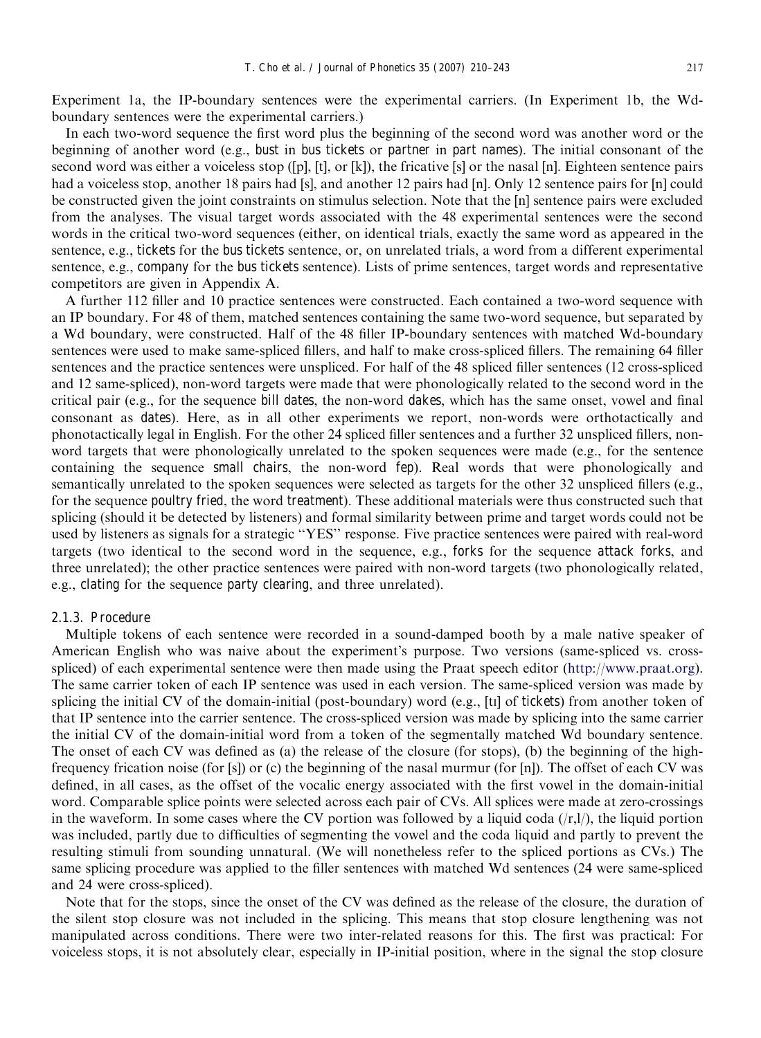Experiment 1a, the IP-boundary sentences were the experimental carriers. (In Experiment 1b, the Wdboundary sentences were the experimental carriers.)

In each two-word sequence the first word plus the beginning of the second word was another word or the beginning of another word (e.g., bust in bus tickets or partner in part names). The initial consonant of the second word was either a voiceless stop ([p], [t], or [k]), the fricative [s] or the nasal [n]. Eighteen sentence pairs had a voiceless stop, another 18 pairs had [s], and another 12 pairs had [n]. Only 12 sentence pairs for [n] could be constructed given the joint constraints on stimulus selection. Note that the [n] sentence pairs were excluded from the analyses. The visual target words associated with the 48 experimental sentences were the second words in the critical two-word sequences (either, on identical trials, exactly the same word as appeared in the sentence, e.g., tickets for the bus tickets sentence, or, on unrelated trials, a word from a different experimental sentence, e.g., company for the bus tickets sentence). Lists of prime sentences, target words and representative competitors are given in Appendix A.

A further 112 filler and 10 practice sentences were constructed. Each contained a two-word sequence with an IP boundary. For 48 of them, matched sentences containing the same two-word sequence, but separated by a Wd boundary, were constructed. Half of the 48 filler IP-boundary sentences with matched Wd-boundary sentences were used to make same-spliced fillers, and half to make cross-spliced fillers. The remaining 64 filler sentences and the practice sentences were unspliced. For half of the 48 spliced filler sentences (12 cross-spliced and 12 same-spliced), non-word targets were made that were phonologically related to the second word in the critical pair (e.g., for the sequence bill dates, the non-word dakes, which has the same onset, vowel and final consonant as dates). Here, as in all other experiments we report, non-words were orthotactically and phonotactically legal in English. For the other 24 spliced filler sentences and a further 32 unspliced fillers, nonword targets that were phonologically unrelated to the spoken sequences were made (e.g., for the sentence containing the sequence small chairs, the non-word fep). Real words that were phonologically and semantically unrelated to the spoken sequences were selected as targets for the other 32 unspliced fillers (e.g., for the sequence poultry fried, the word treatment). These additional materials were thus constructed such that splicing (should it be detected by listeners) and formal similarity between prime and target words could not be used by listeners as signals for a strategic ''YES'' response. Five practice sentences were paired with real-word targets (two identical to the second word in the sequence, e.g., forks for the sequence attack forks, and three unrelated); the other practice sentences were paired with non-word targets (two phonologically related, e.g., clating for the sequence party clearing, and three unrelated).

# 2.1.3. Procedure

Multiple tokens of each sentence were recorded in a sound-damped booth by a male native speaker of American English who was naive about the experiment's purpose. Two versions (same-spliced vs. crossspliced) of each experimental sentence were then made using the Praat speech editor [\(http://www.praat.org](http://www.praat.org)). The same carrier token of each IP sentence was used in each version. The same-spliced version was made by splicing the initial CV of the domain-initial (post-boundary) word (e.g., [tI] of tickets) from another token of that IP sentence into the carrier sentence. The cross-spliced version was made by splicing into the same carrier the initial CV of the domain-initial word from a token of the segmentally matched Wd boundary sentence. The onset of each CV was defined as (a) the release of the closure (for stops), (b) the beginning of the highfrequency frication noise (for [s]) or (c) the beginning of the nasal murmur (for [n]). The offset of each CV was defined, in all cases, as the offset of the vocalic energy associated with the first vowel in the domain-initial word. Comparable splice points were selected across each pair of CVs. All splices were made at zero-crossings in the waveform. In some cases where the CV portion was followed by a liquid coda  $(|r,1\rangle)$ , the liquid portion was included, partly due to difficulties of segmenting the vowel and the coda liquid and partly to prevent the resulting stimuli from sounding unnatural. (We will nonetheless refer to the spliced portions as CVs.) The same splicing procedure was applied to the filler sentences with matched Wd sentences (24 were same-spliced and 24 were cross-spliced).

Note that for the stops, since the onset of the CV was defined as the release of the closure, the duration of the silent stop closure was not included in the splicing. This means that stop closure lengthening was not manipulated across conditions. There were two inter-related reasons for this. The first was practical: For voiceless stops, it is not absolutely clear, especially in IP-initial position, where in the signal the stop closure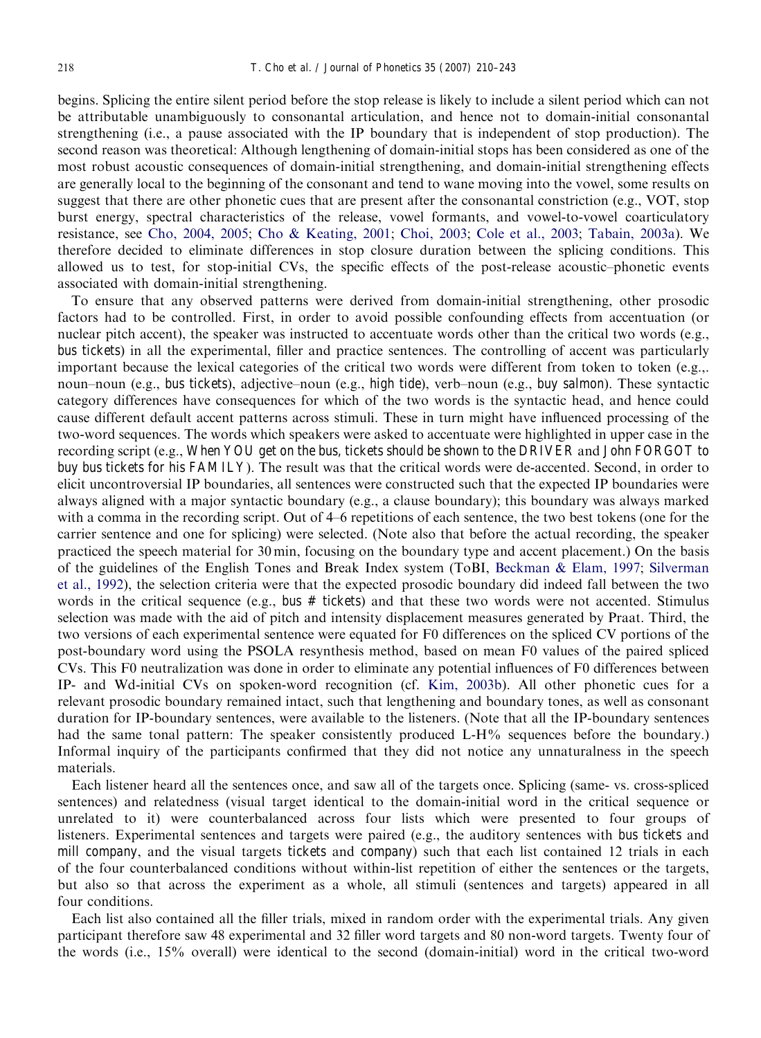begins. Splicing the entire silent period before the stop release is likely to include a silent period which can not be attributable unambiguously to consonantal articulation, and hence not to domain-initial consonantal strengthening (i.e., a pause associated with the IP boundary that is independent of stop production). The second reason was theoretical: Although lengthening of domain-initial stops has been considered as one of the most robust acoustic consequences of domain-initial strengthening, and domain-initial strengthening effects are generally local to the beginning of the consonant and tend to wane moving into the vowel, some results on suggest that there are other phonetic cues that are present after the consonantal constriction (e.g., VOT, stop burst energy, spectral characteristics of the release, vowel formants, and vowel-to-vowel coarticulatory resistance, see [Cho, 2004, 2005;](#page-31-0) [Cho & Keating, 2001;](#page-31-0) [Choi, 2003](#page-31-0); [Cole et al., 2003;](#page-31-0) [Tabain, 2003a\)](#page-33-0). We therefore decided to eliminate differences in stop closure duration between the splicing conditions. This allowed us to test, for stop-initial CVs, the specific effects of the post-release acoustic–phonetic events associated with domain-initial strengthening.

To ensure that any observed patterns were derived from domain-initial strengthening, other prosodic factors had to be controlled. First, in order to avoid possible confounding effects from accentuation (or nuclear pitch accent), the speaker was instructed to accentuate words other than the critical two words (e.g., bus tickets) in all the experimental, filler and practice sentences. The controlling of accent was particularly important because the lexical categories of the critical two words were different from token to token (e.g.,. noun–noun (e.g., bus tickets), adjective–noun (e.g., high tide), verb–noun (e.g., buy salmon). These syntactic category differences have consequences for which of the two words is the syntactic head, and hence could cause different default accent patterns across stimuli. These in turn might have influenced processing of the two-word sequences. The words which speakers were asked to accentuate were highlighted in upper case in the recording script (e.g., When YOU get on the bus, tickets should be shown to the DRIVER and John FORGOT to buy bus tickets for his FAMILY). The result was that the critical words were de-accented. Second, in order to elicit uncontroversial IP boundaries, all sentences were constructed such that the expected IP boundaries were always aligned with a major syntactic boundary (e.g., a clause boundary); this boundary was always marked with a comma in the recording script. Out of 4–6 repetitions of each sentence, the two best tokens (one for the carrier sentence and one for splicing) were selected. (Note also that before the actual recording, the speaker practiced the speech material for 30 min, focusing on the boundary type and accent placement.) On the basis of the guidelines of the English Tones and Break Index system (ToBI, [Beckman](#page-30-0) [& Elam, 1997](#page-30-0); [Silverman](#page-33-0) [et al., 1992](#page-33-0)), the selection criteria were that the expected prosodic boundary did indeed fall between the two words in the critical sequence (e.g., bus # tickets) and that these two words were not accented. Stimulus selection was made with the aid of pitch and intensity displacement measures generated by Praat. Third, the two versions of each experimental sentence were equated for F0 differences on the spliced CV portions of the post-boundary word using the PSOLA resynthesis method, based on mean F0 values of the paired spliced CVs. This F0 neutralization was done in order to eliminate any potential influences of F0 differences between IP- and Wd-initial CVs on spoken-word recognition (cf. [Kim, 2003b](#page-32-0)). All other phonetic cues for a relevant prosodic boundary remained intact, such that lengthening and boundary tones, as well as consonant duration for IP-boundary sentences, were available to the listeners. (Note that all the IP-boundary sentences had the same tonal pattern: The speaker consistently produced  $L-H\%$  sequences before the boundary.) Informal inquiry of the participants confirmed that they did not notice any unnaturalness in the speech materials.

Each listener heard all the sentences once, and saw all of the targets once. Splicing (same- vs. cross-spliced sentences) and relatedness (visual target identical to the domain-initial word in the critical sequence or unrelated to it) were counterbalanced across four lists which were presented to four groups of listeners. Experimental sentences and targets were paired (e.g., the auditory sentences with bus tickets and mill company, and the visual targets tickets and company) such that each list contained 12 trials in each of the four counterbalanced conditions without within-list repetition of either the sentences or the targets, but also so that across the experiment as a whole, all stimuli (sentences and targets) appeared in all four conditions.

Each list also contained all the filler trials, mixed in random order with the experimental trials. Any given participant therefore saw 48 experimental and 32 filler word targets and 80 non-word targets. Twenty four of the words (i.e., 15% overall) were identical to the second (domain-initial) word in the critical two-word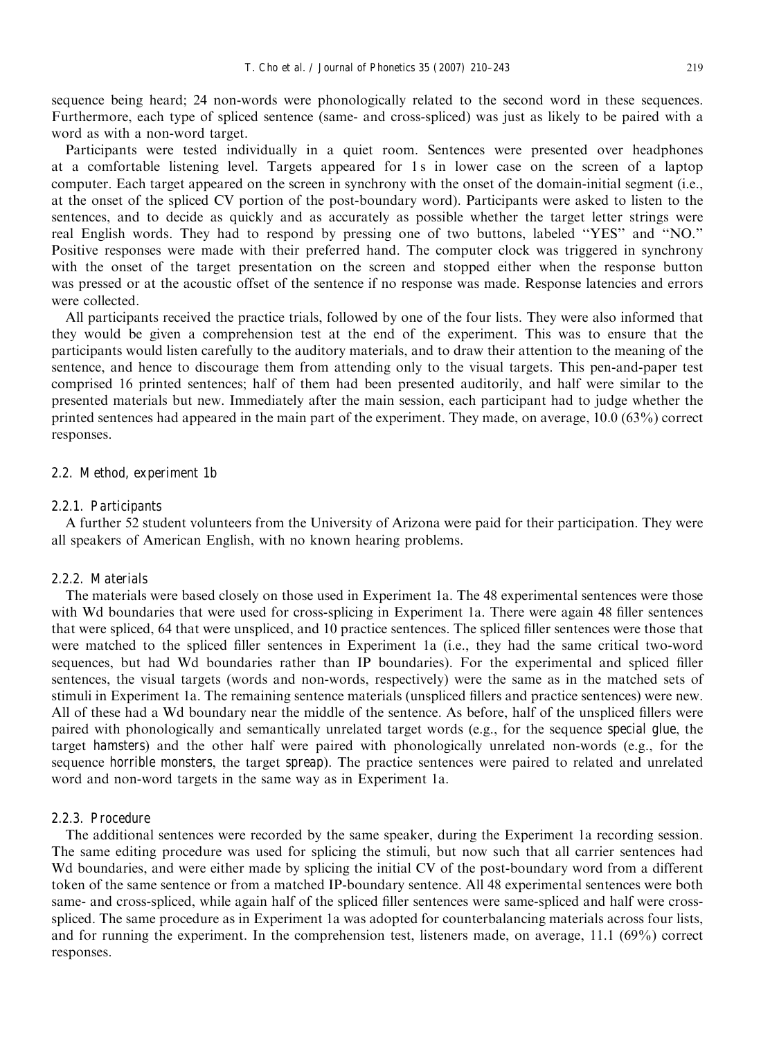sequence being heard; 24 non-words were phonologically related to the second word in these sequences. Furthermore, each type of spliced sentence (same- and cross-spliced) was just as likely to be paired with a word as with a non-word target.

Participants were tested individually in a quiet room. Sentences were presented over headphones at a comfortable listening level. Targets appeared for 1 s in lower case on the screen of a laptop computer. Each target appeared on the screen in synchrony with the onset of the domain-initial segment (i.e., at the onset of the spliced CV portion of the post-boundary word). Participants were asked to listen to the sentences, and to decide as quickly and as accurately as possible whether the target letter strings were real English words. They had to respond by pressing one of two buttons, labeled ''YES'' and ''NO.'' Positive responses were made with their preferred hand. The computer clock was triggered in synchrony with the onset of the target presentation on the screen and stopped either when the response button was pressed or at the acoustic offset of the sentence if no response was made. Response latencies and errors were collected.

All participants received the practice trials, followed by one of the four lists. They were also informed that they would be given a comprehension test at the end of the experiment. This was to ensure that the participants would listen carefully to the auditory materials, and to draw their attention to the meaning of the sentence, and hence to discourage them from attending only to the visual targets. This pen-and-paper test comprised 16 printed sentences; half of them had been presented auditorily, and half were similar to the presented materials but new. Immediately after the main session, each participant had to judge whether the printed sentences had appeared in the main part of the experiment. They made, on average, 10.0 (63%) correct responses.

#### 2.2. Method, experiment 1b

#### 2.2.1. Participants

A further 52 student volunteers from the University of Arizona were paid for their participation. They were all speakers of American English, with no known hearing problems.

## 2.2.2. Materials

The materials were based closely on those used in Experiment 1a. The 48 experimental sentences were those with Wd boundaries that were used for cross-splicing in Experiment 1a. There were again 48 filler sentences that were spliced, 64 that were unspliced, and 10 practice sentences. The spliced filler sentences were those that were matched to the spliced filler sentences in Experiment 1a (i.e., they had the same critical two-word sequences, but had Wd boundaries rather than IP boundaries). For the experimental and spliced filler sentences, the visual targets (words and non-words, respectively) were the same as in the matched sets of stimuli in Experiment 1a. The remaining sentence materials (unspliced fillers and practice sentences) were new. All of these had a Wd boundary near the middle of the sentence. As before, half of the unspliced fillers were paired with phonologically and semantically unrelated target words (e.g., for the sequence special glue, the target hamsters) and the other half were paired with phonologically unrelated non-words (e.g., for the sequence horrible monsters, the target spreap). The practice sentences were paired to related and unrelated word and non-word targets in the same way as in Experiment 1a.

#### 2.2.3. Procedure

The additional sentences were recorded by the same speaker, during the Experiment 1a recording session. The same editing procedure was used for splicing the stimuli, but now such that all carrier sentences had We boundaries, and were either made by splicing the initial CV of the post-boundary word from a different token of the same sentence or from a matched IP-boundary sentence. All 48 experimental sentences were both same- and cross-spliced, while again half of the spliced filler sentences were same-spliced and half were crossspliced. The same procedure as in Experiment 1a was adopted for counterbalancing materials across four lists, and for running the experiment. In the comprehension test, listeners made, on average, 11.1 (69%) correct responses.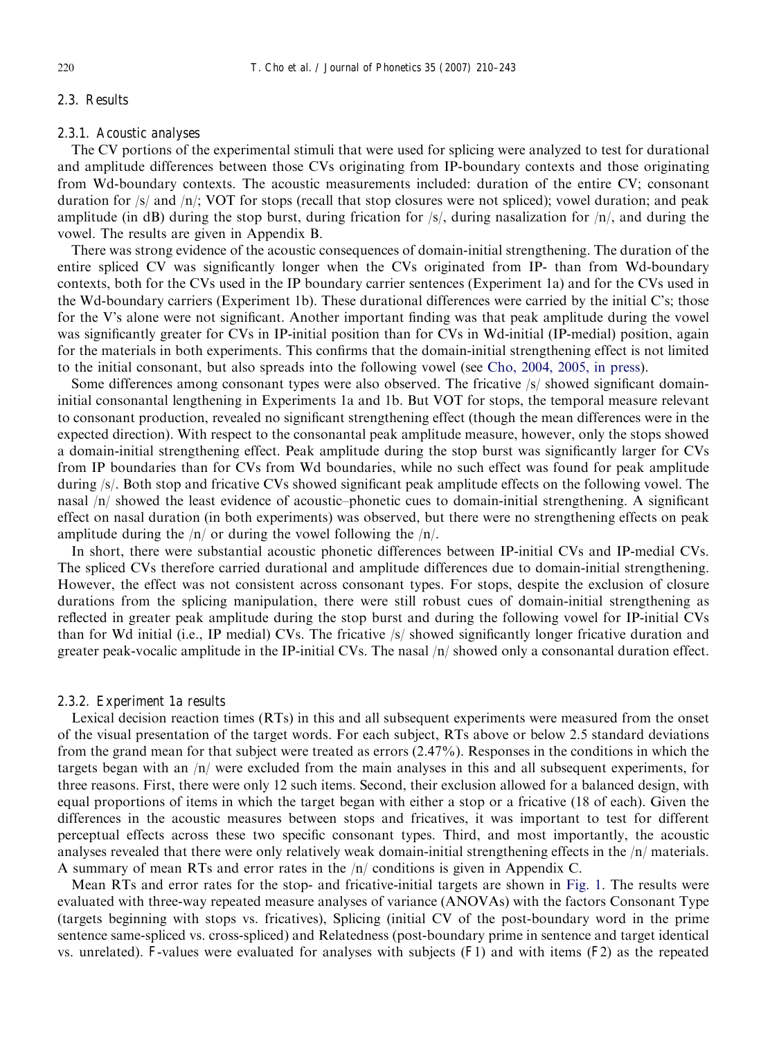#### 2.3. Results

#### 2.3.1. Acoustic analyses

The CV portions of the experimental stimuli that were used for splicing were analyzed to test for durational and amplitude differences between those CVs originating from IP-boundary contexts and those originating from Wd-boundary contexts. The acoustic measurements included: duration of the entire CV; consonant duration for  $|s|$  and  $|n|$ ; VOT for stops (recall that stop closures were not spliced); vowel duration; and peak amplitude (in dB) during the stop burst, during frication for  $\frac{s}{s}$ , during nasalization for  $\frac{n}{s}$ , and during the vowel. The results are given in Appendix B.

There was strong evidence of the acoustic consequences of domain-initial strengthening. The duration of the entire spliced CV was significantly longer when the CVs originated from IP- than from Wd-boundary contexts, both for the CVs used in the IP boundary carrier sentences (Experiment 1a) and for the CVs used in the Wd-boundary carriers (Experiment 1b). These durational differences were carried by the initial C's; those for the V's alone were not significant. Another important finding was that peak amplitude during the vowel was significantly greater for CVs in IP-initial position than for CVs in Wd-initial (IP-medial) position, again for the materials in both experiments. This confirms that the domain-initial strengthening effect is not limited to the initial consonant, but also spreads into the following vowel (see [Cho, 2004, 2005, in press\)](#page-31-0).

Some differences among consonant types were also observed. The fricative /s/ showed significant domaininitial consonantal lengthening in Experiments 1a and 1b. But VOT for stops, the temporal measure relevant to consonant production, revealed no significant strengthening effect (though the mean differences were in the expected direction). With respect to the consonantal peak amplitude measure, however, only the stops showed a domain-initial strengthening effect. Peak amplitude during the stop burst was significantly larger for CVs from IP boundaries than for CVs from Wd boundaries, while no such effect was found for peak amplitude during /s/. Both stop and fricative CVs showed significant peak amplitude effects on the following vowel. The nasal /n/ showed the least evidence of acoustic–phonetic cues to domain-initial strengthening. A significant effect on nasal duration (in both experiments) was observed, but there were no strengthening effects on peak amplitude during the  $/n/$  or during the vowel following the  $/n/$ .

In short, there were substantial acoustic phonetic differences between IP-initial CVs and IP-medial CVs. The spliced CVs therefore carried durational and amplitude differences due to domain-initial strengthening. However, the effect was not consistent across consonant types. For stops, despite the exclusion of closure durations from the splicing manipulation, there were still robust cues of domain-initial strengthening as reflected in greater peak amplitude during the stop burst and during the following vowel for IP-initial CVs than for Wd initial (i.e., IP medial) CVs. The fricative /s/ showed significantly longer fricative duration and greater peak-vocalic amplitude in the IP-initial CVs. The nasal /n/ showed only a consonantal duration effect.

#### 2.3.2. Experiment 1a results

Lexical decision reaction times (RTs) in this and all subsequent experiments were measured from the onset of the visual presentation of the target words. For each subject, RTs above or below 2.5 standard deviations from the grand mean for that subject were treated as errors (2.47%). Responses in the conditions in which the targets began with an /n/ were excluded from the main analyses in this and all subsequent experiments, for three reasons. First, there were only 12 such items. Second, their exclusion allowed for a balanced design, with equal proportions of items in which the target began with either a stop or a fricative (18 of each). Given the differences in the acoustic measures between stops and fricatives, it was important to test for different perceptual effects across these two specific consonant types. Third, and most importantly, the acoustic analyses revealed that there were only relatively weak domain-initial strengthening effects in the /n/ materials. A summary of mean RTs and error rates in the /n/ conditions is given in Appendix C.

Mean RTs and error rates for the stop- and fricative-initial targets are shown in [Fig. 1](#page-11-0). The results were evaluated with three-way repeated measure analyses of variance (ANOVAs) with the factors Consonant Type (targets beginning with stops vs. fricatives), Splicing (initial CV of the post-boundary word in the prime sentence same-spliced vs. cross-spliced) and Relatedness (post-boundary prime in sentence and target identical vs. unrelated). F-values were evaluated for analyses with subjects (F1) and with items (F2) as the repeated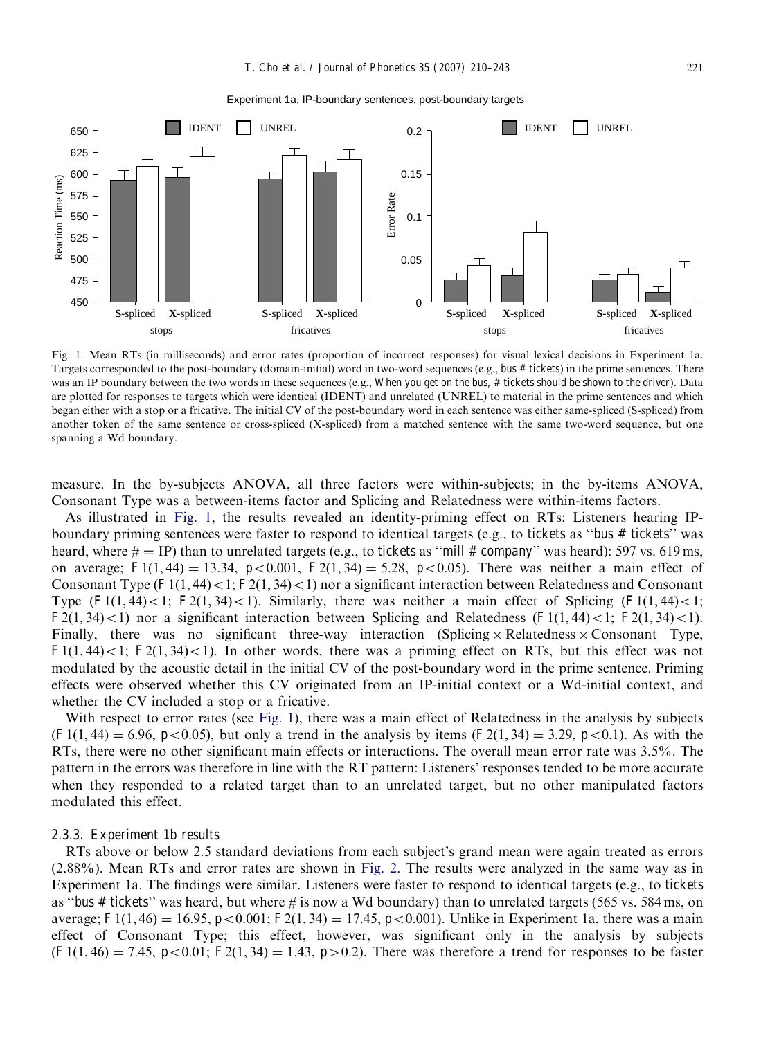<span id="page-11-0"></span>

Experiment 1a, IP-boundary sentences, post-boundary targets

Fig. 1. Mean RTs (in milliseconds) and error rates (proportion of incorrect responses) for visual lexical decisions in Experiment 1a. Targets corresponded to the post-boundary (domain-initial) word in two-word sequences (e.g., bus # tickets) in the prime sentences. There was an IP boundary between the two words in these sequences (e.g., When you get on the bus, # tickets should be shown to the driver). Data are plotted for responses to targets which were identical (IDENT) and unrelated (UNREL) to material in the prime sentences and which began either with a stop or a fricative. The initial CV of the post-boundary word in each sentence was either same-spliced (S-spliced) from another token of the same sentence or cross-spliced (X-spliced) from a matched sentence with the same two-word sequence, but one spanning a Wd boundary.

measure. In the by-subjects ANOVA, all three factors were within-subjects; in the by-items ANOVA, Consonant Type was a between-items factor and Splicing and Relatedness were within-items factors.

As illustrated in Fig. 1, the results revealed an identity-priming effect on RTs: Listeners hearing IPboundary priming sentences were faster to respond to identical targets (e.g., to tickets as ''bus # tickets'' was heard, where  $\# = IP$ ) than to unrelated targets (e.g., to tickets as "mill # company" was heard): 597 vs. 619 ms, on average; F1(1,44) = 13.34, p < 0.001, F2(1,34) = 5.28, p < 0.05). There was neither a main effect of Consonant Type  $(F1(1, 44) < 1; F2(1, 34) < 1)$  nor a significant interaction between Relatedness and Consonant Type (F1(1,44)<1; F2(1,34)<1). Similarly, there was neither a main effect of Splicing (F1(1,44)<1;  $F2(1, 34)$  nor a significant interaction between Splicing and Relatedness (F1 $(1, 44)$  < 1; F2 $(1, 34)$  < 1). Finally, there was no significant three-way interaction (Splicing  $\times$  Relatedness  $\times$  Consonant Type, F1 $(1, 44)$ <1; F2 $(1, 34)$ <1). In other words, there was a priming effect on RTs, but this effect was not modulated by the acoustic detail in the initial CV of the post-boundary word in the prime sentence. Priming effects were observed whether this CV originated from an IP-initial context or a Wd-initial context, and whether the CV included a stop or a fricative.

With respect to error rates (see Fig. 1), there was a main effect of Relatedness in the analysis by subjects  $(F1(1, 44) = 6.96, p < 0.05)$ , but only a trend in the analysis by items  $(F2(1, 34) = 3.29, p < 0.1)$ . As with the RTs, there were no other significant main effects or interactions. The overall mean error rate was 3.5%. The pattern in the errors was therefore in line with the RT pattern: Listeners' responses tended to be more accurate when they responded to a related target than to an unrelated target, but no other manipulated factors modulated this effect.

#### 2.3.3. Experiment 1b results

RTs above or below 2.5 standard deviations from each subject's grand mean were again treated as errors (2.88%). Mean RTs and error rates are shown in [Fig. 2.](#page-12-0) The results were analyzed in the same way as in Experiment 1a. The findings were similar. Listeners were faster to respond to identical targets (e.g., to tickets as "bus # tickets" was heard, but where  $\#$  is now a Wd boundary) than to unrelated targets (565 vs. 584 ms, on average; F1(1, 46) = 16.95, p < 0.001; F2(1, 34) = 17.45, p < 0.001). Unlike in Experiment 1a, there was a main effect of Consonant Type; this effect, however, was significant only in the analysis by subjects  $(F1(1, 46) = 7.45, p < 0.01; F2(1, 34) = 1.43, p > 0.2$ . There was therefore a trend for responses to be faster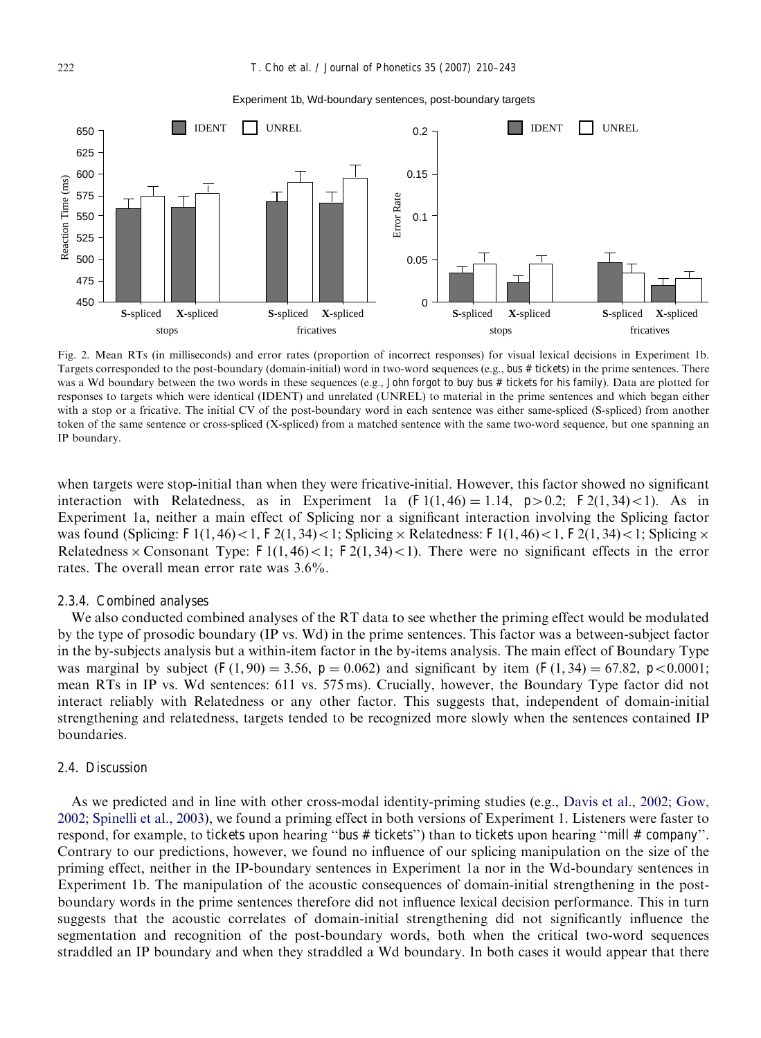

<span id="page-12-0"></span>

Fig. 2. Mean RTs (in milliseconds) and error rates (proportion of incorrect responses) for visual lexical decisions in Experiment 1b. Targets corresponded to the post-boundary (domain-initial) word in two-word sequences (e.g., bus # tickets) in the prime sentences. There was a Wd boundary between the two words in these sequences (e.g., John forgot to buy bus # tickets for his family). Data are plotted for responses to targets which were identical (IDENT) and unrelated (UNREL) to material in the prime sentences and which began either with a stop or a fricative. The initial CV of the post-boundary word in each sentence was either same-spliced (S-spliced) from another token of the same sentence or cross-spliced (X-spliced) from a matched sentence with the same two-word sequence, but one spanning an IP boundary.

when targets were stop-initial than when they were fricative-initial. However, this factor showed no significant interaction with Relatedness, as in Experiment 1a  $(F1(1, 46) = 1.14, p > 0.2; F2(1, 34) < 1$ . As in Experiment 1a, neither a main effect of Splicing nor a significant interaction involving the Splicing factor was found (Splicing: F1(1,46) < 1, F2(1,34) < 1; Splicing  $\times$  Relatedness: F1(1,46) < 1, F2(1,34) < 1; Splicing  $\times$ Relatedness  $\times$  Consonant Type: F1(1,46)<1; F2(1,34)<1). There were no significant effects in the error rates. The overall mean error rate was 3.6%.

#### 2.3.4. Combined analyses

We also conducted combined analyses of the RT data to see whether the priming effect would be modulated by the type of prosodic boundary (IP vs. Wd) in the prime sentences. This factor was a between-subject factor in the by-subjects analysis but a within-item factor in the by-items analysis. The main effect of Boundary Type was marginal by subject (F $(1, 90) = 3.56$ , p  $(6062)$  and significant by item (F $(1, 34) = 67.82$ , p $(60001)$ ; mean RTs in IP vs. Wd sentences: 611 vs. 575 ms). Crucially, however, the Boundary Type factor did not interact reliably with Relatedness or any other factor. This suggests that, independent of domain-initial strengthening and relatedness, targets tended to be recognized more slowly when the sentences contained IP boundaries.

#### 2.4. Discussion

As we predicted and in line with other cross-modal identity-priming studies (e.g., [Davis et al., 2002;](#page-31-0) [Gow,](#page-31-0) [2002](#page-31-0); [Spinelli et al., 2003](#page-33-0)), we found a priming effect in both versions of Experiment 1. Listeners were faster to respond, for example, to tickets upon hearing ''bus # tickets'') than to tickets upon hearing ''mill # company''. Contrary to our predictions, however, we found no influence of our splicing manipulation on the size of the priming effect, neither in the IP-boundary sentences in Experiment 1a nor in the Wd-boundary sentences in Experiment 1b. The manipulation of the acoustic consequences of domain-initial strengthening in the postboundary words in the prime sentences therefore did not influence lexical decision performance. This in turn suggests that the acoustic correlates of domain-initial strengthening did not significantly influence the segmentation and recognition of the post-boundary words, both when the critical two-word sequences straddled an IP boundary and when they straddled a Wd boundary. In both cases it would appear that there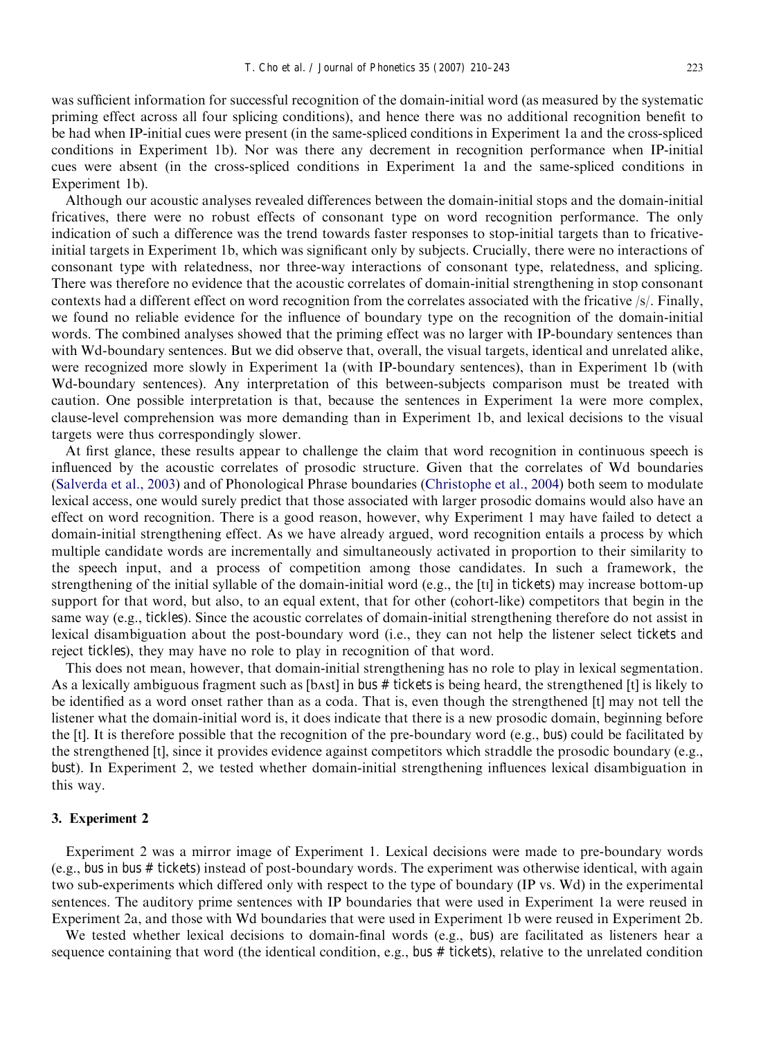was sufficient information for successful recognition of the domain-initial word (as measured by the systematic priming effect across all four splicing conditions), and hence there was no additional recognition benefit to be had when IP-initial cues were present (in the same-spliced conditions in Experiment 1a and the cross-spliced conditions in Experiment 1b). Nor was there any decrement in recognition performance when IP-initial cues were absent (in the cross-spliced conditions in Experiment 1a and the same-spliced conditions in Experiment 1b).

Although our acoustic analyses revealed differences between the domain-initial stops and the domain-initial fricatives, there were no robust effects of consonant type on word recognition performance. The only indication of such a difference was the trend towards faster responses to stop-initial targets than to fricativeinitial targets in Experiment 1b, which was significant only by subjects. Crucially, there were no interactions of consonant type with relatedness, nor three-way interactions of consonant type, relatedness, and splicing. There was therefore no evidence that the acoustic correlates of domain-initial strengthening in stop consonant contexts had a different effect on word recognition from the correlates associated with the fricative /s/. Finally, we found no reliable evidence for the influence of boundary type on the recognition of the domain-initial words. The combined analyses showed that the priming effect was no larger with IP-boundary sentences than with Wd-boundary sentences. But we did observe that, overall, the visual targets, identical and unrelated alike, were recognized more slowly in Experiment 1a (with IP-boundary sentences), than in Experiment 1b (with Wd-boundary sentences). Any interpretation of this between-subjects comparison must be treated with caution. One possible interpretation is that, because the sentences in Experiment 1a were more complex, clause-level comprehension was more demanding than in Experiment 1b, and lexical decisions to the visual targets were thus correspondingly slower.

At first glance, these results appear to challenge the claim that word recognition in continuous speech is influenced by the acoustic correlates of prosodic structure. Given that the correlates of Wd boundaries [\(Salverda et al., 2003\)](#page-33-0) and of Phonological Phrase boundaries [\(Christophe et al., 2004\)](#page-31-0) both seem to modulate lexical access, one would surely predict that those associated with larger prosodic domains would also have an effect on word recognition. There is a good reason, however, why Experiment 1 may have failed to detect a domain-initial strengthening effect. As we have already argued, word recognition entails a process by which multiple candidate words are incrementally and simultaneously activated in proportion to their similarity to the speech input, and a process of competition among those candidates. In such a framework, the strengthening of the initial syllable of the domain-initial word (e.g., the [tI] in tickets) may increase bottom-up support for that word, but also, to an equal extent, that for other (cohort-like) competitors that begin in the same way (e.g., tickles). Since the acoustic correlates of domain-initial strengthening therefore do not assist in lexical disambiguation about the post-boundary word (i.e., they can not help the listener select tickets and reject tickles), they may have no role to play in recognition of that word.

This does not mean, however, that domain-initial strengthening has no role to play in lexical segmentation. As a lexically ambiguous fragment such as [best] in bus # tickets is being heard, the strengthened [t] is likely to be identified as a word onset rather than as a coda. That is, even though the strengthened [t] may not tell the listener what the domain-initial word is, it does indicate that there is a new prosodic domain, beginning before the [t]. It is therefore possible that the recognition of the pre-boundary word (e.g., bus) could be facilitated by the strengthened [t], since it provides evidence against competitors which straddle the prosodic boundary (e.g., bust). In Experiment 2, we tested whether domain-initial strengthening influences lexical disambiguation in this way.

#### 3. Experiment 2

Experiment 2 was a mirror image of Experiment 1. Lexical decisions were made to pre-boundary words (e.g., bus in bus # tickets) instead of post-boundary words. The experiment was otherwise identical, with again two sub-experiments which differed only with respect to the type of boundary (IP vs. Wd) in the experimental sentences. The auditory prime sentences with IP boundaries that were used in Experiment 1a were reused in Experiment 2a, and those with Wd boundaries that were used in Experiment 1b were reused in Experiment 2b.

We tested whether lexical decisions to domain-final words (e.g., bus) are facilitated as listeners hear a sequence containing that word (the identical condition, e.g., bus # tickets), relative to the unrelated condition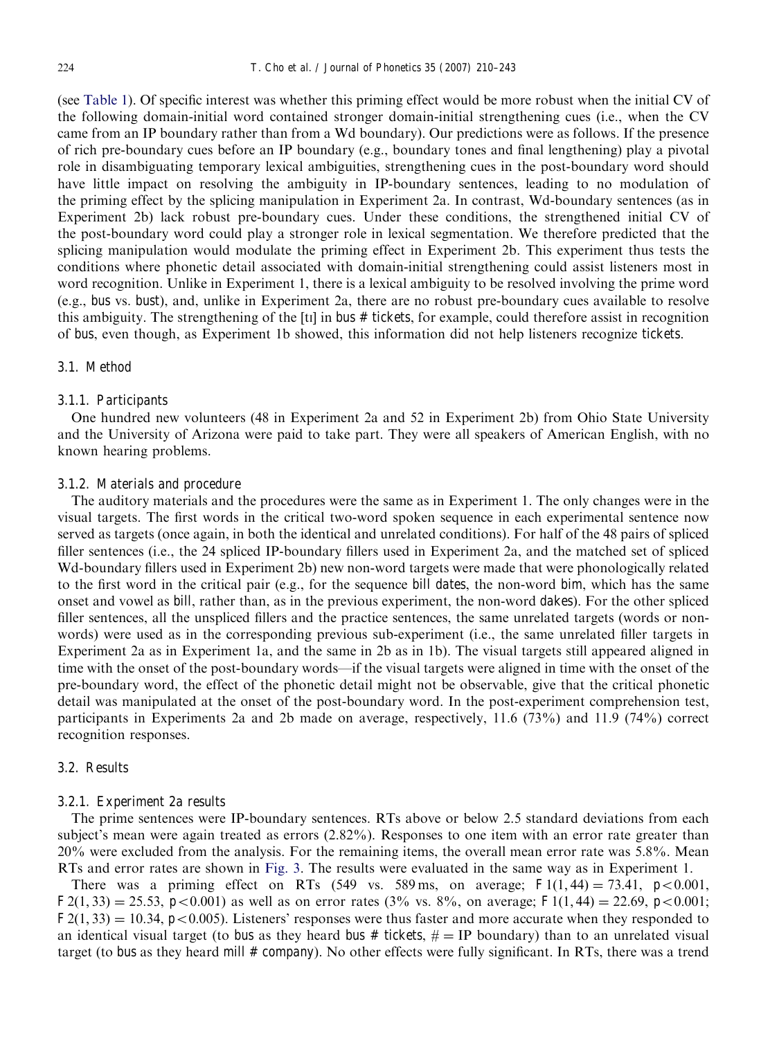(see [Table 1\)](#page-5-0). Of specific interest was whether this priming effect would be more robust when the initial CV of the following domain-initial word contained stronger domain-initial strengthening cues (i.e., when the CV came from an IP boundary rather than from a Wd boundary). Our predictions were as follows. If the presence of rich pre-boundary cues before an IP boundary (e.g., boundary tones and final lengthening) play a pivotal role in disambiguating temporary lexical ambiguities, strengthening cues in the post-boundary word should have little impact on resolving the ambiguity in IP-boundary sentences, leading to no modulation of the priming effect by the splicing manipulation in Experiment 2a. In contrast, Wd-boundary sentences (as in Experiment 2b) lack robust pre-boundary cues. Under these conditions, the strengthened initial CV of the post-boundary word could play a stronger role in lexical segmentation. We therefore predicted that the splicing manipulation would modulate the priming effect in Experiment 2b. This experiment thus tests the conditions where phonetic detail associated with domain-initial strengthening could assist listeners most in word recognition. Unlike in Experiment 1, there is a lexical ambiguity to be resolved involving the prime word (e.g., bus vs. bust), and, unlike in Experiment 2a, there are no robust pre-boundary cues available to resolve this ambiguity. The strengthening of the [tI] in bus # tickets, for example, could therefore assist in recognition of bus, even though, as Experiment 1b showed, this information did not help listeners recognize tickets.

#### 3.1. Method

#### 3.1.1. Participants

One hundred new volunteers (48 in Experiment 2a and 52 in Experiment 2b) from Ohio State University and the University of Arizona were paid to take part. They were all speakers of American English, with no known hearing problems.

#### 3.1.2. Materials and procedure

The auditory materials and the procedures were the same as in Experiment 1. The only changes were in the visual targets. The first words in the critical two-word spoken sequence in each experimental sentence now served as targets (once again, in both the identical and unrelated conditions). For half of the 48 pairs of spliced filler sentences (i.e., the 24 spliced IP-boundary fillers used in Experiment 2a, and the matched set of spliced Wd-boundary fillers used in Experiment 2b) new non-word targets were made that were phonologically related to the first word in the critical pair (e.g., for the sequence bill dates, the non-word bim, which has the same onset and vowel as bill, rather than, as in the previous experiment, the non-word dakes). For the other spliced filler sentences, all the unspliced fillers and the practice sentences, the same unrelated targets (words or nonwords) were used as in the corresponding previous sub-experiment (i.e., the same unrelated filler targets in Experiment 2a as in Experiment 1a, and the same in 2b as in 1b). The visual targets still appeared aligned in time with the onset of the post-boundary words—if the visual targets were aligned in time with the onset of the pre-boundary word, the effect of the phonetic detail might not be observable, give that the critical phonetic detail was manipulated at the onset of the post-boundary word. In the post-experiment comprehension test, participants in Experiments 2a and 2b made on average, respectively, 11.6 (73%) and 11.9 (74%) correct recognition responses.

#### 3.2. Results

# 3.2.1. Experiment 2a results

The prime sentences were IP-boundary sentences. RTs above or below 2.5 standard deviations from each subject's mean were again treated as errors (2.82%). Responses to one item with an error rate greater than 20% were excluded from the analysis. For the remaining items, the overall mean error rate was 5.8%. Mean RTs and error rates are shown in [Fig. 3.](#page-15-0) The results were evaluated in the same way as in Experiment 1.

There was a priming effect on RTs (549 vs. 589 ms, on average;  $F1(1,44) = 73.41$ ,  $p < 0.001$ ,  $F2(1, 33) = 25.53$ ,  $p < 0.001$ ) as well as on error rates (3% vs. 8%, on average; F1(1,44) = 22.69, p $< 0.001$ ;  $F2(1, 33) = 10.34$ , p < 0.005). Listeners' responses were thus faster and more accurate when they responded to an identical visual target (to bus as they heard bus # tickets,  $# = IP$  boundary) than to an unrelated visual target (to bus as they heard mill # company). No other effects were fully significant. In RTs, there was a trend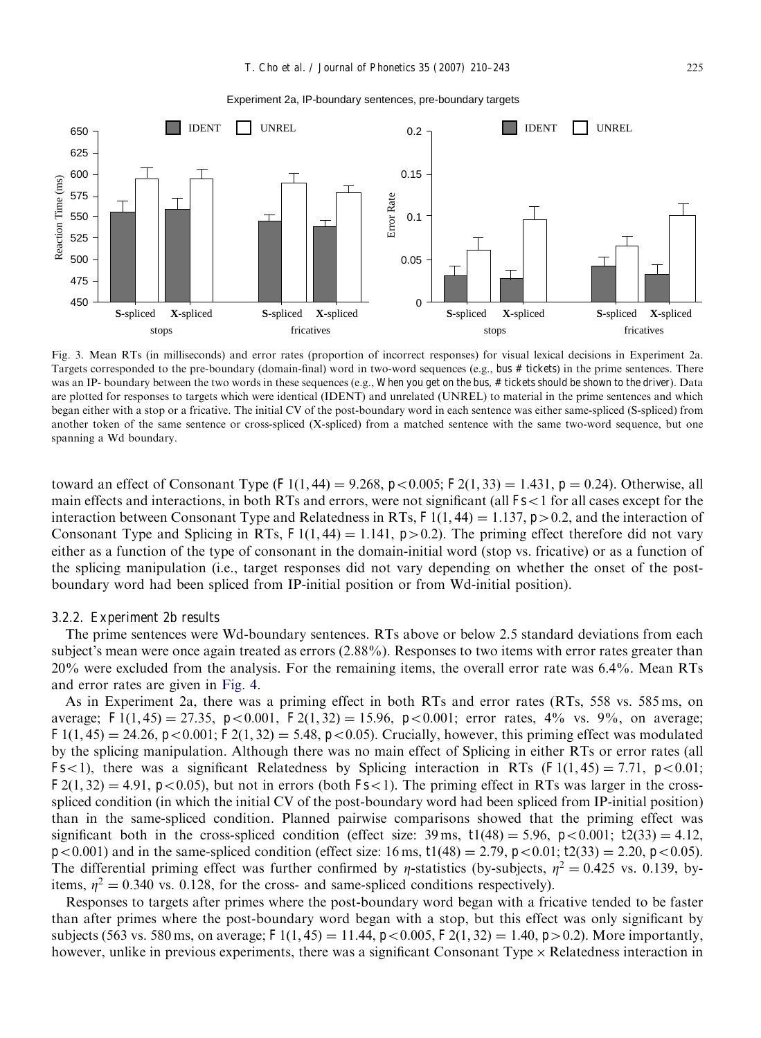<span id="page-15-0"></span>

Experiment 2a, IP-boundary sentences, pre-boundary targets

Fig. 3. Mean RTs (in milliseconds) and error rates (proportion of incorrect responses) for visual lexical decisions in Experiment 2a. Targets corresponded to the pre-boundary (domain-final) word in two-word sequences (e.g., bus # tickets) in the prime sentences. There was an IP- boundary between the two words in these sequences (e.g., When you get on the bus, # tickets should be shown to the driver). Data are plotted for responses to targets which were identical (IDENT) and unrelated (UNREL) to material in the prime sentences and which began either with a stop or a fricative. The initial CV of the post-boundary word in each sentence was either same-spliced (S-spliced) from another token of the same sentence or cross-spliced (X-spliced) from a matched sentence with the same two-word sequence, but one spanning a Wd boundary.

toward an effect of Consonant Type  $(F1(1, 44) = 9.268, p < 0.005; F2(1, 33) = 1.431, p = 0.24)$ . Otherwise, all main effects and interactions, in both RTs and errors, were not significant (all  $Fs < 1$  for all cases except for the interaction between Consonant Type and Relatedness in RTs,  $F1(1, 44) = 1.137$ ,  $p > 0.2$ , and the interaction of Consonant Type and Splicing in RTs,  $F1(1, 44) = 1.141$ ,  $p > 0.2$ ). The priming effect therefore did not vary either as a function of the type of consonant in the domain-initial word (stop vs. fricative) or as a function of the splicing manipulation (i.e., target responses did not vary depending on whether the onset of the postboundary word had been spliced from IP-initial position or from Wd-initial position).

#### 3.2.2. Experiment 2b results

The prime sentences were Wd-boundary sentences. RTs above or below 2.5 standard deviations from each subject's mean were once again treated as errors (2.88%). Responses to two items with error rates greater than 20% were excluded from the analysis. For the remaining items, the overall error rate was 6.4%. Mean RTs and error rates are given in [Fig. 4.](#page-16-0)

As in Experiment 2a, there was a priming effect in both RTs and error rates (RTs, 558 vs. 585 ms, on average; F1(1,45) = 27.35, p < 0.001, F2(1,32) = 15.96, p < 0.001; error rates, 4% vs. 9%, on average;  $F1(1, 45) = 24.26$ ,  $p < 0.001$ ;  $F2(1, 32) = 5.48$ ,  $p < 0.05$ ). Crucially, however, this priming effect was modulated by the splicing manipulation. Although there was no main effect of Splicing in either RTs or error rates (all Fs $<$ 1), there was a significant Relatedness by Splicing interaction in RTs (F1 $(1, 45) = 7.71$ , p $< 0.01$ ;  $F2(1,32) = 4.91$ , p $< 0.05$ ), but not in errors (both Fs $< 1$ ). The priming effect in RTs was larger in the crossspliced condition (in which the initial CV of the post-boundary word had been spliced from IP-initial position) than in the same-spliced condition. Planned pairwise comparisons showed that the priming effect was significant both in the cross-spliced condition (effect size:  $39 \text{ ms}$ ,  $t1(48) = 5.96$ ,  $p < 0.001$ ;  $t2(33) = 4.12$ ,  $p < 0.001$ ) and in the same-spliced condition (effect size: 16 ms, t1(48) = 2.79, p $< 0.01$ ; t2(33) = 2.20, p $< 0.05$ ). The differential priming effect was further confirmed by *n*-statistics (by-subjects,  $\eta^2 = 0.425$  vs. 0.139, byitems,  $\eta^2 = 0.340$  vs. 0.128, for the cross- and same-spliced conditions respectively).

Responses to targets after primes where the post-boundary word began with a fricative tended to be faster than after primes where the post-boundary word began with a stop, but this effect was only significant by subjects (563 vs. 580 ms, on average; F1(1, 45) = 11.44, p < 0.005, F2(1, 32) = 1.40, p > 0.2). More importantly, however, unlike in previous experiments, there was a significant Consonant Type  $\times$  Relatedness interaction in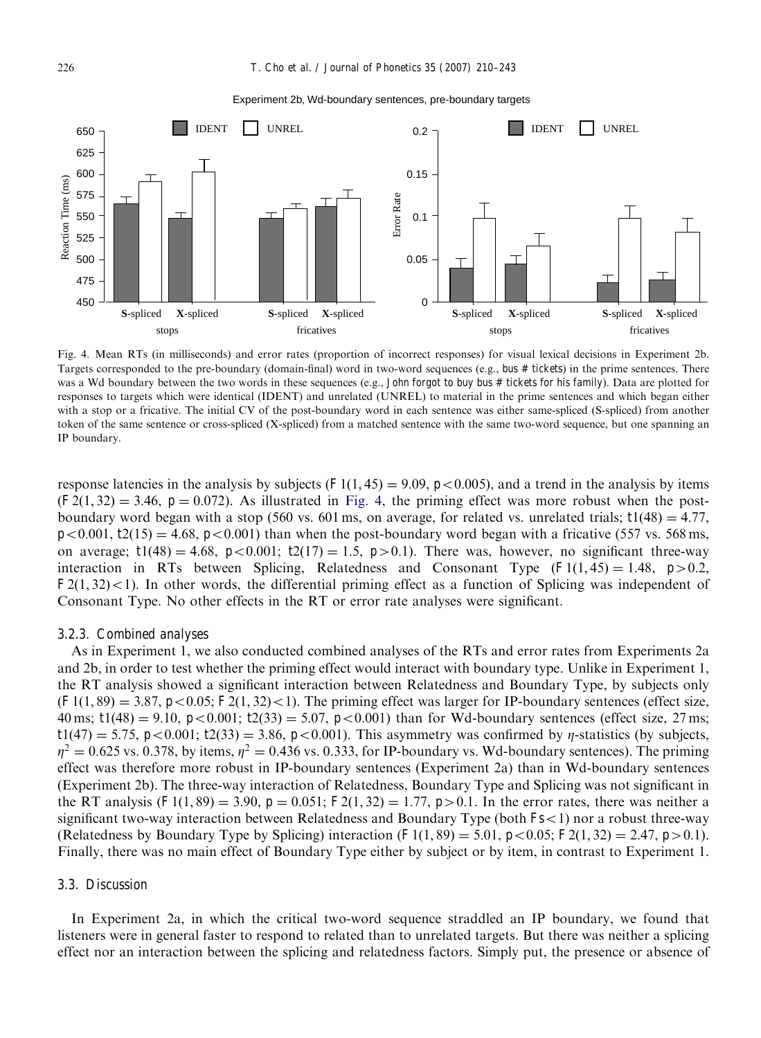<span id="page-16-0"></span>

Experiment 2b, Wd-boundary sentences, pre-boundary targets

Fig. 4. Mean RTs (in milliseconds) and error rates (proportion of incorrect responses) for visual lexical decisions in Experiment 2b. Targets corresponded to the pre-boundary (domain-final) word in two-word sequences (e.g., bus # tickets) in the prime sentences. There was a Wd boundary between the two words in these sequences (e.g., John forgot to buy bus # tickets for his family). Data are plotted for responses to targets which were identical (IDENT) and unrelated (UNREL) to material in the prime sentences and which began either with a stop or a fricative. The initial CV of the post-boundary word in each sentence was either same-spliced (S-spliced) from another token of the same sentence or cross-spliced (X-spliced) from a matched sentence with the same two-word sequence, but one spanning an IP boundary.

response latencies in the analysis by subjects (F1(1, 45) = 9.09,  $p < 0.005$ ), and a trend in the analysis by items  $(F2(1, 32) = 3.46$ ,  $p = 0.072$ ). As illustrated in Fig. 4, the priming effect was more robust when the postboundary word began with a stop (560 vs. 601 ms, on average, for related vs. unrelated trials;  $t1(48) = 4.77$ ,  $p<0.001$ , t2(15) = 4.68,  $p<0.001$ ) than when the post-boundary word began with a fricative (557 vs. 568 ms, on average;  $t1(48) = 4.68$ ,  $p < 0.001$ ;  $t2(17) = 1.5$ ,  $p > 0.1$ ). There was, however, no significant three-way interaction in RTs between Splicing, Relatedness and Consonant Type  $(F1(1, 45) = 1.48, p > 0.2,$  $F2(1, 32)$ <1). In other words, the differential priming effect as a function of Splicing was independent of Consonant Type. No other effects in the RT or error rate analyses were significant.

#### 3.2.3. Combined analyses

As in Experiment 1, we also conducted combined analyses of the RTs and error rates from Experiments 2a and 2b, in order to test whether the priming effect would interact with boundary type. Unlike in Experiment 1, the RTanalysis showed a significant interaction between Relatedness and Boundary Type, by subjects only  $(F1(1, 89) = 3.87, p < 0.05; F2(1, 32) < 1$ . The priming effect was larger for IP-boundary sentences (effect size, 40 ms;  $t1(48) = 9.10$ ,  $p < 0.001$ ;  $t2(33) = 5.07$ ,  $p < 0.001$ ) than for Wd-boundary sentences (effect size, 27 ms;  $t1(47) = 5.75$ , p $<0.001$ ; t2(33) = 3.86, p $<0.001$ . This asymmetry was confirmed by  $\eta$ -statistics (by subjects,  $\eta^2 = 0.625$  vs. 0.378, by items,  $\eta^2 = 0.436$  vs. 0.333, for IP-boundary vs. Wd-boundary sentences). The priming effect was therefore more robust in IP-boundary sentences (Experiment 2a) than in Wd-boundary sentences (Experiment 2b). The three-way interaction of Relatedness, Boundary Type and Splicing was not significant in the RT analysis (F1(1, 89) = 3.90, p = 0.051; F2(1, 32) = 1.77, p > 0.1. In the error rates, there was neither a significant two-way interaction between Relatedness and Boundary Type (both  $Fs<1$ ) nor a robust three-way (Relatedness by Boundary Type by Splicing) interaction (F1(1,89) = 5.01, p < 0.05; F2(1,32) = 2.47, p > 0.1). Finally, there was no main effect of Boundary Type either by subject or by item, in contrast to Experiment 1.

#### 3.3. Discussion

In Experiment 2a, in which the critical two-word sequence straddled an IP boundary, we found that listeners were in general faster to respond to related than to unrelated targets. But there was neither a splicing effect nor an interaction between the splicing and relatedness factors. Simply put, the presence or absence of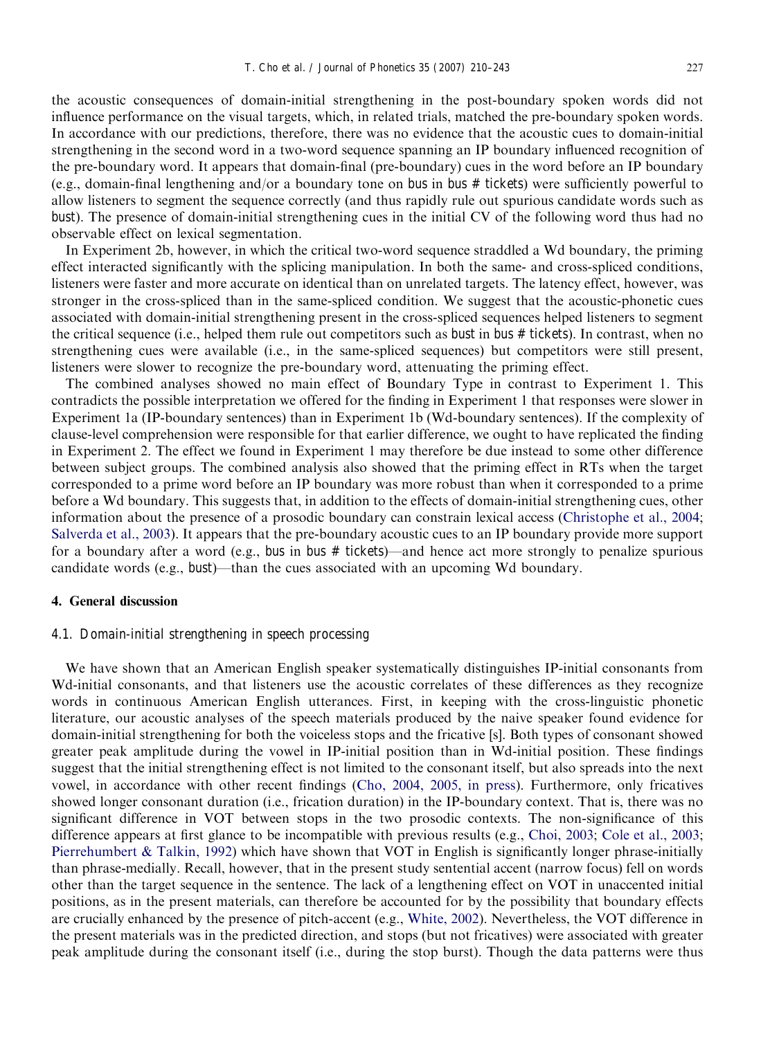the acoustic consequences of domain-initial strengthening in the post-boundary spoken words did not influence performance on the visual targets, which, in related trials, matched the pre-boundary spoken words. In accordance with our predictions, therefore, there was no evidence that the acoustic cues to domain-initial strengthening in the second word in a two-word sequence spanning an IP boundary influenced recognition of the pre-boundary word. It appears that domain-final (pre-boundary) cues in the word before an IP boundary (e.g., domain-final lengthening and/or a boundary tone on bus in bus # tickets) were sufficiently powerful to allow listeners to segment the sequence correctly (and thus rapidly rule out spurious candidate words such as bust). The presence of domain-initial strengthening cues in the initial CV of the following word thus had no observable effect on lexical segmentation.

In Experiment 2b, however, in which the critical two-word sequence straddled a Wd boundary, the priming effect interacted significantly with the splicing manipulation. In both the same- and cross-spliced conditions, listeners were faster and more accurate on identical than on unrelated targets. The latency effect, however, was stronger in the cross-spliced than in the same-spliced condition. We suggest that the acoustic-phonetic cues associated with domain-initial strengthening present in the cross-spliced sequences helped listeners to segment the critical sequence (i.e., helped them rule out competitors such as bust in bus # tickets). In contrast, when no strengthening cues were available (i.e., in the same-spliced sequences) but competitors were still present, listeners were slower to recognize the pre-boundary word, attenuating the priming effect.

The combined analyses showed no main effect of Boundary Type in contrast to Experiment 1. This contradicts the possible interpretation we offered for the finding in Experiment 1 that responses were slower in Experiment 1a (IP-boundary sentences) than in Experiment 1b (Wd-boundary sentences). If the complexity of clause-level comprehension were responsible for that earlier difference, we ought to have replicated the finding in Experiment 2. The effect we found in Experiment 1 may therefore be due instead to some other difference between subject groups. The combined analysis also showed that the priming effect in RTs when the target corresponded to a prime word before an IP boundary was more robust than when it corresponded to a prime before a Wd boundary. This suggests that, in addition to the effects of domain-initial strengthening cues, other information about the presence of a prosodic boundary can constrain lexical access ([Christophe et al., 2004](#page-31-0); [Salverda et al., 2003](#page-33-0)). It appears that the pre-boundary acoustic cues to an IP boundary provide more support for a boundary after a word (e.g., bus in bus # tickets)—and hence act more strongly to penalize spurious candidate words (e.g., bust)—than the cues associated with an upcoming Wd boundary.

#### 4. General discussion

#### 4.1. Domain-initial strengthening in speech processing

We have shown that an American English speaker systematically distinguishes IP-initial consonants from Wd-initial consonants, and that listeners use the acoustic correlates of these differences as they recognize words in continuous American English utterances. First, in keeping with the cross-linguistic phonetic literature, our acoustic analyses of the speech materials produced by the naive speaker found evidence for domain-initial strengthening for both the voiceless stops and the fricative [s]. Both types of consonant showed greater peak amplitude during the vowel in IP-initial position than in Wd-initial position. These findings suggest that the initial strengthening effect is not limited to the consonant itself, but also spreads into the next vowel, in accordance with other recent findings [\(Cho, 2004, 2005, in press\)](#page-31-0). Furthermore, only fricatives showed longer consonant duration (i.e., frication duration) in the IP-boundary context. That is, there was no significant difference in VOT between stops in the two prosodic contexts. The non-significance of this difference appears at first glance to be incompatible with previous results (e.g., [Choi, 2003;](#page-31-0) [Cole et al., 2003](#page-31-0); [Pierrehumbert](#page-33-0) [& Talkin, 1992\)](#page-33-0) which have shown that VOT in English is significantly longer phrase-initially than phrase-medially. Recall, however, that in the present study sentential accent (narrow focus) fell on words other than the target sequence in the sentence. The lack of a lengthening effect on VOT in unaccented initial positions, as in the present materials, can therefore be accounted for by the possibility that boundary effects are crucially enhanced by the presence of pitch-accent (e.g., [White, 2002\)](#page-33-0). Nevertheless, the VOT difference in the present materials was in the predicted direction, and stops (but not fricatives) were associated with greater peak amplitude during the consonant itself (i.e., during the stop burst). Though the data patterns were thus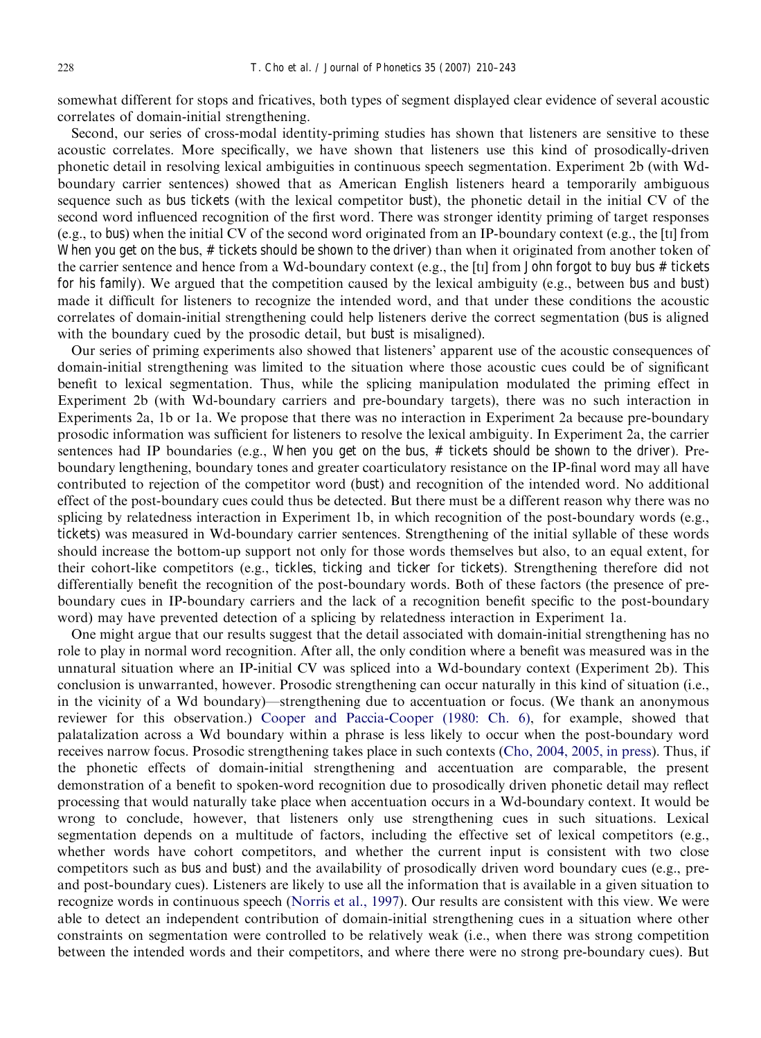somewhat different for stops and fricatives, both types of segment displayed clear evidence of several acoustic correlates of domain-initial strengthening.

Second, our series of cross-modal identity-priming studies has shown that listeners are sensitive to these acoustic correlates. More specifically, we have shown that listeners use this kind of prosodically-driven phonetic detail in resolving lexical ambiguities in continuous speech segmentation. Experiment 2b (with Wdboundary carrier sentences) showed that as American English listeners heard a temporarily ambiguous sequence such as bus tickets (with the lexical competitor bust), the phonetic detail in the initial CV of the second word influenced recognition of the first word. There was stronger identity priming of target responses (e.g., to bus) when the initial CV of the second word originated from an IP-boundary context (e.g., the [tI] from When you get on the bus, # tickets should be shown to the driver) than when it originated from another token of the carrier sentence and hence from a Wd-boundary context (e.g., the [tI] from John forgot to buy bus # tickets for his family). We argued that the competition caused by the lexical ambiguity (e.g., between bus and bust) made it difficult for listeners to recognize the intended word, and that under these conditions the acoustic correlates of domain-initial strengthening could help listeners derive the correct segmentation (bus is aligned with the boundary cued by the prosodic detail, but bust is misaligned).

Our series of priming experiments also showed that listeners' apparent use of the acoustic consequences of domain-initial strengthening was limited to the situation where those acoustic cues could be of significant benefit to lexical segmentation. Thus, while the splicing manipulation modulated the priming effect in Experiment 2b (with Wd-boundary carriers and pre-boundary targets), there was no such interaction in Experiments 2a, 1b or 1a. We propose that there was no interaction in Experiment 2a because pre-boundary prosodic information was sufficient for listeners to resolve the lexical ambiguity. In Experiment 2a, the carrier sentences had IP boundaries (e.g., When you get on the bus,  $#$  tickets should be shown to the driver). Preboundary lengthening, boundary tones and greater coarticulatory resistance on the IP-final word may all have contributed to rejection of the competitor word (bust) and recognition of the intended word. No additional effect of the post-boundary cues could thus be detected. But there must be a different reason why there was no splicing by relatedness interaction in Experiment 1b, in which recognition of the post-boundary words (e.g., tickets) was measured in Wd-boundary carrier sentences. Strengthening of the initial syllable of these words should increase the bottom-up support not only for those words themselves but also, to an equal extent, for their cohort-like competitors (e.g., tickles, ticking and ticker for tickets). Strengthening therefore did not differentially benefit the recognition of the post-boundary words. Both of these factors (the presence of preboundary cues in IP-boundary carriers and the lack of a recognition benefit specific to the post-boundary word) may have prevented detection of a splicing by relatedness interaction in Experiment 1a.

One might argue that our results suggest that the detail associated with domain-initial strengthening has no role to play in normal word recognition. After all, the only condition where a benefit was measured was in the unnatural situation where an IP-initial CV was spliced into a Wd-boundary context (Experiment 2b). This conclusion is unwarranted, however. Prosodic strengthening can occur naturally in this kind of situation (i.e., in the vicinity of a Wd boundary)—strengthening due to accentuation or focus. (We thank an anonymous reviewer for this observation.) [Cooper and Paccia-Cooper \(1980: Ch. 6\)](#page-31-0), for example, showed that palatalization across a Wd boundary within a phrase is less likely to occur when the post-boundary word receives narrow focus. Prosodic strengthening takes place in such contexts [\(Cho, 2004, 2005, in press](#page-31-0)). Thus, if the phonetic effects of domain-initial strengthening and accentuation are comparable, the present demonstration of a benefit to spoken-word recognition due to prosodically driven phonetic detail may reflect processing that would naturally take place when accentuation occurs in a Wd-boundary context. It would be wrong to conclude, however, that listeners only use strengthening cues in such situations. Lexical segmentation depends on a multitude of factors, including the effective set of lexical competitors (e.g., whether words have cohort competitors, and whether the current input is consistent with two close competitors such as bus and bust) and the availability of prosodically driven word boundary cues (e.g., preand post-boundary cues). Listeners are likely to use all the information that is available in a given situation to recognize words in continuous speech [\(Norris et al., 1997\)](#page-33-0). Our results are consistent with this view. We were able to detect an independent contribution of domain-initial strengthening cues in a situation where other constraints on segmentation were controlled to be relatively weak (i.e., when there was strong competition between the intended words and their competitors, and where there were no strong pre-boundary cues). But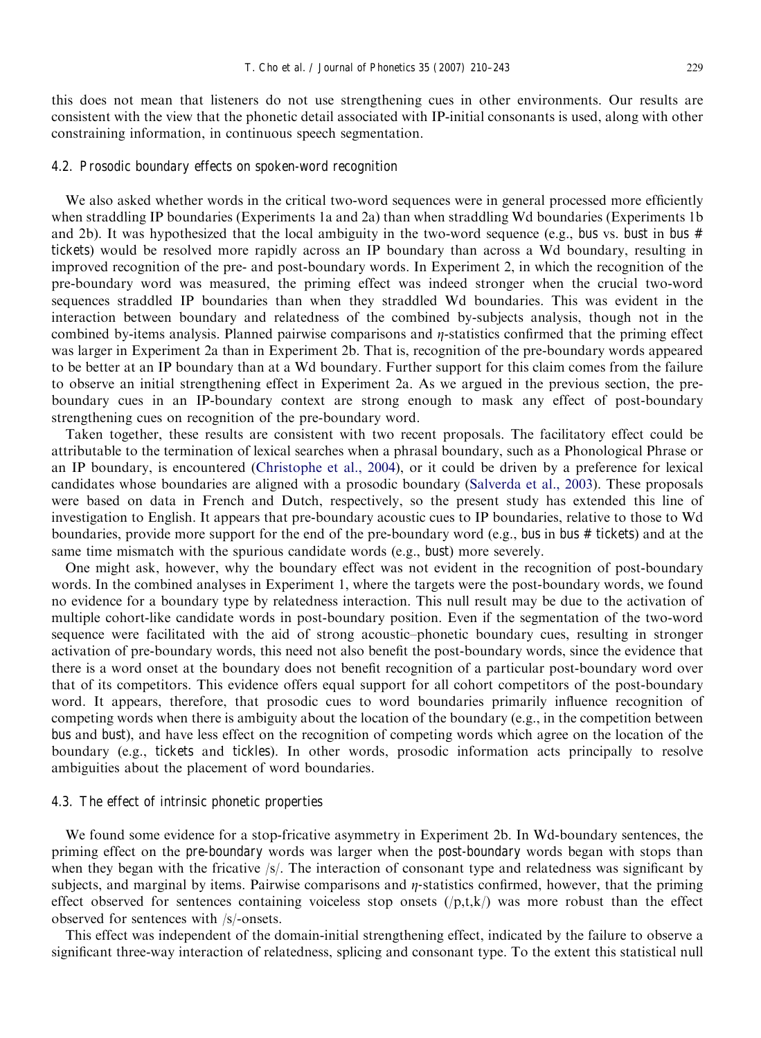this does not mean that listeners do not use strengthening cues in other environments. Our results are consistent with the view that the phonetic detail associated with IP-initial consonants is used, along with other constraining information, in continuous speech segmentation.

#### 4.2. Prosodic boundary effects on spoken-word recognition

We also asked whether words in the critical two-word sequences were in general processed more efficiently when straddling IP boundaries (Experiments 1a and 2a) than when straddling Wd boundaries (Experiments 1b and 2b). It was hypothesized that the local ambiguity in the two-word sequence (e.g., bus vs. bust in bus  $#$ tickets) would be resolved more rapidly across an IP boundary than across a Wd boundary, resulting in improved recognition of the pre- and post-boundary words. In Experiment 2, in which the recognition of the pre-boundary word was measured, the priming effect was indeed stronger when the crucial two-word sequences straddled IP boundaries than when they straddled Wd boundaries. This was evident in the interaction between boundary and relatedness of the combined by-subjects analysis, though not in the combined by-items analysis. Planned pairwise comparisons and  $\eta$ -statistics confirmed that the priming effect was larger in Experiment 2a than in Experiment 2b. That is, recognition of the pre-boundary words appeared to be better at an IP boundary than at a Wd boundary. Further support for this claim comes from the failure to observe an initial strengthening effect in Experiment 2a. As we argued in the previous section, the preboundary cues in an IP-boundary context are strong enough to mask any effect of post-boundary strengthening cues on recognition of the pre-boundary word.

Taken together, these results are consistent with two recent proposals. The facilitatory effect could be attributable to the termination of lexical searches when a phrasal boundary, such as a Phonological Phrase or an IP boundary, is encountered [\(Christophe et al., 2004\)](#page-31-0), or it could be driven by a preference for lexical candidates whose boundaries are aligned with a prosodic boundary [\(Salverda et al., 2003](#page-33-0)). These proposals were based on data in French and Dutch, respectively, so the present study has extended this line of investigation to English. It appears that pre-boundary acoustic cues to IP boundaries, relative to those to Wd boundaries, provide more support for the end of the pre-boundary word (e.g., bus in bus # tickets) and at the same time mismatch with the spurious candidate words (e.g., bust) more severely.

One might ask, however, why the boundary effect was not evident in the recognition of post-boundary words. In the combined analyses in Experiment 1, where the targets were the post-boundary words, we found no evidence for a boundary type by relatedness interaction. This null result may be due to the activation of multiple cohort-like candidate words in post-boundary position. Even if the segmentation of the two-word sequence were facilitated with the aid of strong acoustic–phonetic boundary cues, resulting in stronger activation of pre-boundary words, this need not also benefit the post-boundary words, since the evidence that there is a word onset at the boundary does not benefit recognition of a particular post-boundary word over that of its competitors. This evidence offers equal support for all cohort competitors of the post-boundary word. It appears, therefore, that prosodic cues to word boundaries primarily influence recognition of competing words when there is ambiguity about the location of the boundary (e.g., in the competition between bus and bust), and have less effect on the recognition of competing words which agree on the location of the boundary (e.g., tickets and tickles). In other words, prosodic information acts principally to resolve ambiguities about the placement of word boundaries.

#### 4.3. The effect of intrinsic phonetic properties

We found some evidence for a stop-fricative asymmetry in Experiment 2b. In Wd-boundary sentences, the priming effect on the pre-boundary words was larger when the post-boundary words began with stops than when they began with the fricative /s/. The interaction of consonant type and relatedness was significant by subjects, and marginal by items. Pairwise comparisons and  $\eta$ -statistics confirmed, however, that the priming effect observed for sentences containing voiceless stop onsets  $(p,t,k)$  was more robust than the effect observed for sentences with /s/-onsets.

This effect was independent of the domain-initial strengthening effect, indicated by the failure to observe a significant three-way interaction of relatedness, splicing and consonant type. To the extent this statistical null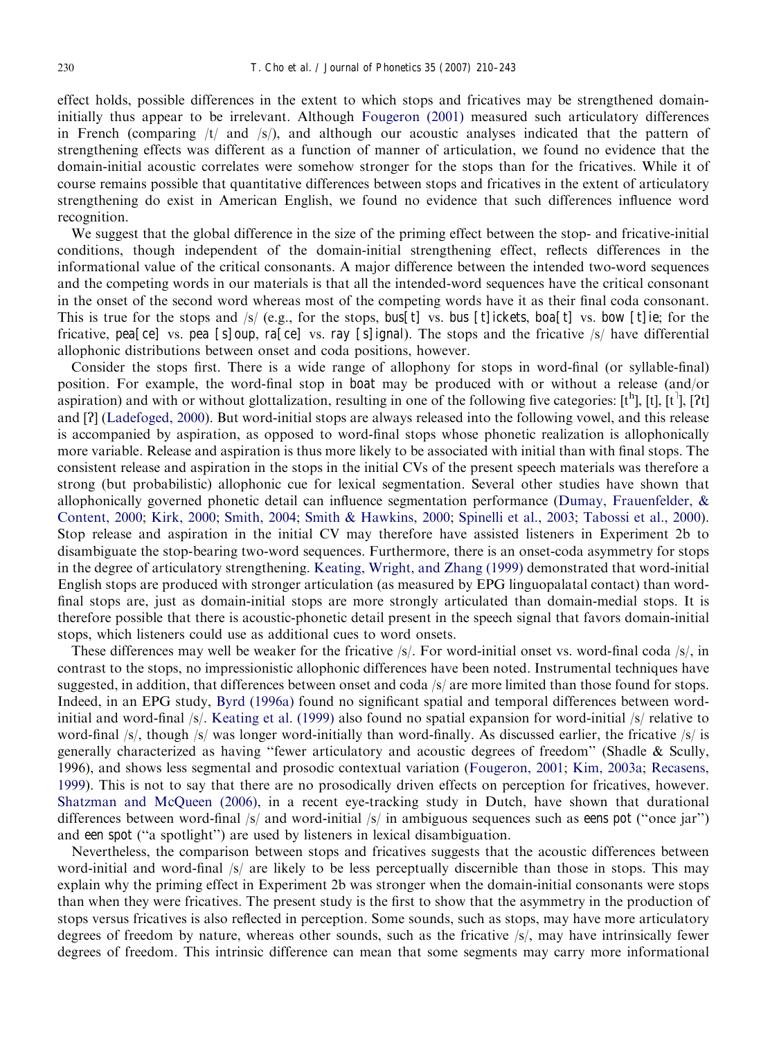effect holds, possible differences in the extent to which stops and fricatives may be strengthened domaininitially thus appear to be irrelevant. Although [Fougeron \(2001\)](#page-31-0) measured such articulatory differences in French (comparing  $|t|$  and  $|s|$ ), and although our acoustic analyses indicated that the pattern of strengthening effects was different as a function of manner of articulation, we found no evidence that the domain-initial acoustic correlates were somehow stronger for the stops than for the fricatives. While it of course remains possible that quantitative differences between stops and fricatives in the extent of articulatory strengthening do exist in American English, we found no evidence that such differences influence word recognition.

We suggest that the global difference in the size of the priming effect between the stop- and fricative-initial conditions, though independent of the domain-initial strengthening effect, reflects differences in the informational value of the critical consonants. A major difference between the intended two-word sequences and the competing words in our materials is that all the intended-word sequences have the critical consonant in the onset of the second word whereas most of the competing words have it as their final coda consonant. This is true for the stops and /s/ (e.g., for the stops, bus[t] vs. bus [t]ickets, boa[t] vs. bow [t]ie; for the fricative, pea [ce] vs. pea [s]oup, ra[ce] vs. ray [s]ignal). The stops and the fricative  $\frac{s}{s}$  have differential allophonic distributions between onset and coda positions, however.

Consider the stops first. There is a wide range of allophony for stops in word-final (or syllable-final) position. For example, the word-final stop in boat may be produced with or without a release (and/or aspiration) and with or without glottalization, resulting in one of the following five categories:  $[t^h]$ ,  $[t]$ ,  $[t^l]$ ,  $[t^l]$ ,  $[t^l]$ and [7] [\(Ladefoged, 2000\)](#page-32-0). But word-initial stops are always released into the following vowel, and this release is accompanied by aspiration, as opposed to word-final stops whose phonetic realization is allophonically more variable. Release and aspiration is thus more likely to be associated with initial than with final stops. The consistent release and aspiration in the stops in the initial CVs of the present speech materials was therefore a strong (but probabilistic) allophonic cue for lexical segmentation. Several other studies have shown that allophonically governed phonetic detail can influence segmentation performance [\(Dumay, Frauenfelder, &](#page-31-0) [Content, 2000;](#page-31-0) [Kirk, 2000;](#page-32-0) [Smith, 2004](#page-33-0); [Smith & Hawkins, 2000](#page-33-0); [Spinelli et al., 2003](#page-33-0); [Tabossi et al., 2000](#page-33-0)). Stop release and aspiration in the initial CV may therefore have assisted listeners in Experiment 2b to disambiguate the stop-bearing two-word sequences. Furthermore, there is an onset-coda asymmetry for stops in the degree of articulatory strengthening. [Keating, Wright, and Zhang \(1999\)](#page-32-0) demonstrated that word-initial English stops are produced with stronger articulation (as measured by EPG linguopalatal contact) than wordfinal stops are, just as domain-initial stops are more strongly articulated than domain-medial stops. It is therefore possible that there is acoustic-phonetic detail present in the speech signal that favors domain-initial stops, which listeners could use as additional cues to word onsets.

These differences may well be weaker for the fricative /s/. For word-initial onset vs. word-final coda /s/, in contrast to the stops, no impressionistic allophonic differences have been noted. Instrumental techniques have suggested, in addition, that differences between onset and coda /s/ are more limited than those found for stops. Indeed, in an EPG study, [Byrd \(1996a\)](#page-31-0) found no significant spatial and temporal differences between wordinitial and word-final /s/. [Keating et al. \(1999\)](#page-32-0) also found no spatial expansion for word-initial /s/ relative to word-final /s/, though /s/ was longer word-initially than word-finally. As discussed earlier, the fricative /s/ is generally characterized as having ''fewer articulatory and acoustic degrees of freedom'' (Shadle & Scully, 1996), and shows less segmental and prosodic contextual variation ([Fougeron, 2001](#page-31-0); [Kim, 2003a;](#page-32-0) [Recasens,](#page-33-0) [1999](#page-33-0)). This is not to say that there are no prosodically driven effects on perception for fricatives, however. [Shatzman and McQueen \(2006\)](#page-33-0), in a recent eye-tracking study in Dutch, have shown that durational differences between word-final /s/ and word-initial /s/ in ambiguous sequences such as eens pot (''once jar'') and een spot (''a spotlight'') are used by listeners in lexical disambiguation.

Nevertheless, the comparison between stops and fricatives suggests that the acoustic differences between word-initial and word-final  $/s/$  are likely to be less perceptually discernible than those in stops. This may explain why the priming effect in Experiment 2b was stronger when the domain-initial consonants were stops than when they were fricatives. The present study is the first to show that the asymmetry in the production of stops versus fricatives is also reflected in perception. Some sounds, such as stops, may have more articulatory degrees of freedom by nature, whereas other sounds, such as the fricative /s/, may have intrinsically fewer degrees of freedom. This intrinsic difference can mean that some segments may carry more informational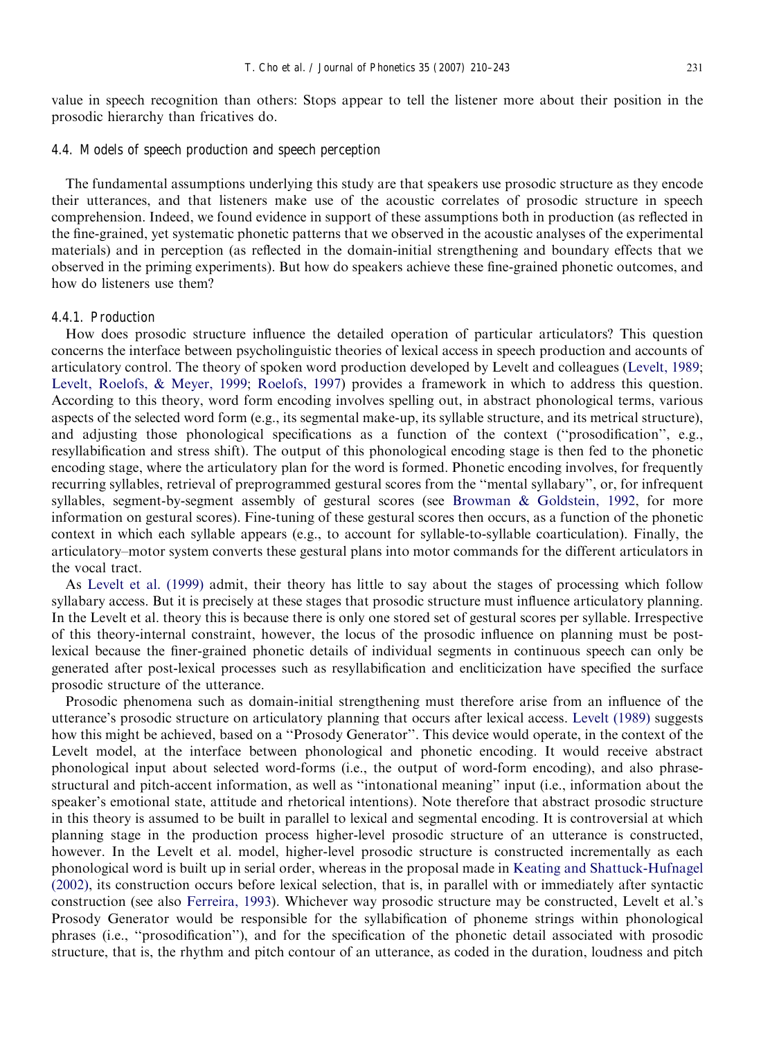value in speech recognition than others: Stops appear to tell the listener more about their position in the prosodic hierarchy than fricatives do.

# 4.4. Models of speech production and speech perception

The fundamental assumptions underlying this study are that speakers use prosodic structure as they encode their utterances, and that listeners make use of the acoustic correlates of prosodic structure in speech comprehension. Indeed, we found evidence in support of these assumptions both in production (as reflected in the fine-grained, yet systematic phonetic patterns that we observed in the acoustic analyses of the experimental materials) and in perception (as reflected in the domain-initial strengthening and boundary effects that we observed in the priming experiments). But how do speakers achieve these fine-grained phonetic outcomes, and how do listeners use them?

#### 4.4.1. Production

How does prosodic structure influence the detailed operation of particular articulators? This question concerns the interface between psycholinguistic theories of lexical access in speech production and accounts of articulatory control. The theory of spoken word production developed by Levelt and colleagues ([Levelt, 1989](#page-32-0); [Levelt, Roelofs,](#page-32-0) & [Meyer, 1999;](#page-32-0) [Roelofs, 1997\)](#page-33-0) provides a framework in which to address this question. According to this theory, word form encoding involves spelling out, in abstract phonological terms, various aspects of the selected word form (e.g., its segmental make-up, its syllable structure, and its metrical structure), and adjusting those phonological specifications as a function of the context (''prosodification'', e.g., resyllabification and stress shift). The output of this phonological encoding stage is then fed to the phonetic encoding stage, where the articulatory plan for the word is formed. Phonetic encoding involves, for frequently recurring syllables, retrieval of preprogrammed gestural scores from the ''mental syllabary'', or, for infrequent syllables, segment-by-segment assembly of gestural scores (see [Browman](#page-31-0) & [Goldstein, 1992,](#page-31-0) for more information on gestural scores). Fine-tuning of these gestural scores then occurs, as a function of the phonetic context in which each syllable appears (e.g., to account for syllable-to-syllable coarticulation). Finally, the articulatory–motor system converts these gestural plans into motor commands for the different articulators in the vocal tract.

As [Levelt et al. \(1999\)](#page-32-0) admit, their theory has little to say about the stages of processing which follow syllabary access. But it is precisely at these stages that prosodic structure must influence articulatory planning. In the Levelt et al. theory this is because there is only one stored set of gestural scores per syllable. Irrespective of this theory-internal constraint, however, the locus of the prosodic influence on planning must be postlexical because the finer-grained phonetic details of individual segments in continuous speech can only be generated after post-lexical processes such as resyllabification and encliticization have specified the surface prosodic structure of the utterance.

Prosodic phenomena such as domain-initial strengthening must therefore arise from an influence of the utterance's prosodic structure on articulatory planning that occurs after lexical access. [Levelt \(1989\)](#page-32-0) suggests how this might be achieved, based on a ''Prosody Generator''. This device would operate, in the context of the Levelt model, at the interface between phonological and phonetic encoding. It would receive abstract phonological input about selected word-forms (i.e., the output of word-form encoding), and also phrasestructural and pitch-accent information, as well as ''intonational meaning'' input (i.e., information about the speaker's emotional state, attitude and rhetorical intentions). Note therefore that abstract prosodic structure in this theory is assumed to be built in parallel to lexical and segmental encoding. It is controversial at which planning stage in the production process higher-level prosodic structure of an utterance is constructed, however. In the Levelt et al. model, higher-level prosodic structure is constructed incrementally as each phonological word is built up in serial order, whereas in the proposal made in [Keating and Shattuck-Hufnagel](#page-32-0) [\(2002\)](#page-32-0), its construction occurs before lexical selection, that is, in parallel with or immediately after syntactic construction (see also [Ferreira, 1993](#page-31-0)). Whichever way prosodic structure may be constructed, Levelt et al.'s Prosody Generator would be responsible for the syllabification of phoneme strings within phonological phrases (i.e., ''prosodification''), and for the specification of the phonetic detail associated with prosodic structure, that is, the rhythm and pitch contour of an utterance, as coded in the duration, loudness and pitch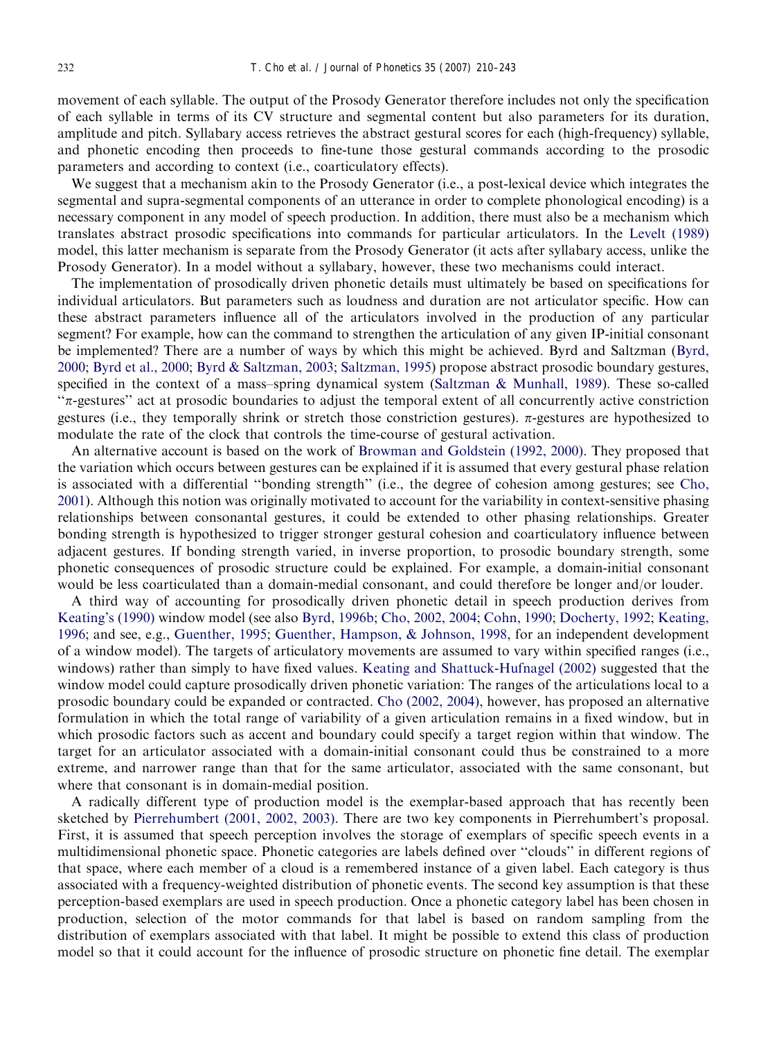movement of each syllable. The output of the Prosody Generator therefore includes not only the specification of each syllable in terms of its CV structure and segmental content but also parameters for its duration, amplitude and pitch. Syllabary access retrieves the abstract gestural scores for each (high-frequency) syllable, and phonetic encoding then proceeds to fine-tune those gestural commands according to the prosodic parameters and according to context (i.e., coarticulatory effects).

We suggest that a mechanism akin to the Prosody Generator (i.e., a post-lexical device which integrates the segmental and supra-segmental components of an utterance in order to complete phonological encoding) is a necessary component in any model of speech production. In addition, there must also be a mechanism which translates abstract prosodic specifications into commands for particular articulators. In the [Levelt \(1989\)](#page-32-0) model, this latter mechanism is separate from the Prosody Generator (it acts after syllabary access, unlike the Prosody Generator). In a model without a syllabary, however, these two mechanisms could interact.

The implementation of prosodically driven phonetic details must ultimately be based on specifications for individual articulators. But parameters such as loudness and duration are not articulator specific. How can these abstract parameters influence all of the articulators involved in the production of any particular segment? For example, how can the command to strengthen the articulation of any given IP-initial consonant be implemented? There are a number of ways by which this might be achieved. Byrd and Saltzman ([Byrd,](#page-31-0) [2000](#page-31-0); [Byrd et al., 2000](#page-31-0); [Byrd & Saltzman, 2003;](#page-31-0) [Saltzman, 1995\)](#page-33-0) propose abstract prosodic boundary gestures, specified in the context of a mass–spring dynamical system ([Saltzman & Munhall, 1989\)](#page-33-0). These so-called  $\pi$ -gestures'' act at prosodic boundaries to adjust the temporal extent of all concurrently active constriction gestures (i.e., they temporally shrink or stretch those constriction gestures).  $\pi$ -gestures are hypothesized to modulate the rate of the clock that controls the time-course of gestural activation.

An alternative account is based on the work of [Browman and Goldstein \(1992, 2000\)](#page-31-0). They proposed that the variation which occurs between gestures can be explained if it is assumed that every gestural phase relation is associated with a differential ''bonding strength'' (i.e., the degree of cohesion among gestures; see [Cho,](#page-31-0) [2001](#page-31-0)). Although this notion was originally motivated to account for the variability in context-sensitive phasing relationships between consonantal gestures, it could be extended to other phasing relationships. Greater bonding strength is hypothesized to trigger stronger gestural cohesion and coarticulatory influence between adjacent gestures. If bonding strength varied, in inverse proportion, to prosodic boundary strength, some phonetic consequences of prosodic structure could be explained. For example, a domain-initial consonant would be less coarticulated than a domain-medial consonant, and could therefore be longer and/or louder.

A third way of accounting for prosodically driven phonetic detail in speech production derives from [Keating's \(1990\)](#page-32-0) window model (see also [Byrd, 1996b;](#page-31-0) [Cho, 2002, 2004](#page-31-0); [Cohn, 1990](#page-31-0); [Docherty, 1992](#page-31-0); [Keating,](#page-32-0) [1996](#page-32-0); and see, e.g., [Guenther, 1995;](#page-32-0) [Guenther, Hampson, & Johnson, 1998,](#page-32-0) for an independent development of a window model). The targets of articulatory movements are assumed to vary within specified ranges (i.e., windows) rather than simply to have fixed values. [Keating and Shattuck-Hufnagel \(2002\)](#page-32-0) suggested that the window model could capture prosodically driven phonetic variation: The ranges of the articulations local to a prosodic boundary could be expanded or contracted. [Cho \(2002, 2004\),](#page-31-0) however, has proposed an alternative formulation in which the total range of variability of a given articulation remains in a fixed window, but in which prosodic factors such as accent and boundary could specify a target region within that window. The target for an articulator associated with a domain-initial consonant could thus be constrained to a more extreme, and narrower range than that for the same articulator, associated with the same consonant, but where that consonant is in domain-medial position.

A radically different type of production model is the exemplar-based approach that has recently been sketched by [Pierrehumbert \(2001, 2002, 2003\).](#page-33-0) There are two key components in Pierrehumbert's proposal. First, it is assumed that speech perception involves the storage of exemplars of specific speech events in a multidimensional phonetic space. Phonetic categories are labels defined over ''clouds'' in different regions of that space, where each member of a cloud is a remembered instance of a given label. Each category is thus associated with a frequency-weighted distribution of phonetic events. The second key assumption is that these perception-based exemplars are used in speech production. Once a phonetic category label has been chosen in production, selection of the motor commands for that label is based on random sampling from the distribution of exemplars associated with that label. It might be possible to extend this class of production model so that it could account for the influence of prosodic structure on phonetic fine detail. The exemplar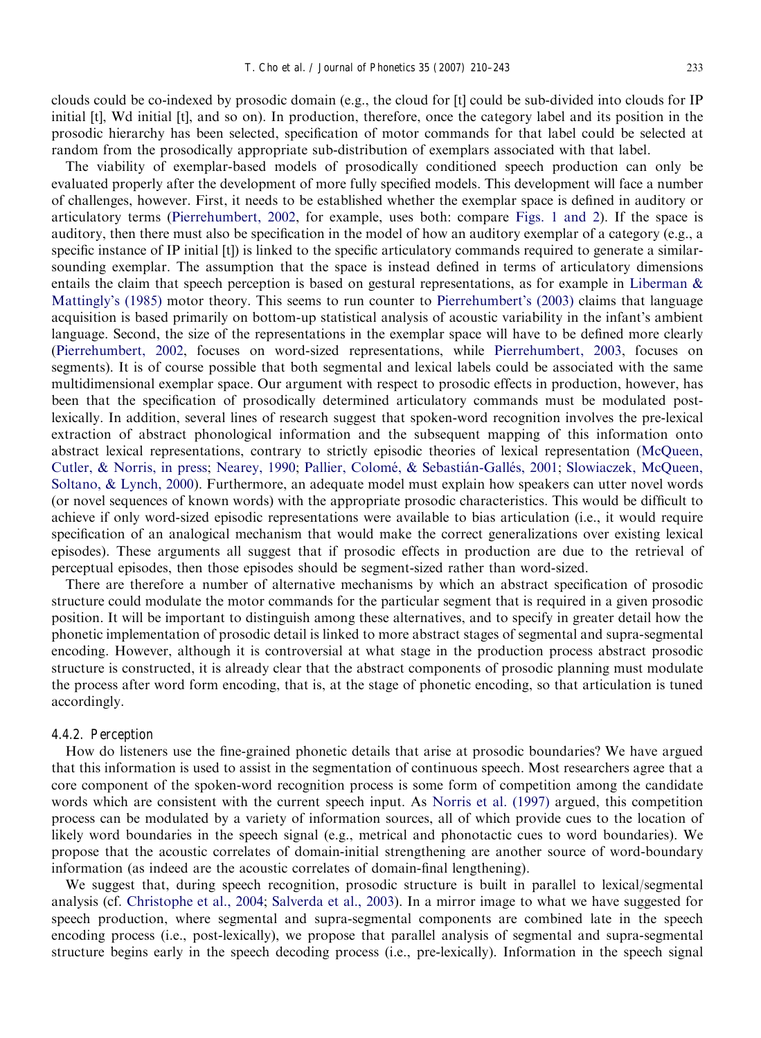clouds could be co-indexed by prosodic domain (e.g., the cloud for [t] could be sub-divided into clouds for IP initial [t], Wd initial [t], and so on). In production, therefore, once the category label and its position in the prosodic hierarchy has been selected, specification of motor commands for that label could be selected at random from the prosodically appropriate sub-distribution of exemplars associated with that label.

The viability of exemplar-based models of prosodically conditioned speech production can only be evaluated properly after the development of more fully specified models. This development will face a number of challenges, however. First, it needs to be established whether the exemplar space is defined in auditory or articulatory terms ([Pierrehumbert, 2002,](#page-33-0) for example, uses both: compare [Figs. 1 and 2](#page-11-0)). If the space is auditory, then there must also be specification in the model of how an auditory exemplar of a category (e.g., a specific instance of IP initial [t]) is linked to the specific articulatory commands required to generate a similarsounding exemplar. The assumption that the space is instead defined in terms of articulatory dimensions entails the claim that speech perception is based on gestural representations, as for example in [Liberman](#page-32-0) & [Mattingly's \(1985\)](#page-32-0) motor theory. This seems to run counter to [Pierrehumbert's \(2003\)](#page-33-0) claims that language acquisition is based primarily on bottom-up statistical analysis of acoustic variability in the infant's ambient language. Second, the size of the representations in the exemplar space will have to be defined more clearly [\(Pierrehumbert, 2002](#page-33-0), focuses on word-sized representations, while [Pierrehumbert, 2003,](#page-33-0) focuses on segments). It is of course possible that both segmental and lexical labels could be associated with the same multidimensional exemplar space. Our argument with respect to prosodic effects in production, however, has been that the specification of prosodically determined articulatory commands must be modulated postlexically. In addition, several lines of research suggest that spoken-word recognition involves the pre-lexical extraction of abstract phonological information and the subsequent mapping of this information onto abstract lexical representations, contrary to strictly episodic theories of lexical representation ([McQueen,](#page-32-0) [Cutler, & Norris, in press](#page-32-0); [Nearey, 1990;](#page-32-0) Pallier, Colomé, & Sebastián-Gallés, 2001; [Slowiaczek, McQueen,](#page-33-0) [Soltano, & Lynch, 2000\)](#page-33-0). Furthermore, an adequate model must explain how speakers can utter novel words (or novel sequences of known words) with the appropriate prosodic characteristics. This would be difficult to achieve if only word-sized episodic representations were available to bias articulation (i.e., it would require specification of an analogical mechanism that would make the correct generalizations over existing lexical episodes). These arguments all suggest that if prosodic effects in production are due to the retrieval of perceptual episodes, then those episodes should be segment-sized rather than word-sized.

There are therefore a number of alternative mechanisms by which an abstract specification of prosodic structure could modulate the motor commands for the particular segment that is required in a given prosodic position. It will be important to distinguish among these alternatives, and to specify in greater detail how the phonetic implementation of prosodic detail is linked to more abstract stages of segmental and supra-segmental encoding. However, although it is controversial at what stage in the production process abstract prosodic structure is constructed, it is already clear that the abstract components of prosodic planning must modulate the process after word form encoding, that is, at the stage of phonetic encoding, so that articulation is tuned accordingly.

## 4.4.2. Perception

How do listeners use the fine-grained phonetic details that arise at prosodic boundaries? We have argued that this information is used to assist in the segmentation of continuous speech. Most researchers agree that a core component of the spoken-word recognition process is some form of competition among the candidate words which are consistent with the current speech input. As [Norris et al. \(1997\)](#page-33-0) argued, this competition process can be modulated by a variety of information sources, all of which provide cues to the location of likely word boundaries in the speech signal (e.g., metrical and phonotactic cues to word boundaries). We propose that the acoustic correlates of domain-initial strengthening are another source of word-boundary information (as indeed are the acoustic correlates of domain-final lengthening).

We suggest that, during speech recognition, prosodic structure is built in parallel to lexical/segmental analysis (cf. [Christophe et al., 2004;](#page-31-0) [Salverda et al., 2003](#page-33-0)). In a mirror image to what we have suggested for speech production, where segmental and supra-segmental components are combined late in the speech encoding process (i.e., post-lexically), we propose that parallel analysis of segmental and supra-segmental structure begins early in the speech decoding process (i.e., pre-lexically). Information in the speech signal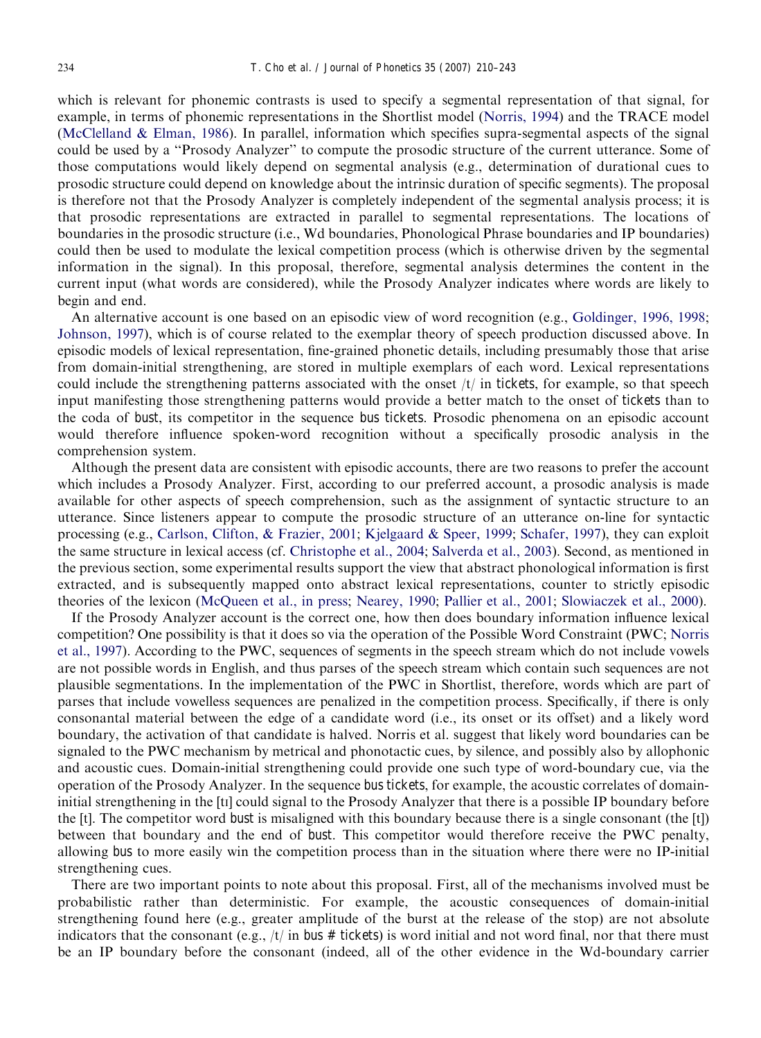which is relevant for phonemic contrasts is used to specify a segmental representation of that signal, for example, in terms of phonemic representations in the Shortlist model ([Norris, 1994\)](#page-32-0) and the TRACE model ([McClelland](#page-32-0) & [Elman, 1986\)](#page-32-0). In parallel, information which specifies supra-segmental aspects of the signal could be used by a ''Prosody Analyzer'' to compute the prosodic structure of the current utterance. Some of those computations would likely depend on segmental analysis (e.g., determination of durational cues to prosodic structure could depend on knowledge about the intrinsic duration of specific segments). The proposal is therefore not that the Prosody Analyzer is completely independent of the segmental analysis process; it is that prosodic representations are extracted in parallel to segmental representations. The locations of boundaries in the prosodic structure (i.e., Wd boundaries, Phonological Phrase boundaries and IP boundaries) could then be used to modulate the lexical competition process (which is otherwise driven by the segmental information in the signal). In this proposal, therefore, segmental analysis determines the content in the current input (what words are considered), while the Prosody Analyzer indicates where words are likely to begin and end.

An alternative account is one based on an episodic view of word recognition (e.g., [Goldinger, 1996, 1998;](#page-31-0) [Johnson, 1997](#page-32-0)), which is of course related to the exemplar theory of speech production discussed above. In episodic models of lexical representation, fine-grained phonetic details, including presumably those that arise from domain-initial strengthening, are stored in multiple exemplars of each word. Lexical representations could include the strengthening patterns associated with the onset  $/t/$  in tickets, for example, so that speech input manifesting those strengthening patterns would provide a better match to the onset of tickets than to the coda of bust, its competitor in the sequence bus tickets. Prosodic phenomena on an episodic account would therefore influence spoken-word recognition without a specifically prosodic analysis in the comprehension system.

Although the present data are consistent with episodic accounts, there are two reasons to prefer the account which includes a Prosody Analyzer. First, according to our preferred account, a prosodic analysis is made available for other aspects of speech comprehension, such as the assignment of syntactic structure to an utterance. Since listeners appear to compute the prosodic structure of an utterance on-line for syntactic processing (e.g., [Carlson, Clifton, & Frazier, 2001](#page-31-0); [Kjelgaard](#page-32-0) [& Speer, 1999;](#page-32-0) [Schafer, 1997\)](#page-33-0), they can exploit the same structure in lexical access (cf. [Christophe et al., 2004;](#page-31-0) [Salverda et al., 2003\)](#page-33-0). Second, as mentioned in the previous section, some experimental results support the view that abstract phonological information is first extracted, and is subsequently mapped onto abstract lexical representations, counter to strictly episodic theories of the lexicon [\(McQueen et al., in press;](#page-32-0) [Nearey, 1990;](#page-32-0) [Pallier et al., 2001;](#page-33-0) [Slowiaczek et al., 2000\)](#page-33-0).

If the Prosody Analyzer account is the correct one, how then does boundary information influence lexical competition? One possibility is that it does so via the operation of the Possible Word Constraint (PWC; [Norris](#page-33-0) [et al., 1997](#page-33-0)). According to the PWC, sequences of segments in the speech stream which do not include vowels are not possible words in English, and thus parses of the speech stream which contain such sequences are not plausible segmentations. In the implementation of the PWC in Shortlist, therefore, words which are part of parses that include vowelless sequences are penalized in the competition process. Specifically, if there is only consonantal material between the edge of a candidate word (i.e., its onset or its offset) and a likely word boundary, the activation of that candidate is halved. Norris et al. suggest that likely word boundaries can be signaled to the PWC mechanism by metrical and phonotactic cues, by silence, and possibly also by allophonic and acoustic cues. Domain-initial strengthening could provide one such type of word-boundary cue, via the operation of the Prosody Analyzer. In the sequence bus tickets, for example, the acoustic correlates of domaininitial strengthening in the [tI] could signal to the Prosody Analyzer that there is a possible IP boundary before the [t]. The competitor word bust is misaligned with this boundary because there is a single consonant (the [t]) between that boundary and the end of bust. This competitor would therefore receive the PWC penalty, allowing bus to more easily win the competition process than in the situation where there were no IP-initial strengthening cues.

There are two important points to note about this proposal. First, all of the mechanisms involved must be probabilistic rather than deterministic. For example, the acoustic consequences of domain-initial strengthening found here (e.g., greater amplitude of the burst at the release of the stop) are not absolute indicators that the consonant (e.g.,  $/t$  in bus # tickets) is word initial and not word final, nor that there must be an IP boundary before the consonant (indeed, all of the other evidence in the Wd-boundary carrier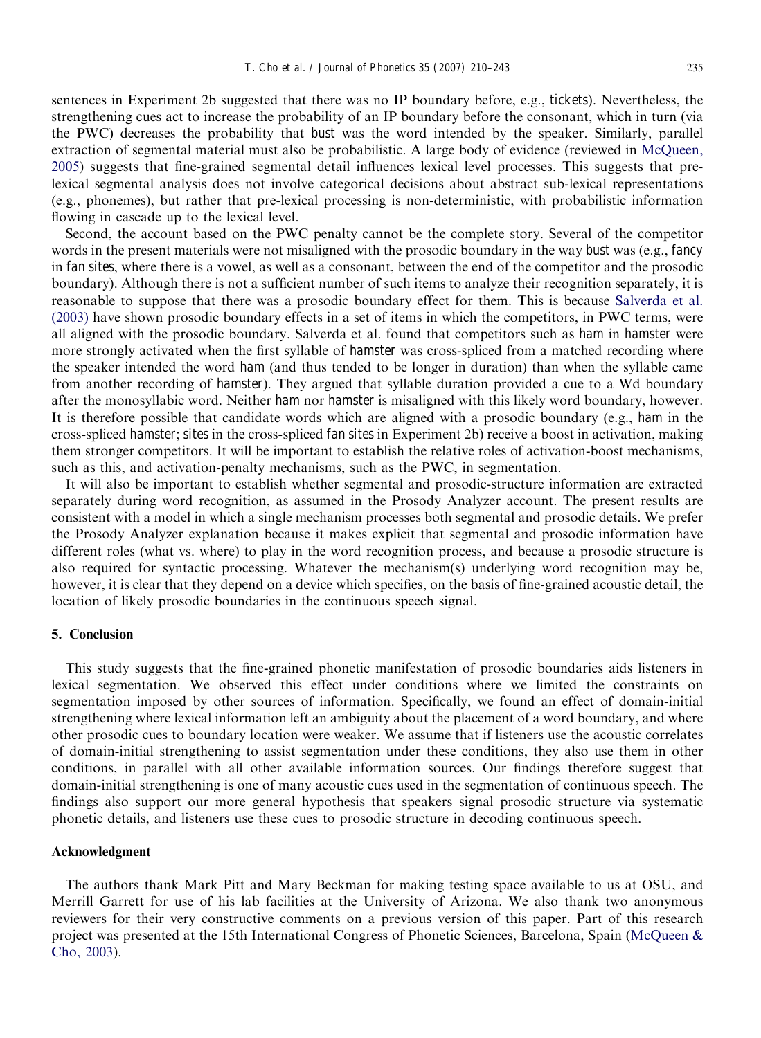sentences in Experiment 2b suggested that there was no IP boundary before, e.g., tickets). Nevertheless, the strengthening cues act to increase the probability of an IP boundary before the consonant, which in turn (via the PWC) decreases the probability that bust was the word intended by the speaker. Similarly, parallel extraction of segmental material must also be probabilistic. A large body of evidence (reviewed in [McQueen,](#page-32-0) [2005\)](#page-32-0) suggests that fine-grained segmental detail influences lexical level processes. This suggests that prelexical segmental analysis does not involve categorical decisions about abstract sub-lexical representations (e.g., phonemes), but rather that pre-lexical processing is non-deterministic, with probabilistic information flowing in cascade up to the lexical level.

Second, the account based on the PWC penalty cannot be the complete story. Several of the competitor words in the present materials were not misaligned with the prosodic boundary in the way bust was (e.g., fancy in fan sites, where there is a vowel, as well as a consonant, between the end of the competitor and the prosodic boundary). Although there is not a sufficient number of such items to analyze their recognition separately, it is reasonable to suppose that there was a prosodic boundary effect for them. This is because [Salverda et al.](#page-33-0) [\(2003\)](#page-33-0) have shown prosodic boundary effects in a set of items in which the competitors, in PWC terms, were all aligned with the prosodic boundary. Salverda et al. found that competitors such as ham in hamster were more strongly activated when the first syllable of hamster was cross-spliced from a matched recording where the speaker intended the word ham (and thus tended to be longer in duration) than when the syllable came from another recording of hamster). They argued that syllable duration provided a cue to a Wd boundary after the monosyllabic word. Neither ham nor hamster is misaligned with this likely word boundary, however. It is therefore possible that candidate words which are aligned with a prosodic boundary (e.g., ham in the cross-spliced hamster; sites in the cross-spliced fan sites in Experiment 2b) receive a boost in activation, making them stronger competitors. It will be important to establish the relative roles of activation-boost mechanisms, such as this, and activation-penalty mechanisms, such as the PWC, in segmentation.

It will also be important to establish whether segmental and prosodic-structure information are extracted separately during word recognition, as assumed in the Prosody Analyzer account. The present results are consistent with a model in which a single mechanism processes both segmental and prosodic details. We prefer the Prosody Analyzer explanation because it makes explicit that segmental and prosodic information have different roles (what vs. where) to play in the word recognition process, and because a prosodic structure is also required for syntactic processing. Whatever the mechanism(s) underlying word recognition may be, however, it is clear that they depend on a device which specifies, on the basis of fine-grained acoustic detail, the location of likely prosodic boundaries in the continuous speech signal.

#### 5. Conclusion

This study suggests that the fine-grained phonetic manifestation of prosodic boundaries aids listeners in lexical segmentation. We observed this effect under conditions where we limited the constraints on segmentation imposed by other sources of information. Specifically, we found an effect of domain-initial strengthening where lexical information left an ambiguity about the placement of a word boundary, and where other prosodic cues to boundary location were weaker. We assume that if listeners use the acoustic correlates of domain-initial strengthening to assist segmentation under these conditions, they also use them in other conditions, in parallel with all other available information sources. Our findings therefore suggest that domain-initial strengthening is one of many acoustic cues used in the segmentation of continuous speech. The findings also support our more general hypothesis that speakers signal prosodic structure via systematic phonetic details, and listeners use these cues to prosodic structure in decoding continuous speech.

#### Acknowledgment

The authors thank Mark Pitt and Mary Beckman for making testing space available to us at OSU, and Merrill Garrett for use of his lab facilities at the University of Arizona. We also thank two anonymous reviewers for their very constructive comments on a previous version of this paper. Part of this research project was presented at the 15th International Congress of Phonetic Sciences, Barcelona, Spain [\(McQueen](#page-32-0) & [Cho, 2003](#page-32-0)).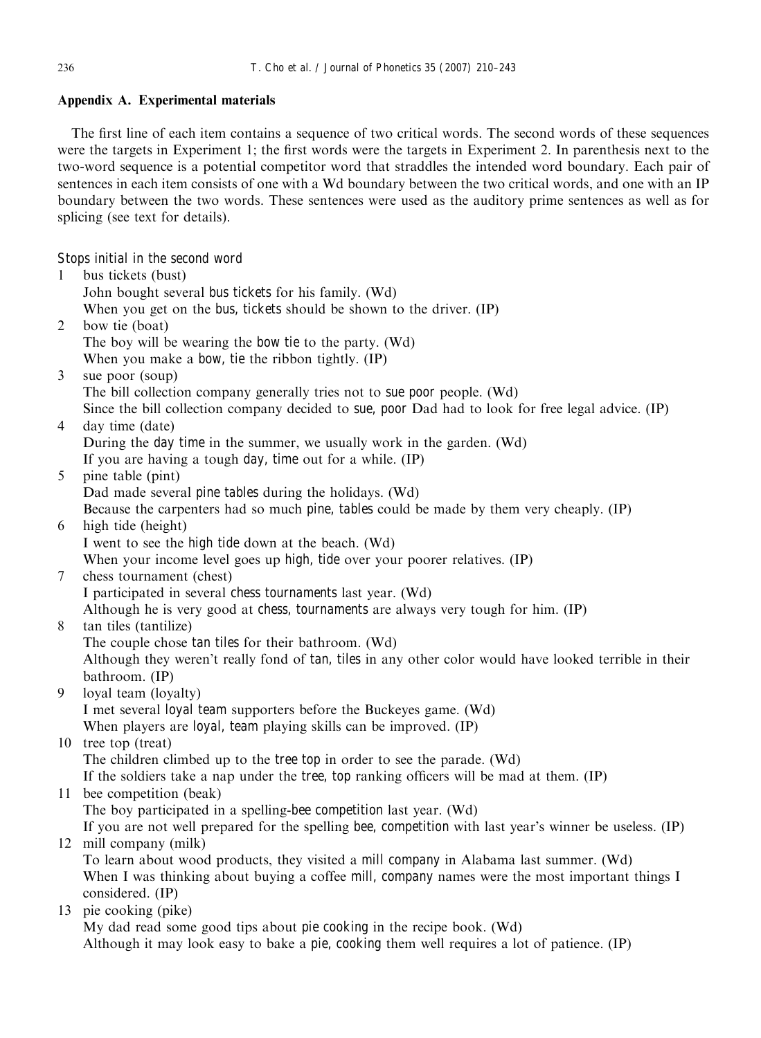# Appendix A. Experimental materials

The first line of each item contains a sequence of two critical words. The second words of these sequences were the targets in Experiment 1; the first words were the targets in Experiment 2. In parenthesis next to the two-word sequence is a potential competitor word that straddles the intended word boundary. Each pair of sentences in each item consists of one with a Wd boundary between the two critical words, and one with an IP boundary between the two words. These sentences were used as the auditory prime sentences as well as for splicing (see text for details).

Stops initial in the second word

1 bus tickets (bust) John bought several bus tickets for his family. (Wd) When you get on the bus, tickets should be shown to the driver. (IP) 2 bow tie (boat) The boy will be wearing the bow tie to the party. (Wd) When you make a bow, tie the ribbon tightly. (IP) 3 sue poor (soup) The bill collection company generally tries not to sue poor people. (Wd) Since the bill collection company decided to sue, poor Dad had to look for free legal advice. (IP) 4 day time (date) During the day time in the summer, we usually work in the garden. (Wd) If you are having a tough day, time out for a while. (IP) 5 pine table (pint) Dad made several pine tables during the holidays. (Wd) Because the carpenters had so much pine, tables could be made by them very cheaply. (IP) 6 high tide (height) I went to see the high tide down at the beach. (Wd) When your income level goes up high, tide over your poorer relatives. (IP) 7 chess tournament (chest) I participated in several chess tournaments last year. (Wd) Although he is very good at chess, tournaments are always very tough for him. (IP) 8 tan tiles (tantilize) The couple chose tan tiles for their bathroom. (Wd) Although they weren't really fond of tan, tiles in any other color would have looked terrible in their bathroom. (IP) 9 loyal team (loyalty) I met several loyal team supporters before the Buckeyes game. (Wd) When players are loyal, team playing skills can be improved. (IP) 10 tree top (treat) The children climbed up to the tree top in order to see the parade. (Wd) If the soldiers take a nap under the tree, top ranking officers will be mad at them. (IP) 11 bee competition (beak) The boy participated in a spelling-bee competition last year. (Wd) If you are not well prepared for the spelling bee, competition with last year's winner be useless. (IP) 12 mill company (milk) To learn about wood products, they visited a mill company in Alabama last summer. (Wd) When I was thinking about buying a coffee mill, company names were the most important things I considered. (IP) 13 pie cooking (pike) My dad read some good tips about pie cooking in the recipe book. (Wd) Although it may look easy to bake a pie, cooking them well requires a lot of patience. (IP)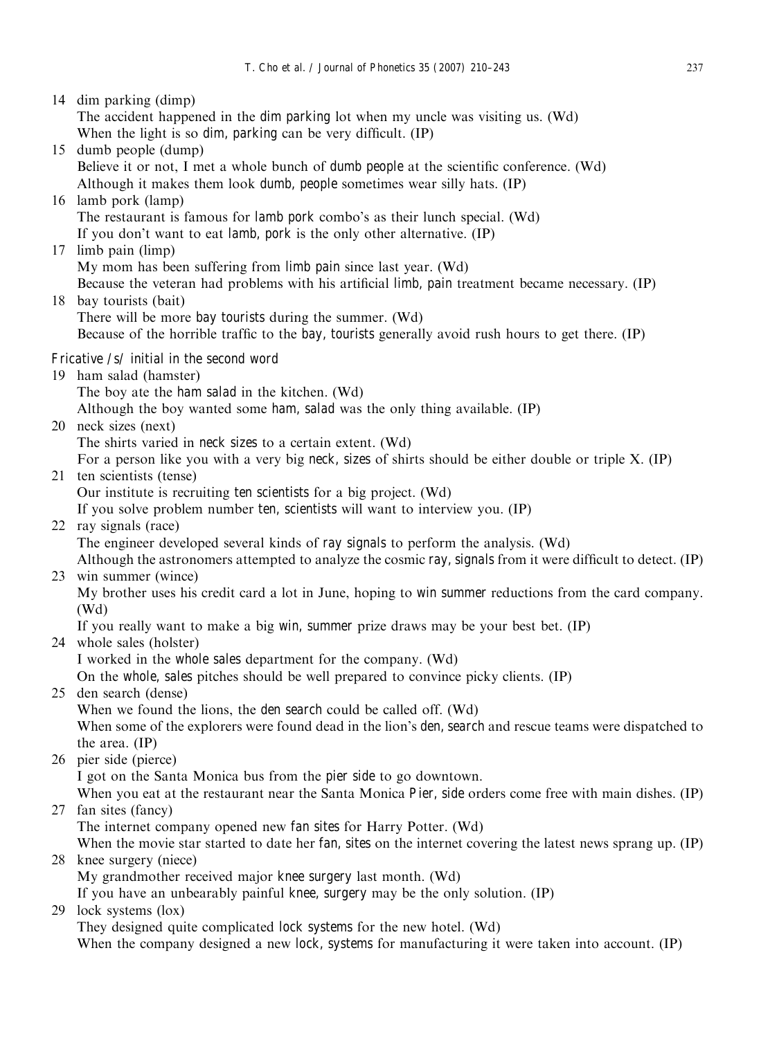# 14 dim parking (dimp)

The accident happened in the dim parking lot when my uncle was visiting us. (Wd) When the light is so dim, parking can be very difficult. (IP)

- 15 dumb people (dump) Believe it or not, I met a whole bunch of dumb people at the scientific conference. (Wd) Although it makes them look dumb, people sometimes wear silly hats. (IP)
- 16 lamb pork (lamp) The restaurant is famous for lamb pork combo's as their lunch special. (Wd) If you don't want to eat lamb, pork is the only other alternative. (IP)
- 17 limb pain (limp)

My mom has been suffering from limb pain since last year. (Wd)

Because the veteran had problems with his artificial limb, pain treatment became necessary. (IP) 18 bay tourists (bait)

There will be more bay tourists during the summer. (Wd) Because of the horrible traffic to the bay, tourists generally avoid rush hours to get there. (IP)

# Fricative /s/ initial in the second word

19 ham salad (hamster)

The boy ate the ham salad in the kitchen. (Wd)

Although the boy wanted some ham, salad was the only thing available. (IP)

20 neck sizes (next)

The shirts varied in neck sizes to a certain extent. (Wd)

For a person like you with a very big neck, sizes of shirts should be either double or triple X. (IP)

21 ten scientists (tense) Our institute is recruiting ten scientists for a big project. (Wd)

If you solve problem number ten, scientists will want to interview you. (IP)

22 ray signals (race)

The engineer developed several kinds of ray signals to perform the analysis. (Wd)

Although the astronomers attempted to analyze the cosmic ray, signals from it were difficult to detect. (IP) 23 win summer (wince)

My brother uses his credit card a lot in June, hoping to win summer reductions from the card company. (Wd)

If you really want to make a big win, summer prize draws may be your best bet. (IP)

24 whole sales (holster)

I worked in the whole sales department for the company. (Wd)

On the whole, sales pitches should be well prepared to convince picky clients. (IP)

25 den search (dense)

When we found the lions, the den search could be called off. (Wd)

When some of the explorers were found dead in the lion's den, search and rescue teams were dispatched to the area. (IP)

26 pier side (pierce)

I got on the Santa Monica bus from the pier side to go downtown.

When you eat at the restaurant near the Santa Monica Pier, side orders come free with main dishes. (IP) 27 fan sites (fancy)

The internet company opened new fan sites for Harry Potter. (Wd)

When the movie star started to date her fan, sites on the internet covering the latest news sprang up. (IP)

- 28 knee surgery (niece) My grandmother received major knee surgery last month. (Wd) If you have an unbearably painful knee, surgery may be the only solution. (IP)
- 29 lock systems (lox)

They designed quite complicated lock systems for the new hotel. (Wd)

When the company designed a new lock, systems for manufacturing it were taken into account. (IP)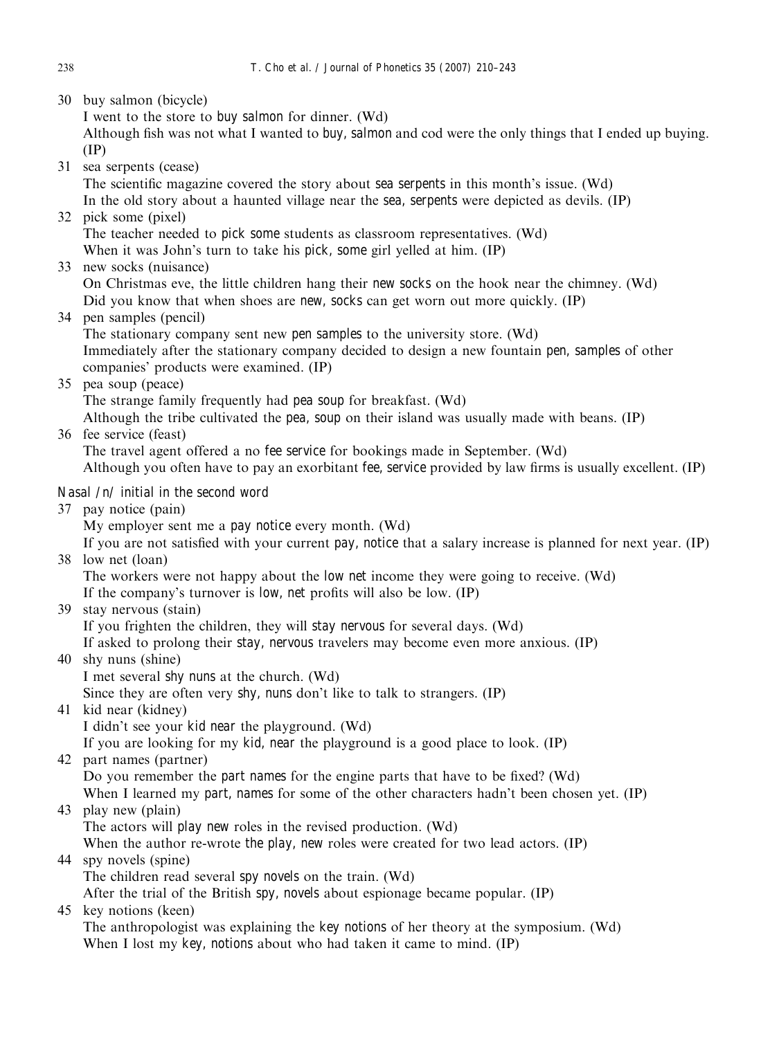30 buy salmon (bicycle)

```
I went to the store to buy salmon for dinner. (Wd)
```
Although fish was not what I wanted to buy, salmon and cod were the only things that I ended up buying. (IP)

31 sea serpents (cease)

The scientific magazine covered the story about sea serpents in this month's issue. (Wd) In the old story about a haunted village near the sea, serpents were depicted as devils. (IP)

32 pick some (pixel)

The teacher needed to pick some students as classroom representatives. (Wd)

When it was John's turn to take his pick, some girl yelled at him. (IP)

33 new socks (nuisance)

On Christmas eve, the little children hang their new socks on the hook near the chimney. (Wd) Did you know that when shoes are new, socks can get worn out more quickly. (IP)

34 pen samples (pencil)

The stationary company sent new pen samples to the university store. (Wd) Immediately after the stationary company decided to design a new fountain pen, samples of other companies' products were examined. (IP)

35 pea soup (peace)

The strange family frequently had pea soup for breakfast. (Wd)

Although the tribe cultivated the pea, soup on their island was usually made with beans. (IP)

36 fee service (feast)

The travel agent offered a no fee service for bookings made in September. (Wd)

Although you often have to pay an exorbitant fee, service provided by law firms is usually excellent. (IP)

# Nasal /n/ initial in the second word

37 pay notice (pain)

My employer sent me a pay notice every month. (Wd)

If you are not satisfied with your current pay, notice that a salary increase is planned for next year. (IP) 38 low net (loan)

The workers were not happy about the low net income they were going to receive. (Wd) If the company's turnover is low, net profits will also be low. (IP)

39 stay nervous (stain)

If you frighten the children, they will stay nervous for several days. (Wd)

If asked to prolong their stay, nervous travelers may become even more anxious. (IP)

- 40 shy nuns (shine)
	- I met several shy nuns at the church. (Wd)

Since they are often very shy, nuns don't like to talk to strangers. (IP)

41 kid near (kidney) I didn't see your kid near the playground. (Wd)

If you are looking for my kid, near the playground is a good place to look. (IP)

42 part names (partner)

Do you remember the part names for the engine parts that have to be fixed? (Wd)

When I learned my part, names for some of the other characters hadn't been chosen yet. (IP) 43 play new (plain)

The actors will play new roles in the revised production. (Wd)

When the author re-wrote the play, new roles were created for two lead actors. (IP)

- 44 spy novels (spine) The children read several spy novels on the train. (Wd) After the trial of the British spy, novels about espionage became popular. (IP)
- 45 key notions (keen)

The anthropologist was explaining the key notions of her theory at the symposium. (Wd) When I lost my key, notions about who had taken it came to mind. (IP)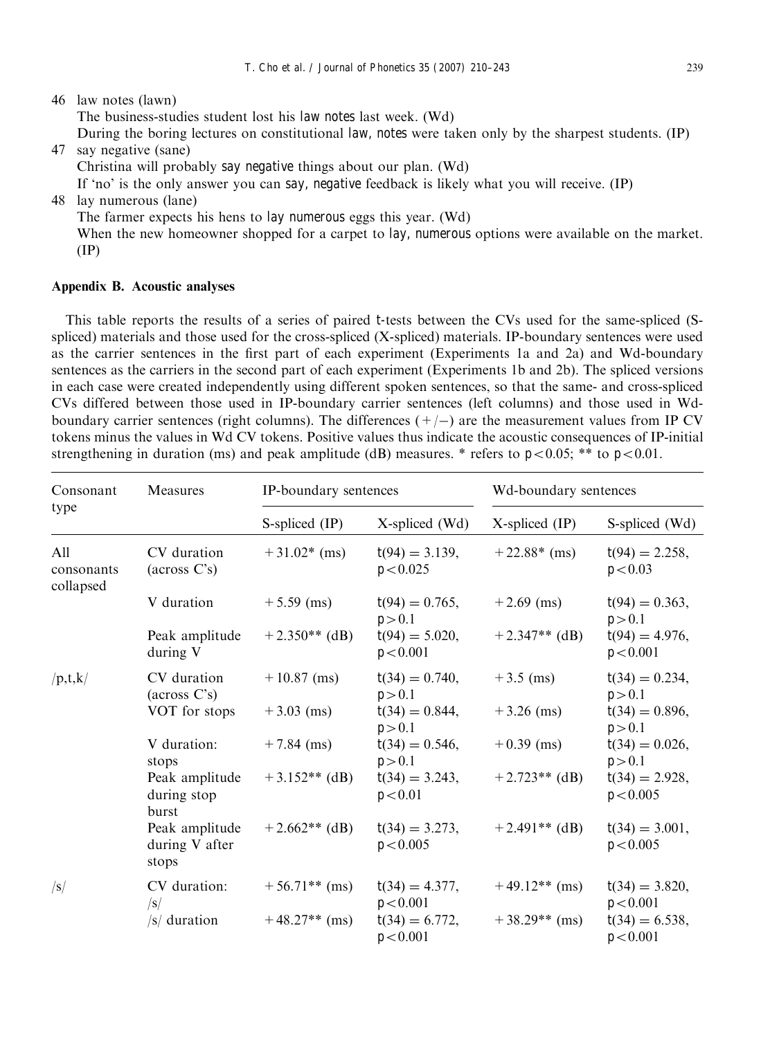# 46 law notes (lawn)

The business-studies student lost his law notes last week. (Wd)

During the boring lectures on constitutional law, notes were taken only by the sharpest students. (IP) 47 say negative (sane)

Christina will probably say negative things about our plan. (Wd)

If 'no' is the only answer you can say, negative feedback is likely what you will receive. (IP)

48 lay numerous (lane)

The farmer expects his hens to lay numerous eggs this year. (Wd)

When the new homeowner shopped for a carpet to lay, numerous options were available on the market. (IP)

#### Appendix B. Acoustic analyses

This table reports the results of a series of paired t-tests between the CVs used for the same-spliced (Sspliced) materials and those used for the cross-spliced (X-spliced) materials. IP-boundary sentences were used as the carrier sentences in the first part of each experiment (Experiments 1a and 2a) and Wd-boundary sentences as the carriers in the second part of each experiment (Experiments 1b and 2b). The spliced versions in each case were created independently using different spoken sentences, so that the same- and cross-spliced CVs differed between those used in IP-boundary carrier sentences (left columns) and those used in Wdboundary carrier sentences (right columns). The differences  $(+/-)$  are the measurement values from IP CV tokens minus the values in Wd CV tokens. Positive values thus indicate the acoustic consequences of IP-initial strengthening in duration (ms) and peak amplitude (dB) measures. \* refers to  $p < 0.05$ ; \*\* to  $p < 0.01$ .

| Consonant<br>type              | <b>Measures</b>                           | IP-boundary sentences |                               | Wd-boundary sentences |                               |  |
|--------------------------------|-------------------------------------------|-----------------------|-------------------------------|-----------------------|-------------------------------|--|
|                                |                                           | S-spliced (IP)        | X-spliced (Wd)                | $X$ -spliced (IP)     | S-spliced (Wd)                |  |
| All<br>consonants<br>collapsed | CV duration<br>(across C's)               | $+31.02*(ms)$         | $t(94) = 3.139,$<br>p < 0.025 | $+22.88*$ (ms)        | $t(94) = 2.258,$<br>p < 0.03  |  |
|                                | V duration                                | $+5.59$ (ms)          | $t(94) = 0.765,$<br>p > 0.1   | $+2.69$ (ms)          | $t(94) = 0.363,$<br>p > 0.1   |  |
|                                | Peak amplitude<br>during V                | $+2.350**$ (dB)       | $t(94) = 5.020,$<br>p < 0.001 | $+2.347**$ (dB)       | $t(94) = 4.976,$<br>p < 0.001 |  |
| /p,t,k/                        | CV duration<br>$(\arccos C's)$            | $+10.87$ (ms)         | $t(34) = 0.740,$<br>p > 0.1   | $+3.5$ (ms)           | $t(34) = 0.234,$<br>p > 0.1   |  |
|                                | VOT for stops                             | $+3.03$ (ms)          | $t(34) = 0.844,$<br>p > 0.1   | $+3.26$ (ms)          | $t(34) = 0.896,$<br>p > 0.1   |  |
|                                | V duration:<br>stops                      | $+7.84$ (ms)          | $t(34) = 0.546$ ,<br>p > 0.1  | $+0.39$ (ms)          | $t(34) = 0.026,$<br>p > 0.1   |  |
|                                | Peak amplitude<br>during stop<br>burst    | $+3.152**$ (dB)       | $t(34) = 3.243,$<br>p < 0.01  | $+2.723**$ (dB)       | $t(34) = 2.928,$<br>p < 0.005 |  |
|                                | Peak amplitude<br>during V after<br>stops | $+2.662**$ (dB)       | $t(34) = 3.273,$<br>p < 0.005 | $+2.491**$ (dB)       | $t(34) = 3.001,$<br>p < 0.005 |  |
| $\sqrt{s/}$                    | CV duration:<br>$\sqrt{s}$                | $+56.71**$ (ms)       | $t(34) = 4.377,$<br>p < 0.001 | $+49.12**$ (ms)       | $t(34) = 3.820,$<br>p < 0.001 |  |
|                                | $ s $ duration                            | $+48.27**$ (ms)       | $t(34) = 6.772,$<br>p < 0.001 | $+38.29**$ (ms)       | $t(34) = 6.538,$<br>p < 0.001 |  |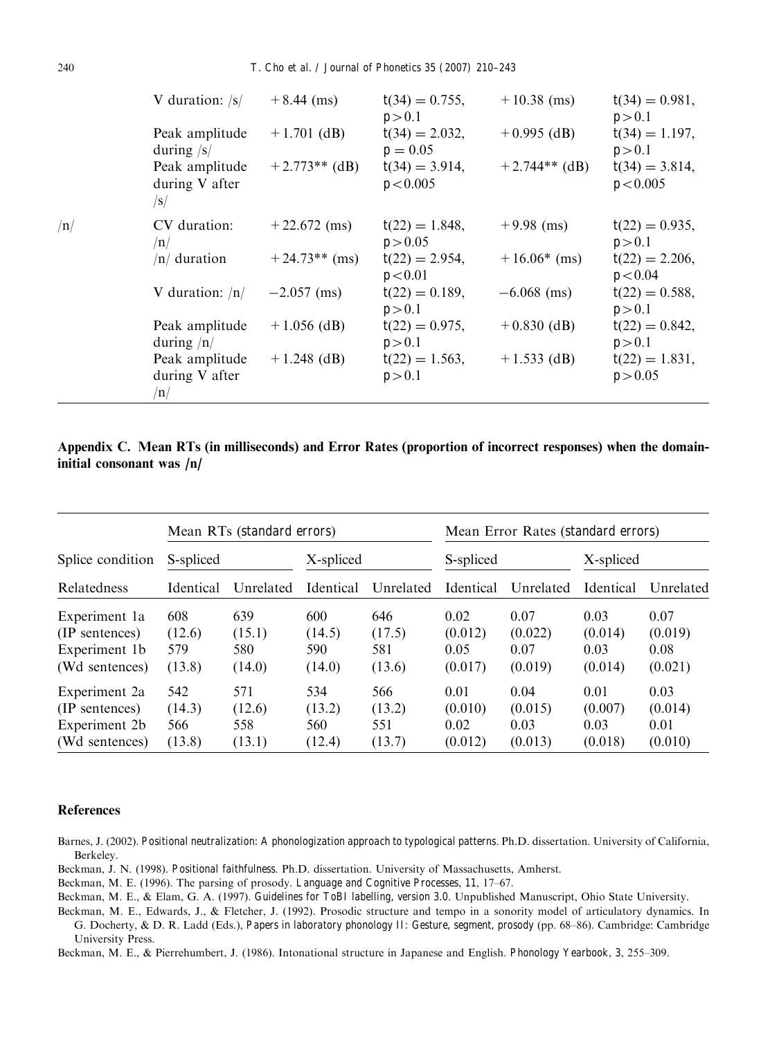<span id="page-30-0"></span>

|     | V duration: $\frac{s}{s}$                                      | $+8.44$ (ms)    | $t(34) = 0.755$ ,<br>p > 0.1    | $+10.38$ (ms)   | $t(34) = 0.981,$<br>p > 0.1   |
|-----|----------------------------------------------------------------|-----------------|---------------------------------|-----------------|-------------------------------|
|     | Peak amplitude<br>during $\sqrt{s}$                            | $+1.701$ (dB)   | $t(34) = 2.032$ ,<br>$p = 0.05$ | $+0.995$ (dB)   | $t(34) = 1.197$ ,<br>p > 0.1  |
|     | Peak amplitude<br>during V after<br>/s/                        | $+2.773**$ (dB) | $t(34) = 3.914$ ,<br>p < 0.005  | $+2.744**$ (dB) | $t(34) = 3.814,$<br>p < 0.005 |
| /n/ | CV duration:<br>/n/                                            | $+22.672$ (ms)  | $t(22) = 1.848$ ,<br>p > 0.05   | $+9.98$ (ms)    | $t(22) = 0.935,$<br>p > 0.1   |
|     | $/n/$ duration                                                 | $+24.73**$ (ms) | $t(22) = 2.954,$<br>p < 0.01    | $+16.06*$ (ms)  | $t(22) = 2.206$ ,<br>p < 0.04 |
|     | V duration: $/n/$                                              | $-2.057$ (ms)   | $t(22) = 0.189$ ,<br>p > 0.1    | $-6.068$ (ms)   | $t(22) = 0.588$ ,<br>p > 0.1  |
|     | Peak amplitude<br>during $/n/$                                 | $+1.056$ (dB)   | $t(22) = 0.975$ ,<br>p > 0.1    | $+0.830$ (dB)   | $t(22) = 0.842$ ,<br>p > 0.1  |
|     | Peak amplitude<br>during V after<br>$\left  \mathrm{n}\right/$ | $+1.248$ (dB)   | $t(22) = 1.563$ ,<br>p > 0.1    | $+1.533$ (dB)   | $t(22) = 1.831,$<br>p > 0.05  |

Appendix C. Mean RTs (in milliseconds) and Error Rates (proportion of incorrect responses) when the domaininitial consonant was /n/

|                  | Mean RTs (standard errors) |           |                  |           | Mean Error Rates (standard errors) |           |           |           |
|------------------|----------------------------|-----------|------------------|-----------|------------------------------------|-----------|-----------|-----------|
| Splice condition | S-spliced                  |           | X-spliced        |           | S-spliced                          |           | X-spliced |           |
| Relatedness      | Identical                  | Unrelated | <b>Identical</b> | Unrelated | <b>Identical</b>                   | Unrelated | Identical | Unrelated |
| Experiment 1a    | 608                        | 639       | 600              | 646       | 0.02                               | 0.07      | 0.03      | 0.07      |
| (IP sentences)   | (12.6)                     | (15.1)    | (14.5)           | (17.5)    | (0.012)                            | (0.022)   | (0.014)   | (0.019)   |
| Experiment 1b    | 579                        | 580       | 590              | 581       | 0.05                               | 0.07      | 0.03      | 0.08      |
| (Wd sentences)   | (13.8)                     | (14.0)    | (14.0)           | (13.6)    | (0.017)                            | (0.019)   | (0.014)   | (0.021)   |
| Experiment 2a    | 542                        | 571       | 534              | 566       | 0.01                               | 0.04      | 0.01      | 0.03      |
| (IP sentences)   | (14.3)                     | (12.6)    | (13.2)           | (13.2)    | (0.010)                            | (0.015)   | (0.007)   | (0.014)   |
| Experiment 2b    | 566                        | 558       | 560              | 551       | 0.02                               | 0.03      | 0.03      | 0.01      |
| (Wd sentences)   | (13.8)                     | (13.1)    | (12.4)           | (13.7)    | (0.012)                            | (0.013)   | (0.018)   | (0.010)   |

#### References

Barnes, J. (2002). Positional neutralization: A phonologization approach to typological patterns. Ph.D. dissertation. University of California, Berkeley.

Beckman, J. N. (1998). Positional faithfulness. Ph.D. dissertation. University of Massachusetts, Amherst.

Beckman, M. E. (1996). The parsing of prosody. Language and Cognitive Processes, 11, 17–67.

Beckman, M. E., & Elam, G. A. (1997). Guidelines for ToBI labelling, version 3.0. Unpublished Manuscript, Ohio State University.

Beckman, M. E., Edwards, J., & Fletcher, J. (1992). Prosodic structure and tempo in a sonority model of articulatory dynamics. In G. Docherty, & D. R. Ladd (Eds.), Papers in laboratory phonology II: Gesture, segment, prosody (pp. 68–86). Cambridge: Cambridge University Press.

Beckman, M. E., & Pierrehumbert, J. (1986). Intonational structure in Japanese and English. Phonology Yearbook, 3, 255–309.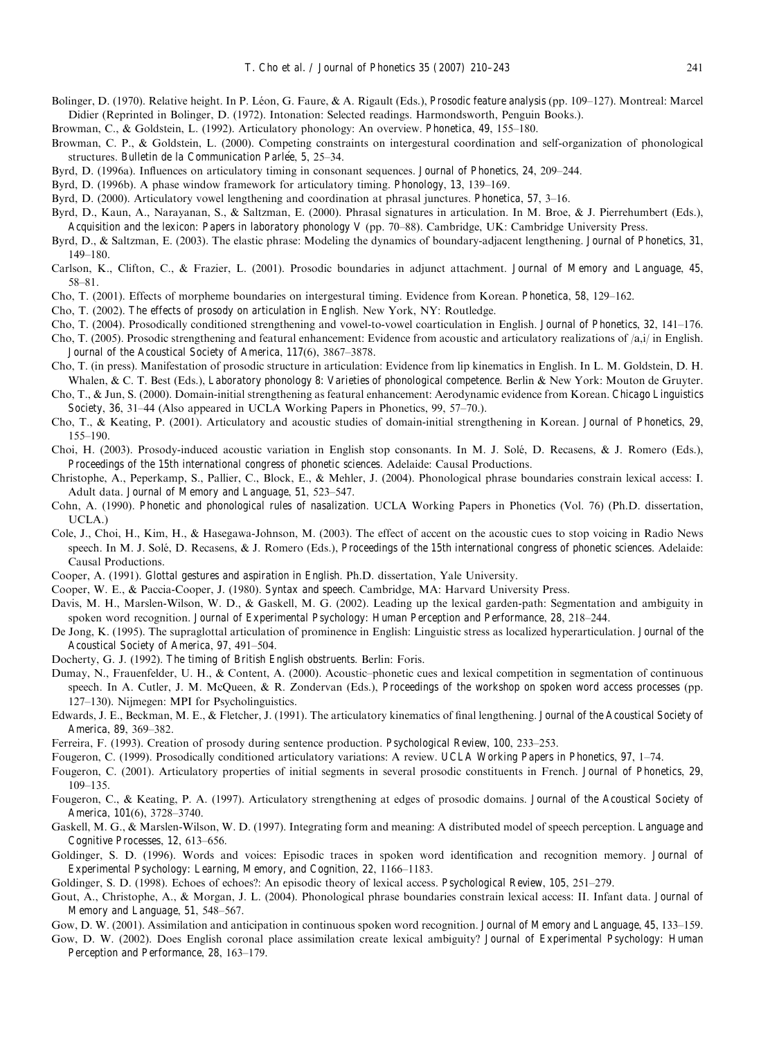- <span id="page-31-0"></span>Bolinger, D. (1970). Relative height. In P. Léon, G. Faure, & A. Rigault (Eds.), Prosodic feature analysis (pp. 109–127). Montreal: Marcel Didier (Reprinted in Bolinger, D. (1972). Intonation: Selected readings. Harmondsworth, Penguin Books.).
- Browman, C., & Goldstein, L. (1992). Articulatory phonology: An overview. Phonetica, 49, 155–180.
- Browman, C. P., & Goldstein, L. (2000). Competing constraints on intergestural coordination and self-organization of phonological structures. Bulletin de la Communication Parlée, 5, 25-34.
- Byrd, D. (1996a). Influences on articulatory timing in consonant sequences. Journal of Phonetics, 24, 209–244.
- Byrd, D. (1996b). A phase window framework for articulatory timing. Phonology, 13, 139–169.
- Byrd, D. (2000). Articulatory vowel lengthening and coordination at phrasal junctures. Phonetica, 57, 3–16.
- Byrd, D., Kaun, A., Narayanan, S., & Saltzman, E. (2000). Phrasal signatures in articulation. In M. Broe, & J. Pierrehumbert (Eds.), Acquisition and the lexicon: Papers in laboratory phonology V (pp. 70–88). Cambridge, UK: Cambridge University Press.
- Byrd, D., & Saltzman, E. (2003). The elastic phrase: Modeling the dynamics of boundary-adjacent lengthening. Journal of Phonetics, 31, 149–180.
- Carlson, K., Clifton, C., & Frazier, L. (2001). Prosodic boundaries in adjunct attachment. Journal of Memory and Language, 45, 58–81.
- Cho, T. (2001). Effects of morpheme boundaries on intergestural timing. Evidence from Korean. Phonetica, 58, 129–162.
- Cho, T. (2002). The effects of prosody on articulation in English. New York, NY: Routledge.
- Cho, T. (2004). Prosodically conditioned strengthening and vowel-to-vowel coarticulation in English. Journal of Phonetics, 32, 141–176.
- Cho, T. (2005). Prosodic strengthening and featural enhancement: Evidence from acoustic and articulatory realizations of  $\langle a, i \rangle$  in English. Journal of the Acoustical Society of America, 117(6), 3867–3878.
- Cho, T. (in press). Manifestation of prosodic structure in articulation: Evidence from lip kinematics in English. In L. M. Goldstein, D. H. Whalen, & C. T. Best (Eds.), Laboratory phonology 8: Varieties of phonological competence. Berlin & New York: Mouton de Gruyter.
- Cho, T., & Jun, S. (2000). Domain-initial strengthening as featural enhancement: Aerodynamic evidence from Korean. Chicago Linguistics Society, 36, 31–44 (Also appeared in UCLA Working Papers in Phonetics, 99, 57–70.).
- Cho, T., & Keating, P. (2001). Articulatory and acoustic studies of domain-initial strengthening in Korean. Journal of Phonetics, 29, 155–190.
- Choi, H. (2003). Prosody-induced acoustic variation in English stop consonants. In M. J. Solé, D. Recasens, & J. Romero (Eds.), Proceedings of the 15th international congress of phonetic sciences. Adelaide: Causal Productions.
- Christophe, A., Peperkamp, S., Pallier, C., Block, E., & Mehler, J. (2004). Phonological phrase boundaries constrain lexical access: I. Adult data. Journal of Memory and Language, 51, 523–547.
- Cohn, A. (1990). Phonetic and phonological rules of nasalization. UCLA Working Papers in Phonetics (Vol. 76) (Ph.D. dissertation, UCLA.)
- Cole, J., Choi, H., Kim, H., & Hasegawa-Johnson, M. (2003). The effect of accent on the acoustic cues to stop voicing in Radio News speech. In M. J. Solé, D. Recasens, & J. Romero (Eds.), Proceedings of the 15th international congress of phonetic sciences. Adelaide: Causal Productions.
- Cooper, A. (1991). Glottal gestures and aspiration in English. Ph.D. dissertation, Yale University.
- Cooper, W. E., & Paccia-Cooper, J. (1980). Syntax and speech. Cambridge, MA: Harvard University Press.
- Davis, M. H., Marslen-Wilson, W. D., & Gaskell, M. G. (2002). Leading up the lexical garden-path: Segmentation and ambiguity in spoken word recognition. Journal of Experimental Psychology: Human Perception and Performance, 28, 218–244.
- De Jong, K. (1995). The supraglottal articulation of prominence in English: Linguistic stress as localized hyperarticulation. Journal of the Acoustical Society of America, 97, 491–504.
- Docherty, G. J. (1992). The timing of British English obstruents. Berlin: Foris.
- Dumay, N., Frauenfelder, U. H., & Content, A. (2000). Acoustic–phonetic cues and lexical competition in segmentation of continuous speech. In A. Cutler, J. M. McQueen, & R. Zondervan (Eds.), Proceedings of the workshop on spoken word access processes (pp. 127–130). Nijmegen: MPI for Psycholinguistics.
- Edwards, J. E., Beckman, M. E., & Fletcher, J. (1991). The articulatory kinematics of final lengthening. Journal of the Acoustical Society of America, 89, 369–382.
- Ferreira, F. (1993). Creation of prosody during sentence production. Psychological Review, 100, 233–253.
- Fougeron, C. (1999). Prosodically conditioned articulatory variations: A review. UCLA Working Papers in Phonetics, 97, 1–74.
- Fougeron, C. (2001). Articulatory properties of initial segments in several prosodic constituents in French. Journal of Phonetics, 29, 109–135.
- Fougeron, C., & Keating, P. A. (1997). Articulatory strengthening at edges of prosodic domains. Journal of the Acoustical Society of America, 101(6), 3728–3740.
- Gaskell, M. G., & Marslen-Wilson, W. D. (1997). Integrating form and meaning: A distributed model of speech perception. Language and Cognitive Processes, 12, 613–656.
- Goldinger, S. D. (1996). Words and voices: Episodic traces in spoken word identification and recognition memory. Journal of Experimental Psychology: Learning, Memory, and Cognition, 22, 1166–1183.
- Goldinger, S. D. (1998). Echoes of echoes?: An episodic theory of lexical access. Psychological Review, 105, 251–279.
- Gout, A., Christophe, A., & Morgan, J. L. (2004). Phonological phrase boundaries constrain lexical access: II. Infant data. Journal of Memory and Language, 51, 548–567.
- Gow, D. W. (2001). Assimilation and anticipation in continuous spoken word recognition. Journal of Memory and Language, 45, 133–159.
- Gow, D. W. (2002). Does English coronal place assimilation create lexical ambiguity? Journal of Experimental Psychology: Human Perception and Performance, 28, 163–179.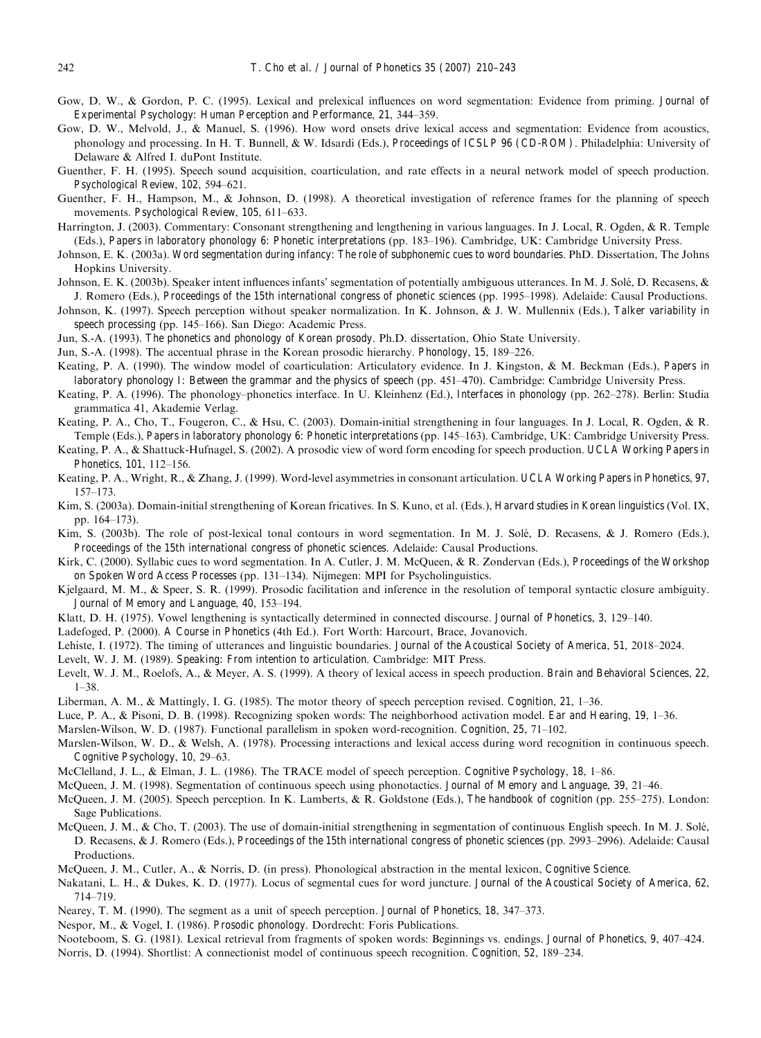- <span id="page-32-0"></span>Gow, D. W., & Gordon, P. C. (1995). Lexical and prelexical influences on word segmentation: Evidence from priming. Journal of Experimental Psychology: Human Perception and Performance, 21, 344–359.
- Gow, D. W., Melvold, J., & Manuel, S. (1996). How word onsets drive lexical access and segmentation: Evidence from acoustics, phonology and processing. In H. T. Bunnell, & W. Idsardi (Eds.), Proceedings of ICSLP 96 (CD-ROM). Philadelphia: University of Delaware & Alfred I. duPont Institute.
- Guenther, F. H. (1995). Speech sound acquisition, coarticulation, and rate effects in a neural network model of speech production. Psychological Review, 102, 594–621.
- Guenther, F. H., Hampson, M., & Johnson, D. (1998). A theoretical investigation of reference frames for the planning of speech movements. Psychological Review, 105, 611–633.
- Harrington, J. (2003). Commentary: Consonant strengthening and lengthening in various languages. In J. Local, R. Ogden, & R. Temple (Eds.), Papers in laboratory phonology 6: Phonetic interpretations (pp. 183–196). Cambridge, UK: Cambridge University Press.
- Johnson, E. K. (2003a). Word segmentation during infancy: The role of subphonemic cues to word boundaries. PhD. Dissertation, The Johns Hopkins University.
- Johnson, E. K. (2003b). Speaker intent influences infants' segmentation of potentially ambiguous utterances. In M. J. Solé, D. Recasens, & J. Romero (Eds.), Proceedings of the 15th international congress of phonetic sciences (pp. 1995–1998). Adelaide: Causal Productions.
- Johnson, K. (1997). Speech perception without speaker normalization. In K. Johnson, & J. W. Mullennix (Eds.), Talker variability in speech processing (pp. 145–166). San Diego: Academic Press.
- Jun, S.-A. (1993). The phonetics and phonology of Korean prosody. Ph.D. dissertation, Ohio State University.

Jun, S.-A. (1998). The accentual phrase in the Korean prosodic hierarchy. Phonology, 15, 189–226.

- Keating, P. A. (1990). The window model of coarticulation: Articulatory evidence. In J. Kingston, & M. Beckman (Eds.), Papers in laboratory phonology I: Between the grammar and the physics of speech (pp. 451–470). Cambridge: Cambridge University Press.
- Keating, P. A. (1996). The phonology–phonetics interface. In U. Kleinhenz (Ed.), Interfaces in phonology (pp. 262–278). Berlin: Studia grammatica 41, Akademie Verlag.
- Keating, P. A., Cho, T., Fougeron, C., & Hsu, C. (2003). Domain-initial strengthening in four languages. In J. Local, R. Ogden, & R. Temple (Eds.), Papers in laboratory phonology 6: Phonetic interpretations (pp. 145–163). Cambridge, UK: Cambridge University Press.
- Keating, P. A., & Shattuck-Hufnagel, S. (2002). A prosodic view of word form encoding for speech production. UCLA Working Papers in Phonetics, 101, 112–156.
- Keating, P. A., Wright, R., & Zhang, J. (1999). Word-level asymmetries in consonant articulation. UCLA Working Papers in Phonetics, 97, 157–173.
- Kim, S. (2003a). Domain-initial strengthening of Korean fricatives. In S. Kuno, et al. (Eds.), Harvard studies in Korean linguistics (Vol. IX, pp. 164–173).
- Kim, S. (2003b). The role of post-lexical tonal contours in word segmentation. In M. J. Solé, D. Recasens, & J. Romero (Eds.), Proceedings of the 15th international congress of phonetic sciences. Adelaide: Causal Productions.
- Kirk, C. (2000). Syllabic cues to word segmentation. In A. Cutler, J. M. McQueen, & R. Zondervan (Eds.), Proceedings of the Workshop on Spoken Word Access Processes (pp. 131–134). Nijmegen: MPI for Psycholinguistics.
- Kjelgaard, M. M., & Speer, S. R. (1999). Prosodic facilitation and inference in the resolution of temporal syntactic closure ambiguity. Journal of Memory and Language, 40, 153–194.
- Klatt, D. H. (1975). Vowel lengthening is syntactically determined in connected discourse. Journal of Phonetics, 3, 129–140.
- Ladefoged, P. (2000). A Course in Phonetics (4th Ed.). Fort Worth: Harcourt, Brace, Jovanovich.
- Lehiste, I. (1972). The timing of utterances and linguistic boundaries. Journal of the Acoustical Society of America, 51, 2018–2024.
- Levelt, W. J. M. (1989). Speaking: From intention to articulation. Cambridge: MIT Press.
- Levelt, W. J. M., Roelofs, A., & Meyer, A. S. (1999). A theory of lexical access in speech production. Brain and Behavioral Sciences, 22, 1–38.
- Liberman, A. M., & Mattingly, I. G. (1985). The motor theory of speech perception revised. Cognition, 21, 1–36.
- Luce, P. A., & Pisoni, D. B. (1998). Recognizing spoken words: The neighborhood activation model. Ear and Hearing, 19, 1–36.
- Marslen-Wilson, W. D. (1987). Functional parallelism in spoken word-recognition. Cognition, 25, 71–102.
- Marslen-Wilson, W. D., & Welsh, A. (1978). Processing interactions and lexical access during word recognition in continuous speech. Cognitive Psychology, 10, 29–63.
- McClelland, J. L., & Elman, J. L. (1986). The TRACE model of speech perception. Cognitive Psychology, 18, 1–86.
- McQueen, J. M. (1998). Segmentation of continuous speech using phonotactics. Journal of Memory and Language, 39, 21–46.
- McQueen, J. M. (2005). Speech perception. In K. Lamberts, & R. Goldstone (Eds.), The handbook of cognition (pp. 255–275). London: Sage Publications.
- McQueen, J. M., & Cho, T. (2003). The use of domain-initial strengthening in segmentation of continuous English speech. In M. J. Solé, D. Recasens, & J. Romero (Eds.), Proceedings of the 15th international congress of phonetic sciences (pp. 2993–2996). Adelaide: Causal Productions.
- McQueen, J. M., Cutler, A., & Norris, D. (in press). Phonological abstraction in the mental lexicon, Cognitive Science.
- Nakatani, L. H., & Dukes, K. D. (1977). Locus of segmental cues for word juncture. Journal of the Acoustical Society of America, 62, 714–719.
- Nearey, T. M. (1990). The segment as a unit of speech perception. Journal of Phonetics, 18, 347–373.
- Nespor, M., & Vogel, I. (1986). Prosodic phonology. Dordrecht: Foris Publications.

Nooteboom, S. G. (1981). Lexical retrieval from fragments of spoken words: Beginnings vs. endings. Journal of Phonetics, 9, 407–424.

Norris, D. (1994). Shortlist: A connectionist model of continuous speech recognition. Cognition, 52, 189–234.